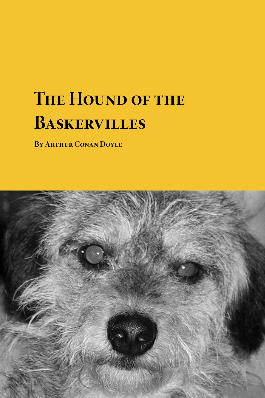# **THE HOUND OF THE Baskervilles**

**By Arthur Conan Doyle**

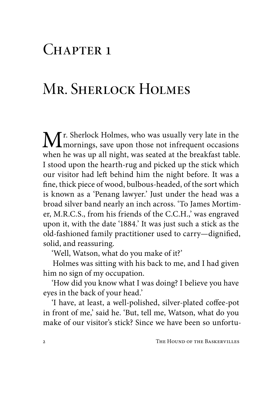#### $CHAPTER$  1

### Mr. SHERLOCK HOLMES

 $\mathbf{M}$ r. Sherlock Holmes, who was usually very late in the mornings, save upon those not infrequent occasions when he was un all night, we cannot det the head fact table when he was up all night, was seated at the breakfast table. I stood upon the hearth-rug and picked up the stick which our visitor had left behind him the night before. It was a fine, thick piece of wood, bulbous-headed, of the sort which is known as a 'Penang lawyer.' Just under the head was a broad silver band nearly an inch across. 'To James Mortimer, M.R.C.S., from his friends of the C.C.H.,' was engraved upon it, with the date '1884.' It was just such a stick as the old-fashioned family practitioner used to carry—dignified, solid, and reassuring.

'Well, Watson, what do you make of it?'

Holmes was sitting with his back to me, and I had given him no sign of my occupation.

'How did you know what I was doing? I believe you have eyes in the back of your head.'

'I have, at least, a well-polished, silver-plated coffee-pot in front of me,' said he. 'But, tell me, Watson, what do you make of our visitor's stick? Since we have been so unfortu-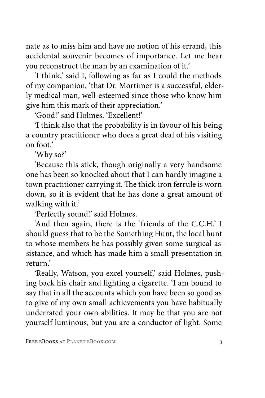nate as to miss him and have no notion of his errand, this accidental souvenir becomes of importance. Let me hear you reconstruct the man by an examination of it.'

'I think,' said I, following as far as I could the methods of my companion, 'that Dr. Mortimer is a successful, elderly medical man, well-esteemed since those who know him give him this mark of their appreciation.'

'Good!' said Holmes. 'Excellent!'

'I think also that the probability is in favour of his being a country practitioner who does a great deal of his visiting on foot.'

'Why so?'

'Because this stick, though originally a very handsome one has been so knocked about that I can hardly imagine a town practitioner carrying it. The thick-iron ferrule is worn down, so it is evident that he has done a great amount of walking with it.'

'Perfectly sound!' said Holmes.

'And then again, there is the 'friends of the C.C.H.' I should guess that to be the Something Hunt, the local hunt to whose members he has possibly given some surgical assistance, and which has made him a small presentation in return.'

'Really, Watson, you excel yourself,' said Holmes, pushing back his chair and lighting a cigarette. 'I am bound to say that in all the accounts which you have been so good as to give of my own small achievements you have habitually underrated your own abilities. It may be that you are not yourself luminous, but you are a conductor of light. Some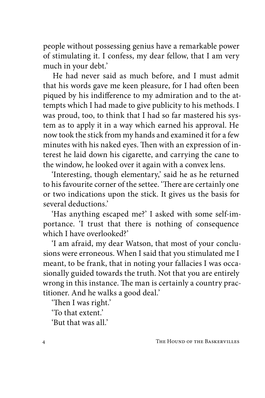people without possessing genius have a remarkable power of stimulating it. I confess, my dear fellow, that I am very much in your debt.'

He had never said as much before, and I must admit that his words gave me keen pleasure, for I had often been piqued by his indifference to my admiration and to the attempts which I had made to give publicity to his methods. I was proud, too, to think that I had so far mastered his system as to apply it in a way which earned his approval. He now took the stick from my hands and examined it for a few minutes with his naked eyes. Then with an expression of interest he laid down his cigarette, and carrying the cane to the window, he looked over it again with a convex lens.

'Interesting, though elementary,' said he as he returned to his favourite corner of the settee. 'There are certainly one or two indications upon the stick. It gives us the basis for several deductions.'

'Has anything escaped me?' I asked with some self-importance. 'I trust that there is nothing of consequence which I have overlooked?'

'I am afraid, my dear Watson, that most of your conclusions were erroneous. When I said that you stimulated me I meant, to be frank, that in noting your fallacies I was occasionally guided towards the truth. Not that you are entirely wrong in this instance. The man is certainly a country practitioner. And he walks a good deal.'

'Then I was right.'

'To that extent.' 'But that was all.'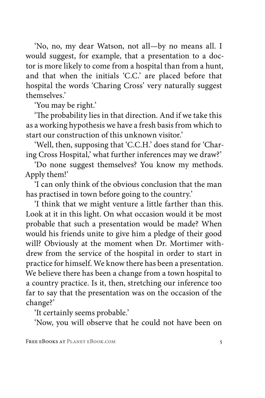'No, no, my dear Watson, not all—by no means all. I would suggest, for example, that a presentation to a doctor is more likely to come from a hospital than from a hunt, and that when the initials 'C.C.' are placed before that hospital the words 'Charing Cross' very naturally suggest themselves.'

'You may be right.'

'The probability lies in that direction. And if we take this as a working hypothesis we have a fresh basis from which to start our construction of this unknown visitor.'

'Well, then, supposing that 'C.C.H.' does stand for 'Charing Cross Hospital,' what further inferences may we draw?'

'Do none suggest themselves? You know my methods. Apply them!'

'I can only think of the obvious conclusion that the man has practised in town before going to the country.'

'I think that we might venture a little farther than this. Look at it in this light. On what occasion would it be most probable that such a presentation would be made? When would his friends unite to give him a pledge of their good will? Obviously at the moment when Dr. Mortimer withdrew from the service of the hospital in order to start in practice for himself. We know there has been a presentation. We believe there has been a change from a town hospital to a country practice. Is it, then, stretching our inference too far to say that the presentation was on the occasion of the change?'

'It certainly seems probable.'

'Now, you will observe that he could not have been on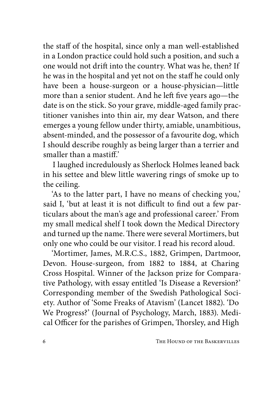the staff of the hospital, since only a man well-established in a London practice could hold such a position, and such a one would not drift into the country. What was he, then? If he was in the hospital and yet not on the staff he could only have been a house-surgeon or a house-physician—little more than a senior student. And he left five years ago—the date is on the stick. So your grave, middle-aged family practitioner vanishes into thin air, my dear Watson, and there emerges a young fellow under thirty, amiable, unambitious, absent-minded, and the possessor of a favourite dog, which I should describe roughly as being larger than a terrier and smaller than a mastiff.'

I laughed incredulously as Sherlock Holmes leaned back in his settee and blew little wavering rings of smoke up to the ceiling.

'As to the latter part, I have no means of checking you,' said I, 'but at least it is not difficult to find out a few particulars about the man's age and professional career.' From my small medical shelf I took down the Medical Directory and turned up the name. There were several Mortimers, but only one who could be our visitor. I read his record aloud.

'Mortimer, James, M.R.C.S., 1882, Grimpen, Dartmoor, Devon. House-surgeon, from 1882 to 1884, at Charing Cross Hospital. Winner of the Jackson prize for Comparative Pathology, with essay entitled 'Is Disease a Reversion?' Corresponding member of the Swedish Pathological Society. Author of 'Some Freaks of Atavism' (Lancet 1882). 'Do We Progress?' (Journal of Psychology, March, 1883). Medical Officer for the parishes of Grimpen, Thorsley, and High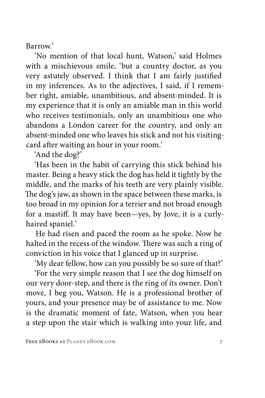Barrow.'

'No mention of that local hunt, Watson,' said Holmes with a mischievous smile, 'but a country doctor, as you very astutely observed. I think that I am fairly justified in my inferences. As to the adjectives, I said, if I remember right, amiable, unambitious, and absent-minded. It is my experience that it is only an amiable man in this world who receives testimonials, only an unambitious one who abandons a London career for the country, and only an absent-minded one who leaves his stick and not his visitingcard after waiting an hour in your room.'

'And the dog?'

'Has been in the habit of carrying this stick behind his master. Being a heavy stick the dog has held it tightly by the middle, and the marks of his teeth are very plainly visible. The dog's jaw, as shown in the space between these marks, is too broad in my opinion for a terrier and not broad enough for a mastiff. It may have been—yes, by Jove, it is a curlyhaired spaniel.'

He had risen and paced the room as he spoke. Now he halted in the recess of the window. There was such a ring of conviction in his voice that I glanced up in surprise.

'My dear fellow, how can you possibly be so sure of that?' 'For the very simple reason that I see the dog himself on our very door-step, and there is the ring of its owner. Don't move, I beg you, Watson. He is a professional brother of yours, and your presence may be of assistance to me. Now is the dramatic moment of fate, Watson, when you hear a step upon the stair which is walking into your life, and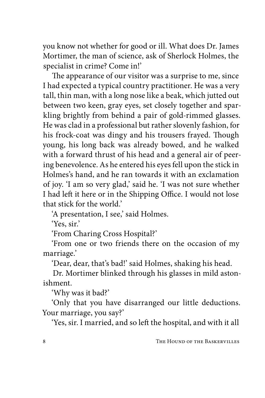you know not whether for good or ill. What does Dr. James Mortimer, the man of science, ask of Sherlock Holmes, the specialist in crime? Come in!'

The appearance of our visitor was a surprise to me, since I had expected a typical country practitioner. He was a very tall, thin man, with a long nose like a beak, which jutted out between two keen, gray eyes, set closely together and sparkling brightly from behind a pair of gold-rimmed glasses. He was clad in a professional but rather slovenly fashion, for his frock-coat was dingy and his trousers frayed. Though young, his long back was already bowed, and he walked with a forward thrust of his head and a general air of peering benevolence. As he entered his eyes fell upon the stick in Holmes's hand, and he ran towards it with an exclamation of joy. 'I am so very glad,' said he. 'I was not sure whether I had left it here or in the Shipping Office. I would not lose that stick for the world.'

'A presentation, I see,' said Holmes.

'Yes, sir.'

'From Charing Cross Hospital?'

'From one or two friends there on the occasion of my marriage.'

'Dear, dear, that's bad!' said Holmes, shaking his head.

Dr. Mortimer blinked through his glasses in mild astonishment.

'Why was it bad?'

'Only that you have disarranged our little deductions. Your marriage, you say?'

'Yes, sir. I married, and so left the hospital, and with it all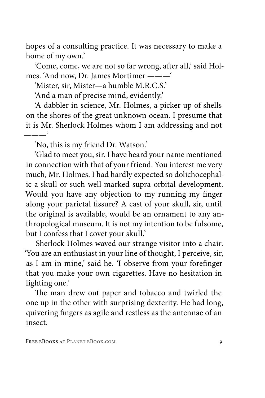hopes of a consulting practice. It was necessary to make a home of my own.'

'Come, come, we are not so far wrong, after all,' said Holmes. 'And now, Dr. James Mortimer ———'

'Mister, sir, Mister—a humble M.R.C.S.'

'And a man of precise mind, evidently.'

'A dabbler in science, Mr. Holmes, a picker up of shells on the shores of the great unknown ocean. I presume that it is Mr. Sherlock Holmes whom I am addressing and not ———'

'No, this is my friend Dr. Watson.'

'Glad to meet you, sir. I have heard your name mentioned in connection with that of your friend. You interest me very much, Mr. Holmes. I had hardly expected so dolichocephalic a skull or such well-marked supra-orbital development. Would you have any objection to my running my finger along your parietal fissure? A cast of your skull, sir, until the original is available, would be an ornament to any anthropological museum. It is not my intention to be fulsome, but I confess that I covet your skull.'

Sherlock Holmes waved our strange visitor into a chair. 'You are an enthusiast in your line of thought, I perceive, sir, as I am in mine,' said he. 'I observe from your forefinger that you make your own cigarettes. Have no hesitation in lighting one.'

The man drew out paper and tobacco and twirled the one up in the other with surprising dexterity. He had long, quivering fingers as agile and restless as the antennae of an insect.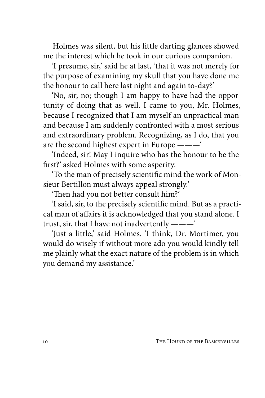Holmes was silent, but his little darting glances showed me the interest which he took in our curious companion.

'I presume, sir,' said he at last, 'that it was not merely for the purpose of examining my skull that you have done me the honour to call here last night and again to-day?'

'No, sir, no; though I am happy to have had the opportunity of doing that as well. I came to you, Mr. Holmes, because I recognized that I am myself an unpractical man and because I am suddenly confronted with a most serious and extraordinary problem. Recognizing, as I do, that you are the second highest expert in Europe ———'

'Indeed, sir! May I inquire who has the honour to be the first?' asked Holmes with some asperity.

'To the man of precisely scientific mind the work of Monsieur Bertillon must always appeal strongly.'

'Then had you not better consult him?'

'I said, sir, to the precisely scientific mind. But as a practical man of affairs it is acknowledged that you stand alone. I trust, sir, that I have not inadvertently ———'

'Just a little,' said Holmes. 'I think, Dr. Mortimer, you would do wisely if without more ado you would kindly tell me plainly what the exact nature of the problem is in which you demand my assistance.'

10 The Hound of the Baskervilles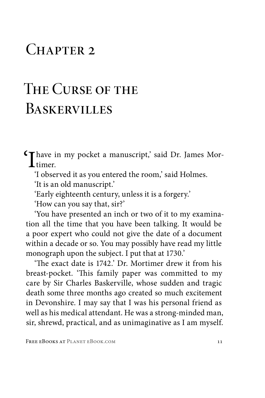#### CHAPTER 2

## The Curse of the **BASKERVILLES**

'I have in my pocket a manuscript,' said Dr. James Mortimer.

'I observed it as you entered the room,' said Holmes.

'It is an old manuscript.'

'Early eighteenth century, unless it is a forgery.'

'How can you say that, sir?'

'You have presented an inch or two of it to my examination all the time that you have been talking. It would be a poor expert who could not give the date of a document within a decade or so. You may possibly have read my little monograph upon the subject. I put that at 1730.'

'The exact date is 1742.' Dr. Mortimer drew it from his breast-pocket. 'This family paper was committed to my care by Sir Charles Baskerville, whose sudden and tragic death some three months ago created so much excitement in Devonshire. I may say that I was his personal friend as well as his medical attendant. He was a strong-minded man, sir, shrewd, practical, and as unimaginative as I am myself.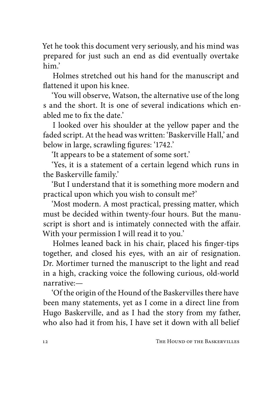Yet he took this document very seriously, and his mind was prepared for just such an end as did eventually overtake him.'

Holmes stretched out his hand for the manuscript and flattened it upon his knee.

'You will observe, Watson, the alternative use of the long s and the short. It is one of several indications which enabled me to fix the date'

I looked over his shoulder at the yellow paper and the faded script. At the head was written: 'Baskerville Hall,' and below in large, scrawling figures: '1742.'

'It appears to be a statement of some sort.'

'Yes, it is a statement of a certain legend which runs in the Baskerville family.'

'But I understand that it is something more modern and practical upon which you wish to consult me?'

'Most modern. A most practical, pressing matter, which must be decided within twenty-four hours. But the manuscript is short and is intimately connected with the affair. With your permission I will read it to you.'

Holmes leaned back in his chair, placed his finger-tips together, and closed his eyes, with an air of resignation. Dr. Mortimer turned the manuscript to the light and read in a high, cracking voice the following curious, old-world narrative:—

'Of the origin of the Hound of the Baskervilles there have been many statements, yet as I come in a direct line from Hugo Baskerville, and as I had the story from my father, who also had it from his, I have set it down with all belief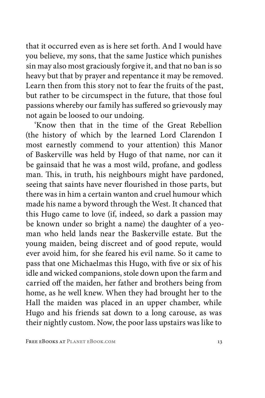that it occurred even as is here set forth. And I would have you believe, my sons, that the same Justice which punishes sin may also most graciously forgive it, and that no ban is so heavy but that by prayer and repentance it may be removed. Learn then from this story not to fear the fruits of the past, but rather to be circumspect in the future, that those foul passions whereby our family has suffered so grievously may not again be loosed to our undoing.

'Know then that in the time of the Great Rebellion (the history of which by the learned Lord Clarendon I most earnestly commend to your attention) this Manor of Baskerville was held by Hugo of that name, nor can it be gainsaid that he was a most wild, profane, and godless man. This, in truth, his neighbours might have pardoned, seeing that saints have never flourished in those parts, but there was in him a certain wanton and cruel humour which made his name a byword through the West. It chanced that this Hugo came to love (if, indeed, so dark a passion may be known under so bright a name) the daughter of a yeoman who held lands near the Baskerville estate. But the young maiden, being discreet and of good repute, would ever avoid him, for she feared his evil name. So it came to pass that one Michaelmas this Hugo, with five or six of his idle and wicked companions, stole down upon the farm and carried off the maiden, her father and brothers being from home, as he well knew. When they had brought her to the Hall the maiden was placed in an upper chamber, while Hugo and his friends sat down to a long carouse, as was their nightly custom. Now, the poor lass upstairs was like to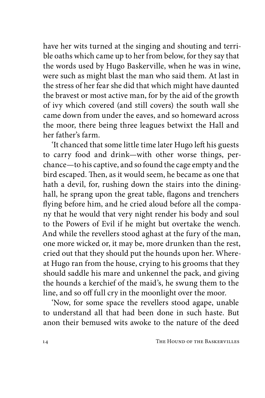have her wits turned at the singing and shouting and terrible oaths which came up to her from below, for they say that the words used by Hugo Baskerville, when he was in wine, were such as might blast the man who said them. At last in the stress of her fear she did that which might have daunted the bravest or most active man, for by the aid of the growth of ivy which covered (and still covers) the south wall she came down from under the eaves, and so homeward across the moor, there being three leagues betwixt the Hall and her father's farm.

'It chanced that some little time later Hugo left his guests to carry food and drink—with other worse things, perchance—to his captive, and so found the cage empty and the bird escaped. Then, as it would seem, he became as one that hath a devil, for, rushing down the stairs into the dininghall, he sprang upon the great table, flagons and trenchers flying before him, and he cried aloud before all the company that he would that very night render his body and soul to the Powers of Evil if he might but overtake the wench. And while the revellers stood aghast at the fury of the man, one more wicked or, it may be, more drunken than the rest, cried out that they should put the hounds upon her. Whereat Hugo ran from the house, crying to his grooms that they should saddle his mare and unkennel the pack, and giving the hounds a kerchief of the maid's, he swung them to the line, and so off full cry in the moonlight over the moor.

'Now, for some space the revellers stood agape, unable to understand all that had been done in such haste. But anon their bemused wits awoke to the nature of the deed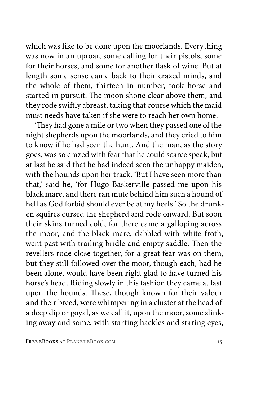which was like to be done upon the moorlands. Everything was now in an uproar, some calling for their pistols, some for their horses, and some for another flask of wine. But at length some sense came back to their crazed minds, and the whole of them, thirteen in number, took horse and started in pursuit. The moon shone clear above them, and they rode swiftly abreast, taking that course which the maid must needs have taken if she were to reach her own home.

'They had gone a mile or two when they passed one of the night shepherds upon the moorlands, and they cried to him to know if he had seen the hunt. And the man, as the story goes, was so crazed with fear that he could scarce speak, but at last he said that he had indeed seen the unhappy maiden, with the hounds upon her track. 'But I have seen more than that,' said he, 'for Hugo Baskerville passed me upon his black mare, and there ran mute behind him such a hound of hell as God forbid should ever be at my heels.' So the drunken squires cursed the shepherd and rode onward. But soon their skins turned cold, for there came a galloping across the moor, and the black mare, dabbled with white froth, went past with trailing bridle and empty saddle. Then the revellers rode close together, for a great fear was on them, but they still followed over the moor, though each, had he been alone, would have been right glad to have turned his horse's head. Riding slowly in this fashion they came at last upon the hounds. These, though known for their valour and their breed, were whimpering in a cluster at the head of a deep dip or goyal, as we call it, upon the moor, some slinking away and some, with starting hackles and staring eyes,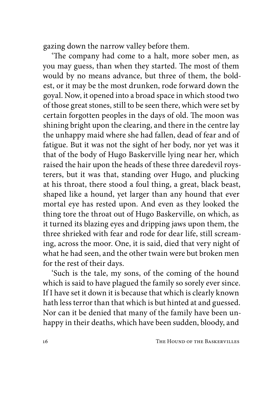gazing down the narrow valley before them.

'The company had come to a halt, more sober men, as you may guess, than when they started. The most of them would by no means advance, but three of them, the boldest, or it may be the most drunken, rode forward down the goyal. Now, it opened into a broad space in which stood two of those great stones, still to be seen there, which were set by certain forgotten peoples in the days of old. The moon was shining bright upon the clearing, and there in the centre lay the unhappy maid where she had fallen, dead of fear and of fatigue. But it was not the sight of her body, nor yet was it that of the body of Hugo Baskerville lying near her, which raised the hair upon the heads of these three daredevil roysterers, but it was that, standing over Hugo, and plucking at his throat, there stood a foul thing, a great, black beast, shaped like a hound, yet larger than any hound that ever mortal eye has rested upon. And even as they looked the thing tore the throat out of Hugo Baskerville, on which, as it turned its blazing eyes and dripping jaws upon them, the three shrieked with fear and rode for dear life, still screaming, across the moor. One, it is said, died that very night of what he had seen, and the other twain were but broken men for the rest of their days.

'Such is the tale, my sons, of the coming of the hound which is said to have plagued the family so sorely ever since. If I have set it down it is because that which is clearly known hath less terror than that which is but hinted at and guessed. Nor can it be denied that many of the family have been unhappy in their deaths, which have been sudden, bloody, and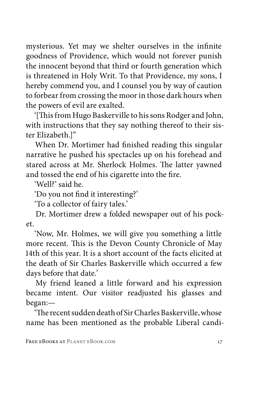mysterious. Yet may we shelter ourselves in the infinite goodness of Providence, which would not forever punish the innocent beyond that third or fourth generation which is threatened in Holy Writ. To that Providence, my sons, I hereby commend you, and I counsel you by way of caution to forbear from crossing the moor in those dark hours when the powers of evil are exalted.

'[This from Hugo Baskerville to his sons Rodger and John, with instructions that they say nothing thereof to their sister Elizabeth<sup>"</sup>

When Dr. Mortimer had finished reading this singular narrative he pushed his spectacles up on his forehead and stared across at Mr. Sherlock Holmes. The latter yawned and tossed the end of his cigarette into the fire.

'Well?' said he.

'Do you not find it interesting?'

'To a collector of fairy tales.'

Dr. Mortimer drew a folded newspaper out of his pocket.

'Now, Mr. Holmes, we will give you something a little more recent. This is the Devon County Chronicle of May 14th of this year. It is a short account of the facts elicited at the death of Sir Charles Baskerville which occurred a few days before that date.'

My friend leaned a little forward and his expression became intent. Our visitor readjusted his glasses and began:—

'The recent sudden death of Sir Charles Baskerville, whose name has been mentioned as the probable Liberal candi-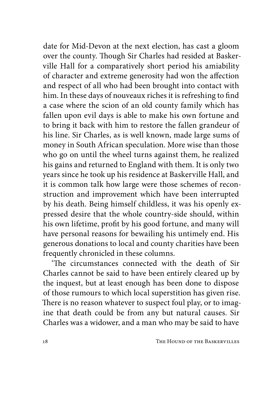date for Mid-Devon at the next election, has cast a gloom over the county. Though Sir Charles had resided at Baskerville Hall for a comparatively short period his amiability of character and extreme generosity had won the affection and respect of all who had been brought into contact with him. In these days of nouveaux riches it is refreshing to find a case where the scion of an old county family which has fallen upon evil days is able to make his own fortune and to bring it back with him to restore the fallen grandeur of his line. Sir Charles, as is well known, made large sums of money in South African speculation. More wise than those who go on until the wheel turns against them, he realized his gains and returned to England with them. It is only two years since he took up his residence at Baskerville Hall, and it is common talk how large were those schemes of reconstruction and improvement which have been interrupted by his death. Being himself childless, it was his openly expressed desire that the whole country-side should, within his own lifetime, profit by his good fortune, and many will have personal reasons for bewailing his untimely end. His generous donations to local and county charities have been frequently chronicled in these columns.

'The circumstances connected with the death of Sir Charles cannot be said to have been entirely cleared up by the inquest, but at least enough has been done to dispose of those rumours to which local superstition has given rise. There is no reason whatever to suspect foul play, or to imagine that death could be from any but natural causes. Sir Charles was a widower, and a man who may be said to have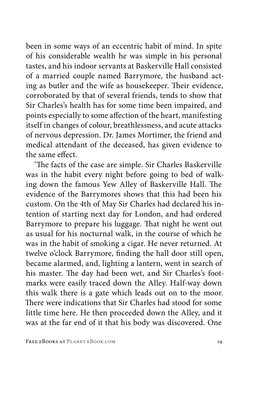been in some ways of an eccentric habit of mind. In spite of his considerable wealth he was simple in his personal tastes, and his indoor servants at Baskerville Hall consisted of a married couple named Barrymore, the husband acting as butler and the wife as housekeeper. Their evidence, corroborated by that of several friends, tends to show that Sir Charles's health has for some time been impaired, and points especially to some affection of the heart, manifesting itself in changes of colour, breathlessness, and acute attacks of nervous depression. Dr. James Mortimer, the friend and medical attendant of the deceased, has given evidence to the same effect.

'The facts of the case are simple. Sir Charles Baskerville was in the habit every night before going to bed of walking down the famous Yew Alley of Baskerville Hall. The evidence of the Barrymores shows that this had been his custom. On the 4th of May Sir Charles had declared his intention of starting next day for London, and had ordered Barrymore to prepare his luggage. That night he went out as usual for his nocturnal walk, in the course of which he was in the habit of smoking a cigar. He never returned. At twelve o'clock Barrymore, finding the hall door still open, became alarmed, and, lighting a lantern, went in search of his master. The day had been wet, and Sir Charles's footmarks were easily traced down the Alley. Half-way down this walk there is a gate which leads out on to the moor. There were indications that Sir Charles had stood for some little time here. He then proceeded down the Alley, and it was at the far end of it that his body was discovered. One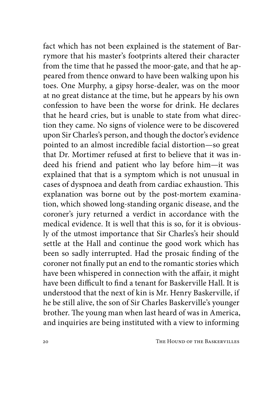fact which has not been explained is the statement of Barrymore that his master's footprints altered their character from the time that he passed the moor-gate, and that he appeared from thence onward to have been walking upon his toes. One Murphy, a gipsy horse-dealer, was on the moor at no great distance at the time, but he appears by his own confession to have been the worse for drink. He declares that he heard cries, but is unable to state from what direction they came. No signs of violence were to be discovered upon Sir Charles's person, and though the doctor's evidence pointed to an almost incredible facial distortion—so great that Dr. Mortimer refused at first to believe that it was indeed his friend and patient who lay before him—it was explained that that is a symptom which is not unusual in cases of dyspnoea and death from cardiac exhaustion. This explanation was borne out by the post-mortem examination, which showed long-standing organic disease, and the coroner's jury returned a verdict in accordance with the medical evidence. It is well that this is so, for it is obviously of the utmost importance that Sir Charles's heir should settle at the Hall and continue the good work which has been so sadly interrupted. Had the prosaic finding of the coroner not finally put an end to the romantic stories which have been whispered in connection with the affair, it might have been difficult to find a tenant for Baskerville Hall. It is understood that the next of kin is Mr. Henry Baskerville, if he be still alive, the son of Sir Charles Baskerville's younger brother. The young man when last heard of was in America, and inquiries are being instituted with a view to informing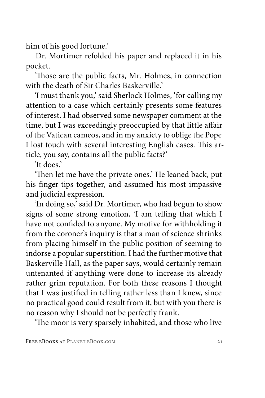him of his good fortune.'

Dr. Mortimer refolded his paper and replaced it in his pocket.

'Those are the public facts, Mr. Holmes, in connection with the death of Sir Charles Baskerville'

'I must thank you,' said Sherlock Holmes, 'for calling my attention to a case which certainly presents some features of interest. I had observed some newspaper comment at the time, but I was exceedingly preoccupied by that little affair of the Vatican cameos, and in my anxiety to oblige the Pope I lost touch with several interesting English cases. This article, you say, contains all the public facts?'

'It does.'

'Then let me have the private ones.' He leaned back, put his finger-tips together, and assumed his most impassive and judicial expression.

'In doing so,' said Dr. Mortimer, who had begun to show signs of some strong emotion, 'I am telling that which I have not confided to anyone. My motive for withholding it from the coroner's inquiry is that a man of science shrinks from placing himself in the public position of seeming to indorse a popular superstition. I had the further motive that Baskerville Hall, as the paper says, would certainly remain untenanted if anything were done to increase its already rather grim reputation. For both these reasons I thought that I was justified in telling rather less than I knew, since no practical good could result from it, but with you there is no reason why I should not be perfectly frank.

'The moor is very sparsely inhabited, and those who live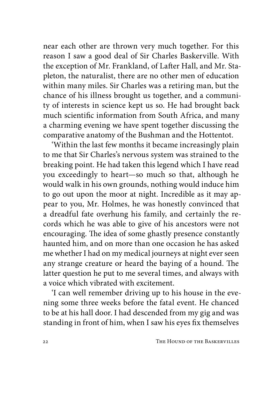near each other are thrown very much together. For this reason I saw a good deal of Sir Charles Baskerville. With the exception of Mr. Frankland, of Lafter Hall, and Mr. Stapleton, the naturalist, there are no other men of education within many miles. Sir Charles was a retiring man, but the chance of his illness brought us together, and a community of interests in science kept us so. He had brought back much scientific information from South Africa, and many a charming evening we have spent together discussing the comparative anatomy of the Bushman and the Hottentot.

'Within the last few months it became increasingly plain to me that Sir Charles's nervous system was strained to the breaking point. He had taken this legend which I have read you exceedingly to heart—so much so that, although he would walk in his own grounds, nothing would induce him to go out upon the moor at night. Incredible as it may appear to you, Mr. Holmes, he was honestly convinced that a dreadful fate overhung his family, and certainly the records which he was able to give of his ancestors were not encouraging. The idea of some ghastly presence constantly haunted him, and on more than one occasion he has asked me whether I had on my medical journeys at night ever seen any strange creature or heard the baying of a hound. The latter question he put to me several times, and always with a voice which vibrated with excitement.

'I can well remember driving up to his house in the evening some three weeks before the fatal event. He chanced to be at his hall door. I had descended from my gig and was standing in front of him, when I saw his eyes fix themselves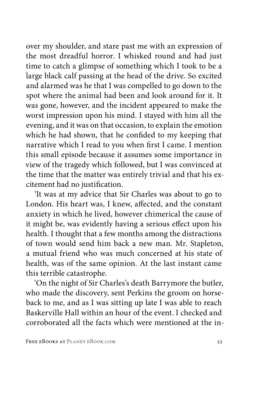over my shoulder, and stare past me with an expression of the most dreadful horror. I whisked round and had just time to catch a glimpse of something which I took to be a large black calf passing at the head of the drive. So excited and alarmed was he that I was compelled to go down to the spot where the animal had been and look around for it. It was gone, however, and the incident appeared to make the worst impression upon his mind. I stayed with him all the evening, and it was on that occasion, to explain the emotion which he had shown, that he confided to my keeping that narrative which I read to you when first I came. I mention this small episode because it assumes some importance in view of the tragedy which followed, but I was convinced at the time that the matter was entirely trivial and that his excitement had no justification.

'It was at my advice that Sir Charles was about to go to London. His heart was, I knew, affected, and the constant anxiety in which he lived, however chimerical the cause of it might be, was evidently having a serious effect upon his health. I thought that a few months among the distractions of town would send him back a new man. Mr. Stapleton, a mutual friend who was much concerned at his state of health, was of the same opinion. At the last instant came this terrible catastrophe.

'On the night of Sir Charles's death Barrymore the butler, who made the discovery, sent Perkins the groom on horseback to me, and as I was sitting up late I was able to reach Baskerville Hall within an hour of the event. I checked and corroborated all the facts which were mentioned at the in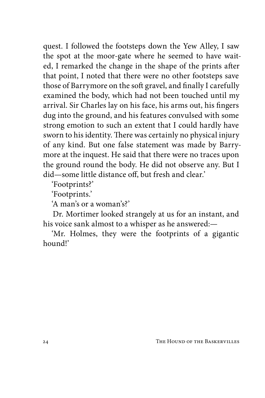quest. I followed the footsteps down the Yew Alley, I saw the spot at the moor-gate where he seemed to have waited, I remarked the change in the shape of the prints after that point, I noted that there were no other footsteps save those of Barrymore on the soft gravel, and finally I carefully examined the body, which had not been touched until my arrival. Sir Charles lay on his face, his arms out, his fingers dug into the ground, and his features convulsed with some strong emotion to such an extent that I could hardly have sworn to his identity. There was certainly no physical injury of any kind. But one false statement was made by Barrymore at the inquest. He said that there were no traces upon the ground round the body. He did not observe any. But I did—some little distance off, but fresh and clear.'

'Footprints?'

'Footprints.'

'A man's or a woman's?'

Dr. Mortimer looked strangely at us for an instant, and his voice sank almost to a whisper as he answered:—

'Mr. Holmes, they were the footprints of a gigantic hound!'

24 THE HOUND OF THE BASKERVILLES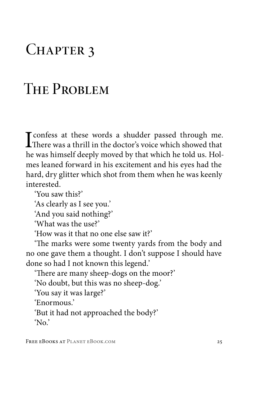#### CHAPTER 3

#### THE PROBLEM

T confess at these words a shudder passed through me. There was a thrill in the doctor's voice which showed that he was himself deeply moved by that which he told us. Holmes leaned forward in his excitement and his eyes had the hard, dry glitter which shot from them when he was keenly interested.

'You saw this?'

'As clearly as I see you.'

'And you said nothing?'

'What was the use?'

'How was it that no one else saw it?'

'The marks were some twenty yards from the body and no one gave them a thought. I don't suppose I should have done so had I not known this legend.'

'There are many sheep-dogs on the moor?'

'No doubt, but this was no sheep-dog.'

'You say it was large?'

'Enormous.'

'But it had not approached the body?'

'No.'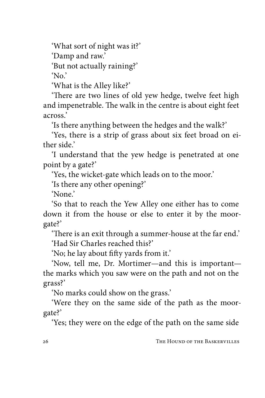'What sort of night was it?'

'Damp and raw.'

'But not actually raining?'

 $'$ No.'

'What is the Alley like?'

'There are two lines of old yew hedge, twelve feet high and impenetrable. The walk in the centre is about eight feet across.'

'Is there anything between the hedges and the walk?'

'Yes, there is a strip of grass about six feet broad on either side.'

'I understand that the yew hedge is penetrated at one point by a gate?'

'Yes, the wicket-gate which leads on to the moor.'

'Is there any other opening?'

'None.'

'So that to reach the Yew Alley one either has to come down it from the house or else to enter it by the moorgate?'

'There is an exit through a summer-house at the far end.' 'Had Sir Charles reached this?'

'No; he lay about fifty yards from it.'

'Now, tell me, Dr. Mortimer—and this is important the marks which you saw were on the path and not on the grass?'

'No marks could show on the grass.'

'Were they on the same side of the path as the moorgate?'

'Yes; they were on the edge of the path on the same side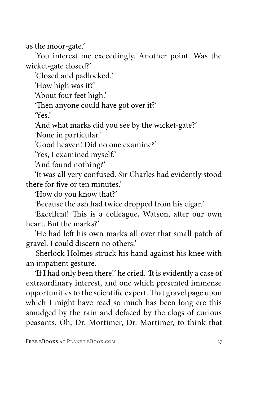as the moor-gate.'

'You interest me exceedingly. Another point. Was the wicket-gate closed?'

'Closed and padlocked.'

'How high was it?'

'About four feet high.'

'Then anyone could have got over it?'

'Yes.'

'And what marks did you see by the wicket-gate?'

'None in particular.'

'Good heaven! Did no one examine?'

'Yes, I examined myself.'

'And found nothing?'

'It was all very confused. Sir Charles had evidently stood there for five or ten minutes.'

'How do you know that?'

'Because the ash had twice dropped from his cigar.'

'Excellent! This is a colleague, Watson, after our own heart. But the marks?'

'He had left his own marks all over that small patch of gravel. I could discern no others.'

Sherlock Holmes struck his hand against his knee with an impatient gesture.

'If I had only been there!' he cried. 'It is evidently a case of extraordinary interest, and one which presented immense opportunities to the scientific expert. That gravel page upon which I might have read so much has been long ere this smudged by the rain and defaced by the clogs of curious peasants. Oh, Dr. Mortimer, Dr. Mortimer, to think that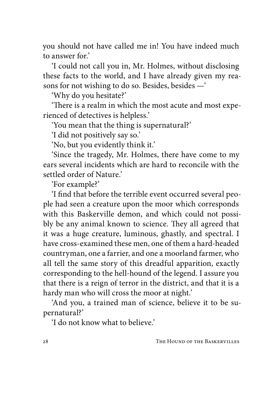you should not have called me in! You have indeed much to answer for.'

'I could not call you in, Mr. Holmes, without disclosing these facts to the world, and I have already given my reasons for not wishing to do so. Besides, besides —'

'Why do you hesitate?'

'There is a realm in which the most acute and most experienced of detectives is helpless.'

'You mean that the thing is supernatural?'

'I did not positively say so.'

'No, but you evidently think it.'

'Since the tragedy, Mr. Holmes, there have come to my ears several incidents which are hard to reconcile with the settled order of Nature<sup>'</sup>

'For example?'

'I find that before the terrible event occurred several people had seen a creature upon the moor which corresponds with this Baskerville demon, and which could not possibly be any animal known to science. They all agreed that it was a huge creature, luminous, ghastly, and spectral. I have cross-examined these men, one of them a hard-headed countryman, one a farrier, and one a moorland farmer, who all tell the same story of this dreadful apparition, exactly corresponding to the hell-hound of the legend. I assure you that there is a reign of terror in the district, and that it is a hardy man who will cross the moor at night.'

'And you, a trained man of science, believe it to be supernatural?'

'I do not know what to believe.'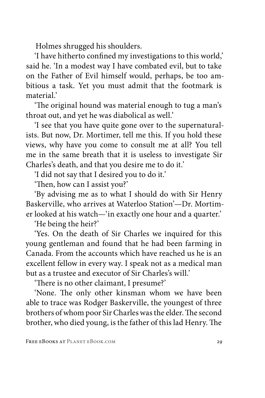Holmes shrugged his shoulders.

'I have hitherto confined my investigations to this world,' said he. 'In a modest way I have combated evil, but to take on the Father of Evil himself would, perhaps, be too ambitious a task. Yet you must admit that the footmark is material'

'The original hound was material enough to tug a man's throat out, and yet he was diabolical as well.'

'I see that you have quite gone over to the supernaturalists. But now, Dr. Mortimer, tell me this. If you hold these views, why have you come to consult me at all? You tell me in the same breath that it is useless to investigate Sir Charles's death, and that you desire me to do it.'

'I did not say that I desired you to do it.'

'Then, how can I assist you?'

'By advising me as to what I should do with Sir Henry Baskerville, who arrives at Waterloo Station'—Dr. Mortimer looked at his watch—'in exactly one hour and a quarter.'

'He being the heir?'

'Yes. On the death of Sir Charles we inquired for this young gentleman and found that he had been farming in Canada. From the accounts which have reached us he is an excellent fellow in every way. I speak not as a medical man but as a trustee and executor of Sir Charles's will.'

'There is no other claimant, I presume?'

'None. The only other kinsman whom we have been able to trace was Rodger Baskerville, the youngest of three brothers of whom poor Sir Charles was the elder. The second brother, who died young, is the father of this lad Henry. The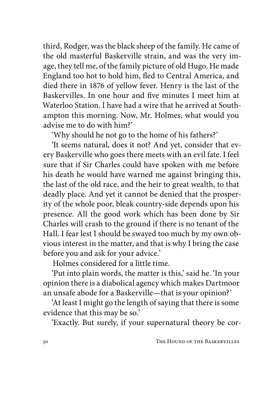third, Rodger, was the black sheep of the family. He came of the old masterful Baskerville strain, and was the very image, they tell me, of the family picture of old Hugo. He made England too hot to hold him, fled to Central America, and died there in 1876 of yellow fever. Henry is the last of the Baskervilles. In one hour and five minutes I meet him at Waterloo Station. I have had a wire that he arrived at Southampton this morning. Now, Mr. Holmes, what would you advise me to do with him?'

'Why should he not go to the home of his fathers?'

'It seems natural, does it not? And yet, consider that every Baskerville who goes there meets with an evil fate. I feel sure that if Sir Charles could have spoken with me before his death he would have warned me against bringing this, the last of the old race, and the heir to great wealth, to that deadly place. And yet it cannot be denied that the prosperity of the whole poor, bleak country-side depends upon his presence. All the good work which has been done by Sir Charles will crash to the ground if there is no tenant of the Hall. I fear lest I should be swayed too much by my own obvious interest in the matter, and that is why I bring the case before you and ask for your advice.'

Holmes considered for a little time.

'Put into plain words, the matter is this,' said he. 'In your opinion there is a diabolical agency which makes Dartmoor an unsafe abode for a Baskerville—that is your opinion?'

'At least I might go the length of saying that there is some evidence that this may be so.'

'Exactly. But surely, if your supernatural theory be cor-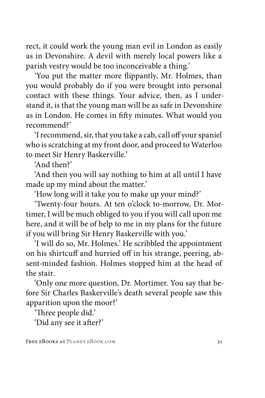rect, it could work the young man evil in London as easily as in Devonshire. A devil with merely local powers like a parish vestry would be too inconceivable a thing.'

'You put the matter more flippantly, Mr. Holmes, than you would probably do if you were brought into personal contact with these things. Your advice, then, as I understand it, is that the young man will be as safe in Devonshire as in London. He comes in fifty minutes. What would you recommend?'

'I recommend, sir, that you take a cab, call off your spaniel who is scratching at my front door, and proceed to Waterloo to meet Sir Henry Baskerville.'

'And then?'

'And then you will say nothing to him at all until I have made up my mind about the matter.'

'How long will it take you to make up your mind?'

'Twenty-four hours. At ten o'clock to-morrow, Dr. Mortimer, I will be much obliged to you if you will call upon me here, and it will be of help to me in my plans for the future if you will bring Sir Henry Baskerville with you.'

'I will do so, Mr. Holmes.' He scribbled the appointment on his shirtcuff and hurried off in his strange, peering, absent-minded fashion. Holmes stopped him at the head of the stair.

'Only one more question, Dr. Mortimer. You say that before Sir Charles Baskerville's death several people saw this apparition upon the moor?'

'Three people did.'

'Did any see it after?'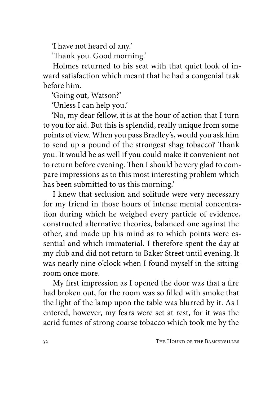'I have not heard of any.'

'Thank you. Good morning.'

Holmes returned to his seat with that quiet look of inward satisfaction which meant that he had a congenial task before him.

'Going out, Watson?'

'Unless I can help you.'

'No, my dear fellow, it is at the hour of action that I turn to you for aid. But this is splendid, really unique from some points of view. When you pass Bradley's, would you ask him to send up a pound of the strongest shag tobacco? Thank you. It would be as well if you could make it convenient not to return before evening. Then I should be very glad to compare impressions as to this most interesting problem which has been submitted to us this morning.'

I knew that seclusion and solitude were very necessary for my friend in those hours of intense mental concentration during which he weighed every particle of evidence, constructed alternative theories, balanced one against the other, and made up his mind as to which points were essential and which immaterial. I therefore spent the day at my club and did not return to Baker Street until evening. It was nearly nine o'clock when I found myself in the sittingroom once more.

My first impression as I opened the door was that a fire had broken out, for the room was so filled with smoke that the light of the lamp upon the table was blurred by it. As I entered, however, my fears were set at rest, for it was the acrid fumes of strong coarse tobacco which took me by the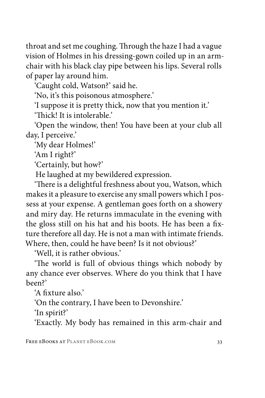throat and set me coughing. Through the haze I had a vague vision of Holmes in his dressing-gown coiled up in an armchair with his black clay pipe between his lips. Several rolls of paper lay around him.

'Caught cold, Watson?' said he.

'No, it's this poisonous atmosphere.'

'I suppose it is pretty thick, now that you mention it.'

'Thick! It is intolerable.'

'Open the window, then! You have been at your club all day, I perceive.'

'My dear Holmes!'

'Am I right?'

'Certainly, but how?'

He laughed at my bewildered expression.

'There is a delightful freshness about you, Watson, which makes it a pleasure to exercise any small powers which I possess at your expense. A gentleman goes forth on a showery and miry day. He returns immaculate in the evening with the gloss still on his hat and his boots. He has been a fixture therefore all day. He is not a man with intimate friends. Where, then, could he have been? Is it not obvious?'

'Well, it is rather obvious.'

'The world is full of obvious things which nobody by any chance ever observes. Where do you think that I have been?'

'A fixture also.'

'On the contrary, I have been to Devonshire.'

'In spirit?'

'Exactly. My body has remained in this arm-chair and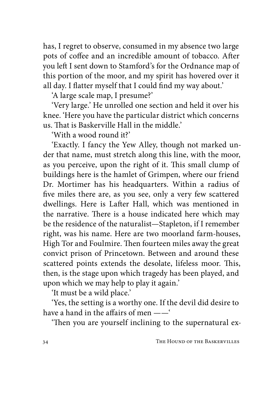has, I regret to observe, consumed in my absence two large pots of coffee and an incredible amount of tobacco. After you left I sent down to Stamford's for the Ordnance map of this portion of the moor, and my spirit has hovered over it all day. I flatter myself that I could find my way about.'

'A large scale map, I presume?'

'Very large.' He unrolled one section and held it over his knee. 'Here you have the particular district which concerns us. That is Baskerville Hall in the middle.'

'With a wood round it?'

'Exactly. I fancy the Yew Alley, though not marked under that name, must stretch along this line, with the moor, as you perceive, upon the right of it. This small clump of buildings here is the hamlet of Grimpen, where our friend Dr. Mortimer has his headquarters. Within a radius of five miles there are, as you see, only a very few scattered dwellings. Here is Lafter Hall, which was mentioned in the narrative. There is a house indicated here which may be the residence of the naturalist—Stapleton, if I remember right, was his name. Here are two moorland farm-houses, High Tor and Foulmire. Then fourteen miles away the great convict prison of Princetown. Between and around these scattered points extends the desolate, lifeless moor. This, then, is the stage upon which tragedy has been played, and upon which we may help to play it again.'

'It must be a wild place.'

'Yes, the setting is a worthy one. If the devil did desire to have a hand in the affairs of men ——'

'Then you are yourself inclining to the supernatural ex-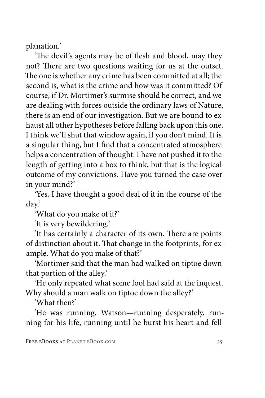planation.'

'The devil's agents may be of flesh and blood, may they not? There are two questions waiting for us at the outset. The one is whether any crime has been committed at all; the second is, what is the crime and how was it committed? Of course, if Dr. Mortimer's surmise should be correct, and we are dealing with forces outside the ordinary laws of Nature, there is an end of our investigation. But we are bound to exhaust all other hypotheses before falling back upon this one. I think we'll shut that window again, if you don't mind. It is a singular thing, but I find that a concentrated atmosphere helps a concentration of thought. I have not pushed it to the length of getting into a box to think, but that is the logical outcome of my convictions. Have you turned the case over in your mind?'

'Yes, I have thought a good deal of it in the course of the day.'

'What do you make of it?'

'It is very bewildering.'

'It has certainly a character of its own. There are points of distinction about it. That change in the footprints, for example. What do you make of that?'

'Mortimer said that the man had walked on tiptoe down that portion of the alley.'

'He only repeated what some fool had said at the inquest. Why should a man walk on tiptoe down the alley?'

'What then?'

'He was running, Watson—running desperately, running for his life, running until he burst his heart and fell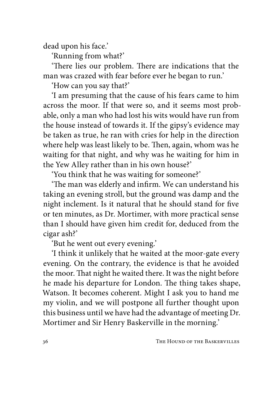dead upon his face.'

'Running from what?'

'There lies our problem. There are indications that the man was crazed with fear before ever he began to run.'

'How can you say that?'

'I am presuming that the cause of his fears came to him across the moor. If that were so, and it seems most probable, only a man who had lost his wits would have run from the house instead of towards it. If the gipsy's evidence may be taken as true, he ran with cries for help in the direction where help was least likely to be. Then, again, whom was he waiting for that night, and why was he waiting for him in the Yew Alley rather than in his own house?'

'You think that he was waiting for someone?'

'The man was elderly and infirm. We can understand his taking an evening stroll, but the ground was damp and the night inclement. Is it natural that he should stand for five or ten minutes, as Dr. Mortimer, with more practical sense than I should have given him credit for, deduced from the cigar ash?'

'But he went out every evening.'

'I think it unlikely that he waited at the moor-gate every evening. On the contrary, the evidence is that he avoided the moor. That night he waited there. It was the night before he made his departure for London. The thing takes shape, Watson. It becomes coherent. Might I ask you to hand me my violin, and we will postpone all further thought upon this business until we have had the advantage of meeting Dr. Mortimer and Sir Henry Baskerville in the morning.'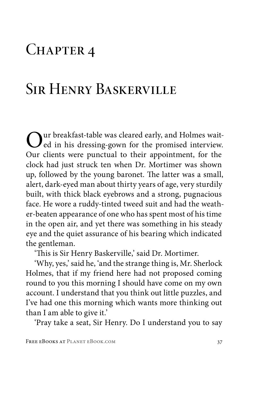#### CHAPTER 4

# Sir Henry Baskerville

Our breakfast-table was cleared early, and Holmes wait-<br>
course din his dressing-gown for the promised interview. Our clients were punctual to their appointment, for the clock had just struck ten when Dr. Mortimer was shown up, followed by the young baronet. The latter was a small, alert, dark-eyed man about thirty years of age, very sturdily built, with thick black eyebrows and a strong, pugnacious face. He wore a ruddy-tinted tweed suit and had the weather-beaten appearance of one who has spent most of his time in the open air, and yet there was something in his steady eye and the quiet assurance of his bearing which indicated the gentleman.

'This is Sir Henry Baskerville,' said Dr. Mortimer.

'Why, yes,' said he, 'and the strange thing is, Mr. Sherlock Holmes, that if my friend here had not proposed coming round to you this morning I should have come on my own account. I understand that you think out little puzzles, and I've had one this morning which wants more thinking out than I am able to give it.'

'Pray take a seat, Sir Henry. Do I understand you to say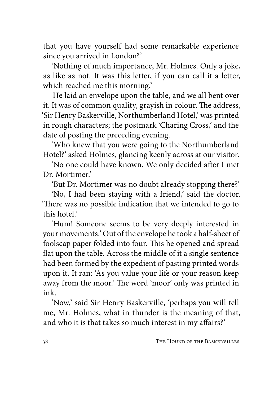that you have yourself had some remarkable experience since you arrived in London?'

'Nothing of much importance, Mr. Holmes. Only a joke, as like as not. It was this letter, if you can call it a letter, which reached me this morning.'

He laid an envelope upon the table, and we all bent over it. It was of common quality, grayish in colour. The address, 'Sir Henry Baskerville, Northumberland Hotel,' was printed in rough characters; the postmark 'Charing Cross,' and the date of posting the preceding evening.

'Who knew that you were going to the Northumberland Hotel?' asked Holmes, glancing keenly across at our visitor.

'No one could have known. We only decided after I met Dr. Mortimer<sup>'</sup>

'But Dr. Mortimer was no doubt already stopping there?'

'No, I had been staying with a friend,' said the doctor. 'There was no possible indication that we intended to go to this hotel.'

'Hum! Someone seems to be very deeply interested in your movements.' Out of the envelope he took a half-sheet of foolscap paper folded into four. This he opened and spread flat upon the table. Across the middle of it a single sentence had been formed by the expedient of pasting printed words upon it. It ran: 'As you value your life or your reason keep away from the moor.' The word 'moor' only was printed in ink.

'Now,' said Sir Henry Baskerville, 'perhaps you will tell me, Mr. Holmes, what in thunder is the meaning of that, and who it is that takes so much interest in my affairs?'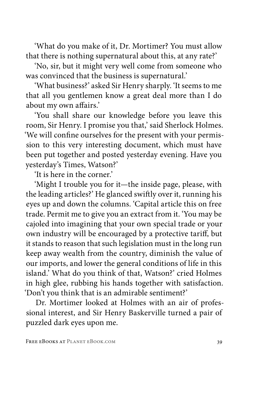'What do you make of it, Dr. Mortimer? You must allow that there is nothing supernatural about this, at any rate?'

'No, sir, but it might very well come from someone who was convinced that the business is supernatural.'

'What business?' asked Sir Henry sharply. 'It seems to me that all you gentlemen know a great deal more than I do about my own affairs.'

'You shall share our knowledge before you leave this room, Sir Henry. I promise you that,' said Sherlock Holmes. 'We will confine ourselves for the present with your permission to this very interesting document, which must have been put together and posted yesterday evening. Have you yesterday's Times, Watson?'

'It is here in the corner.'

'Might I trouble you for it—the inside page, please, with the leading articles?' He glanced swiftly over it, running his eyes up and down the columns. 'Capital article this on free trade. Permit me to give you an extract from it. 'You may be cajoled into imagining that your own special trade or your own industry will be encouraged by a protective tariff, but it stands to reason that such legislation must in the long run keep away wealth from the country, diminish the value of our imports, and lower the general conditions of life in this island.' What do you think of that, Watson?' cried Holmes in high glee, rubbing his hands together with satisfaction. 'Don't you think that is an admirable sentiment?'

Dr. Mortimer looked at Holmes with an air of professional interest, and Sir Henry Baskerville turned a pair of puzzled dark eyes upon me.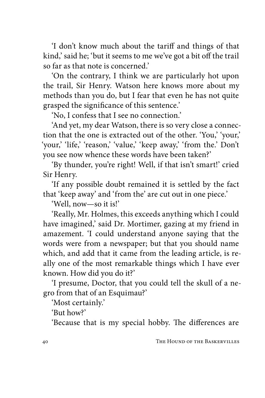'I don't know much about the tariff and things of that kind,' said he; 'but it seems to me we've got a bit off the trail so far as that note is concerned.'

'On the contrary, I think we are particularly hot upon the trail, Sir Henry. Watson here knows more about my methods than you do, but I fear that even he has not quite grasped the significance of this sentence.'

'No, I confess that I see no connection.'

'And yet, my dear Watson, there is so very close a connection that the one is extracted out of the other. 'You,' 'your,' 'your,' 'life,' 'reason,' 'value,' 'keep away,' 'from the.' Don't you see now whence these words have been taken?'

'By thunder, you're right! Well, if that isn't smart!' cried Sir Henry.

'If any possible doubt remained it is settled by the fact that 'keep away' and 'from the' are cut out in one piece.'

'Well, now—so it is!'

'Really, Mr. Holmes, this exceeds anything which I could have imagined,' said Dr. Mortimer, gazing at my friend in amazement. 'I could understand anyone saying that the words were from a newspaper; but that you should name which, and add that it came from the leading article, is really one of the most remarkable things which I have ever known. How did you do it?'

'I presume, Doctor, that you could tell the skull of a negro from that of an Esquimau?'

'Most certainly.'

'But how?'

'Because that is my special hobby. The differences are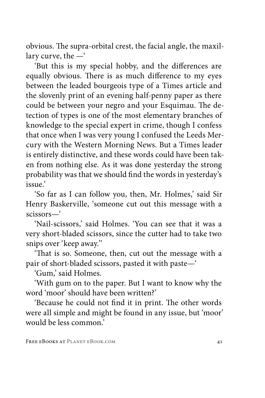obvious. The supra-orbital crest, the facial angle, the maxillary curve, the —'

'But this is my special hobby, and the differences are equally obvious. There is as much difference to my eyes between the leaded bourgeois type of a Times article and the slovenly print of an evening half-penny paper as there could be between your negro and your Esquimau. The detection of types is one of the most elementary branches of knowledge to the special expert in crime, though I confess that once when I was very young I confused the Leeds Mercury with the Western Morning News. But a Times leader is entirely distinctive, and these words could have been taken from nothing else. As it was done yesterday the strong probability was that we should find the words in yesterday's issue.'

'So far as I can follow you, then, Mr. Holmes,' said Sir Henry Baskerville, 'someone cut out this message with a scissors—'

'Nail-scissors,' said Holmes. 'You can see that it was a very short-bladed scissors, since the cutter had to take two snips over 'keep away.''

'That is so. Someone, then, cut out the message with a pair of short-bladed scissors, pasted it with paste—'

'Gum,' said Holmes.

'With gum on to the paper. But I want to know why the word 'moor' should have been written?'

'Because he could not find it in print. The other words were all simple and might be found in any issue, but 'moor' would be less common.'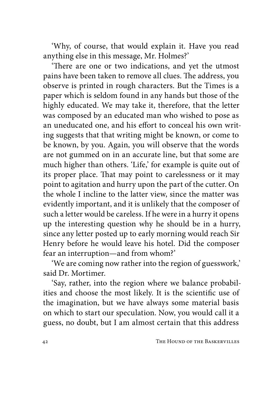'Why, of course, that would explain it. Have you read anything else in this message, Mr. Holmes?'

'There are one or two indications, and yet the utmost pains have been taken to remove all clues. The address, you observe is printed in rough characters. But the Times is a paper which is seldom found in any hands but those of the highly educated. We may take it, therefore, that the letter was composed by an educated man who wished to pose as an uneducated one, and his effort to conceal his own writing suggests that that writing might be known, or come to be known, by you. Again, you will observe that the words are not gummed on in an accurate line, but that some are much higher than others. 'Life,' for example is quite out of its proper place. That may point to carelessness or it may point to agitation and hurry upon the part of the cutter. On the whole I incline to the latter view, since the matter was evidently important, and it is unlikely that the composer of such a letter would be careless. If he were in a hurry it opens up the interesting question why he should be in a hurry, since any letter posted up to early morning would reach Sir Henry before he would leave his hotel. Did the composer fear an interruption—and from whom?'

'We are coming now rather into the region of guesswork,' said Dr. Mortimer.

'Say, rather, into the region where we balance probabilities and choose the most likely. It is the scientific use of the imagination, but we have always some material basis on which to start our speculation. Now, you would call it a guess, no doubt, but I am almost certain that this address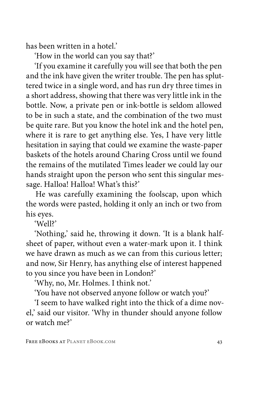has been written in a hotel'

'How in the world can you say that?'

'If you examine it carefully you will see that both the pen and the ink have given the writer trouble. The pen has spluttered twice in a single word, and has run dry three times in a short address, showing that there was very little ink in the bottle. Now, a private pen or ink-bottle is seldom allowed to be in such a state, and the combination of the two must be quite rare. But you know the hotel ink and the hotel pen, where it is rare to get anything else. Yes, I have very little hesitation in saying that could we examine the waste-paper baskets of the hotels around Charing Cross until we found the remains of the mutilated Times leader we could lay our hands straight upon the person who sent this singular message. Halloa! Halloa! What's this?'

He was carefully examining the foolscap, upon which the words were pasted, holding it only an inch or two from his eyes.

'Well?'

'Nothing,' said he, throwing it down. 'It is a blank halfsheet of paper, without even a water-mark upon it. I think we have drawn as much as we can from this curious letter; and now, Sir Henry, has anything else of interest happened to you since you have been in London?'

'Why, no, Mr. Holmes. I think not.'

'You have not observed anyone follow or watch you?'

'I seem to have walked right into the thick of a dime novel,' said our visitor. 'Why in thunder should anyone follow or watch me?'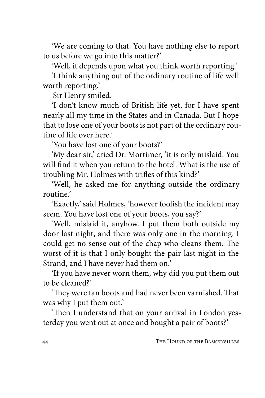'We are coming to that. You have nothing else to report to us before we go into this matter?'

'Well, it depends upon what you think worth reporting.'

'I think anything out of the ordinary routine of life well worth reporting.'

Sir Henry smiled.

'I don't know much of British life yet, for I have spent nearly all my time in the States and in Canada. But I hope that to lose one of your boots is not part of the ordinary routine of life over here.'

'You have lost one of your boots?'

'My dear sir,' cried Dr. Mortimer, 'it is only mislaid. You will find it when you return to the hotel. What is the use of troubling Mr. Holmes with trifles of this kind?'

'Well, he asked me for anything outside the ordinary routine.'

'Exactly,' said Holmes, 'however foolish the incident may seem. You have lost one of your boots, you say?'

'Well, mislaid it, anyhow. I put them both outside my door last night, and there was only one in the morning. I could get no sense out of the chap who cleans them. The worst of it is that I only bought the pair last night in the Strand, and I have never had them on.'

'If you have never worn them, why did you put them out to be cleaned?'

'They were tan boots and had never been varnished. That was why I put them out.'

'Then I understand that on your arrival in London yesterday you went out at once and bought a pair of boots?'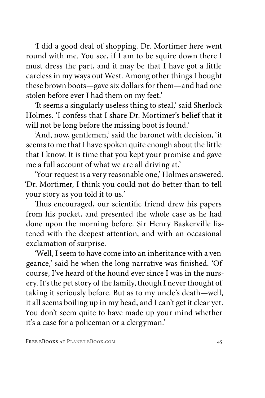'I did a good deal of shopping. Dr. Mortimer here went round with me. You see, if I am to be squire down there I must dress the part, and it may be that I have got a little careless in my ways out West. Among other things I bought these brown boots—gave six dollars for them—and had one stolen before ever I had them on my feet.'

'It seems a singularly useless thing to steal,' said Sherlock Holmes. 'I confess that I share Dr. Mortimer's belief that it will not be long before the missing boot is found.'

'And, now, gentlemen,' said the baronet with decision, 'it seems to me that I have spoken quite enough about the little that I know. It is time that you kept your promise and gave me a full account of what we are all driving at.'

'Your request is a very reasonable one,' Holmes answered. 'Dr. Mortimer, I think you could not do better than to tell your story as you told it to us.'

Thus encouraged, our scientific friend drew his papers from his pocket, and presented the whole case as he had done upon the morning before. Sir Henry Baskerville listened with the deepest attention, and with an occasional exclamation of surprise.

'Well, I seem to have come into an inheritance with a vengeance,' said he when the long narrative was finished. 'Of course, I've heard of the hound ever since I was in the nursery. It's the pet story of the family, though I never thought of taking it seriously before. But as to my uncle's death—well, it all seems boiling up in my head, and I can't get it clear yet. You don't seem quite to have made up your mind whether it's a case for a policeman or a clergyman.'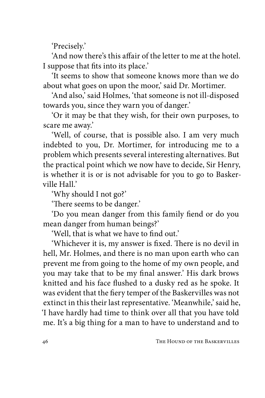'Precisely.'

'And now there's this affair of the letter to me at the hotel. I suppose that fits into its place.'

'It seems to show that someone knows more than we do about what goes on upon the moor,' said Dr. Mortimer.

'And also,' said Holmes, 'that someone is not ill-disposed towards you, since they warn you of danger.'

'Or it may be that they wish, for their own purposes, to scare me away.'

'Well, of course, that is possible also. I am very much indebted to you, Dr. Mortimer, for introducing me to a problem which presents several interesting alternatives. But the practical point which we now have to decide, Sir Henry, is whether it is or is not advisable for you to go to Baskerville Hall<sup>'</sup>

'Why should I not go?'

'There seems to be danger.'

'Do you mean danger from this family fiend or do you mean danger from human beings?'

'Well, that is what we have to find out.'

'Whichever it is, my answer is fixed. There is no devil in hell, Mr. Holmes, and there is no man upon earth who can prevent me from going to the home of my own people, and you may take that to be my final answer.' His dark brows knitted and his face flushed to a dusky red as he spoke. It was evident that the fiery temper of the Baskervilles was not extinct in this their last representative. 'Meanwhile,' said he, 'I have hardly had time to think over all that you have told me. It's a big thing for a man to have to understand and to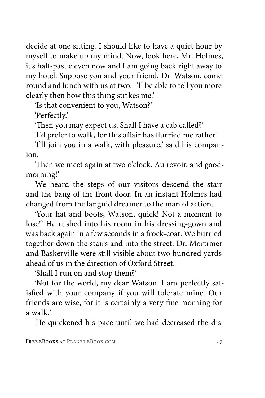decide at one sitting. I should like to have a quiet hour by myself to make up my mind. Now, look here, Mr. Holmes, it's half-past eleven now and I am going back right away to my hotel. Suppose you and your friend, Dr. Watson, come round and lunch with us at two. I'll be able to tell you more clearly then how this thing strikes me.'

'Is that convenient to you, Watson?'

'Perfectly.'

'Then you may expect us. Shall I have a cab called?'

'I'd prefer to walk, for this affair has flurried me rather.'

'I'll join you in a walk, with pleasure,' said his companion.

'Then we meet again at two o'clock. Au revoir, and goodmorning!'

We heard the steps of our visitors descend the stair and the bang of the front door. In an instant Holmes had changed from the languid dreamer to the man of action.

'Your hat and boots, Watson, quick! Not a moment to lose!' He rushed into his room in his dressing-gown and was back again in a few seconds in a frock-coat. We hurried together down the stairs and into the street. Dr. Mortimer and Baskerville were still visible about two hundred yards ahead of us in the direction of Oxford Street.

'Shall I run on and stop them?'

'Not for the world, my dear Watson. I am perfectly satisfied with your company if you will tolerate mine. Our friends are wise, for it is certainly a very fine morning for a walk.'

He quickened his pace until we had decreased the dis-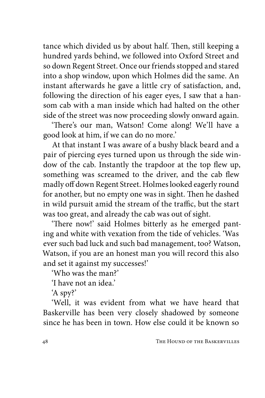tance which divided us by about half. Then, still keeping a hundred yards behind, we followed into Oxford Street and so down Regent Street. Once our friends stopped and stared into a shop window, upon which Holmes did the same. An instant afterwards he gave a little cry of satisfaction, and, following the direction of his eager eyes, I saw that a hansom cab with a man inside which had halted on the other side of the street was now proceeding slowly onward again.

'There's our man, Watson! Come along! We'll have a good look at him, if we can do no more.'

At that instant I was aware of a bushy black beard and a pair of piercing eyes turned upon us through the side window of the cab. Instantly the trapdoor at the top flew up, something was screamed to the driver, and the cab flew madly off down Regent Street. Holmes looked eagerly round for another, but no empty one was in sight. Then he dashed in wild pursuit amid the stream of the traffic, but the start was too great, and already the cab was out of sight.

'There now!' said Holmes bitterly as he emerged panting and white with vexation from the tide of vehicles. 'Was ever such bad luck and such bad management, too? Watson, Watson, if you are an honest man you will record this also and set it against my successes!'

'Who was the man?'

'I have not an idea.'

'A spy?'

'Well, it was evident from what we have heard that Baskerville has been very closely shadowed by someone since he has been in town. How else could it be known so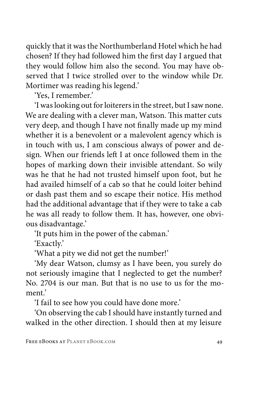quickly that it was the Northumberland Hotel which he had chosen? If they had followed him the first day I argued that they would follow him also the second. You may have observed that I twice strolled over to the window while Dr. Mortimer was reading his legend.'

'Yes. I remember'

'I was looking out for loiterers in the street, but I saw none. We are dealing with a clever man, Watson. This matter cuts very deep, and though I have not finally made up my mind whether it is a benevolent or a malevolent agency which is in touch with us, I am conscious always of power and design. When our friends left I at once followed them in the hopes of marking down their invisible attendant. So wily was he that he had not trusted himself upon foot, but he had availed himself of a cab so that he could loiter behind or dash past them and so escape their notice. His method had the additional advantage that if they were to take a cab he was all ready to follow them. It has, however, one obvious disadvantage.'

'It puts him in the power of the cabman.'

'Exactly.'

'What a pity we did not get the number!'

'My dear Watson, clumsy as I have been, you surely do not seriously imagine that I neglected to get the number? No. 2704 is our man. But that is no use to us for the moment.'

'I fail to see how you could have done more.'

'On observing the cab I should have instantly turned and walked in the other direction. I should then at my leisure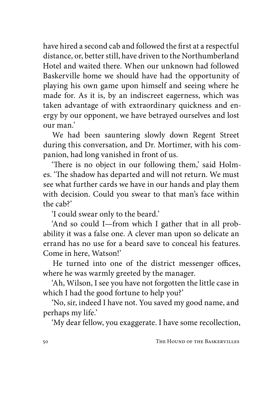have hired a second cab and followed the first at a respectful distance, or, better still, have driven to the Northumberland Hotel and waited there. When our unknown had followed Baskerville home we should have had the opportunity of playing his own game upon himself and seeing where he made for. As it is, by an indiscreet eagerness, which was taken advantage of with extraordinary quickness and energy by our opponent, we have betrayed ourselves and lost our man.'

We had been sauntering slowly down Regent Street during this conversation, and Dr. Mortimer, with his companion, had long vanished in front of us.

'There is no object in our following them,' said Holmes. 'The shadow has departed and will not return. We must see what further cards we have in our hands and play them with decision. Could you swear to that man's face within the cab?'

'I could swear only to the beard.'

'And so could I—from which I gather that in all probability it was a false one. A clever man upon so delicate an errand has no use for a beard save to conceal his features. Come in here, Watson!'

He turned into one of the district messenger offices, where he was warmly greeted by the manager.

'Ah, Wilson, I see you have not forgotten the little case in which I had the good fortune to help you?'

'No, sir, indeed I have not. You saved my good name, and perhaps my life.'

'My dear fellow, you exaggerate. I have some recollection,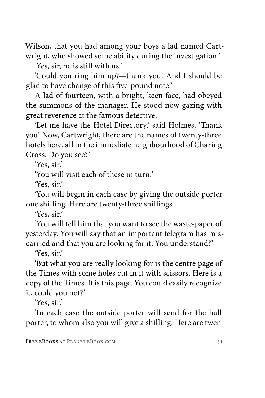Wilson, that you had among your boys a lad named Cartwright, who showed some ability during the investigation.'

'Yes, sir, he is still with us.'

'Could you ring him up?—thank you! And I should be glad to have change of this five-pound note.'

A lad of fourteen, with a bright, keen face, had obeyed the summons of the manager. He stood now gazing with great reverence at the famous detective.

'Let me have the Hotel Directory,' said Holmes. 'Thank you! Now, Cartwright, there are the names of twenty-three hotels here, all in the immediate neighbourhood of Charing Cross. Do you see?'

'Yes, sir.'

'You will visit each of these in turn.'

'Yes, sir.'

'You will begin in each case by giving the outside porter one shilling. Here are twenty-three shillings.'

'Yes, sir.'

'You will tell him that you want to see the waste-paper of yesterday. You will say that an important telegram has miscarried and that you are looking for it. You understand?'

'Yes, sir.'

'But what you are really looking for is the centre page of the Times with some holes cut in it with scissors. Here is a copy of the Times. It is this page. You could easily recognize it, could you not?'

'Yes, sir.'

'In each case the outside porter will send for the hall porter, to whom also you will give a shilling. Here are twen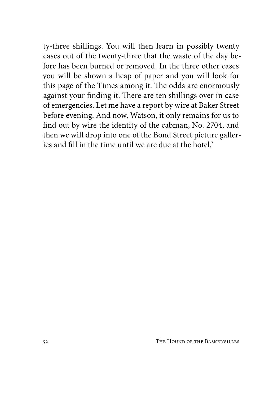ty-three shillings. You will then learn in possibly twenty cases out of the twenty-three that the waste of the day before has been burned or removed. In the three other cases you will be shown a heap of paper and you will look for this page of the Times among it. The odds are enormously against your finding it. There are ten shillings over in case of emergencies. Let me have a report by wire at Baker Street before evening. And now, Watson, it only remains for us to find out by wire the identity of the cabman, No. 2704, and then we will drop into one of the Bond Street picture galleries and fill in the time until we are due at the hotel.'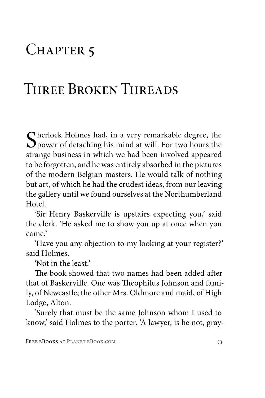# CHAPTER<sub>5</sub>

# Three Broken Threads

Sherlock Holmes had, in a very remarkable degree, the power of detaching his mind at will. For two hours the strange hydroge in which we had been involved among strange business in which we had been involved appeared to be forgotten, and he was entirely absorbed in the pictures of the modern Belgian masters. He would talk of nothing but art, of which he had the crudest ideas, from our leaving the gallery until we found ourselves at the Northumberland Hotel.

'Sir Henry Baskerville is upstairs expecting you,' said the clerk. 'He asked me to show you up at once when you came.'

'Have you any objection to my looking at your register?' said Holmes.

'Not in the least.'

The book showed that two names had been added after that of Baskerville. One was Theophilus Johnson and family, of Newcastle; the other Mrs. Oldmore and maid, of High Lodge, Alton.

'Surely that must be the same Johnson whom I used to know,' said Holmes to the porter. 'A lawyer, is he not, gray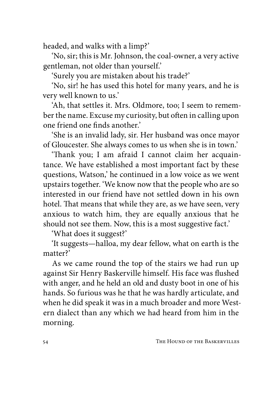headed, and walks with a limp?'

'No, sir; this is Mr. Johnson, the coal-owner, a very active gentleman, not older than yourself.'

'Surely you are mistaken about his trade?'

'No, sir! he has used this hotel for many years, and he is very well known to us.'

'Ah, that settles it. Mrs. Oldmore, too; I seem to remember the name. Excuse my curiosity, but often in calling upon one friend one finds another.'

'She is an invalid lady, sir. Her husband was once mayor of Gloucester. She always comes to us when she is in town.'

'Thank you; I am afraid I cannot claim her acquaintance. We have established a most important fact by these questions, Watson,' he continued in a low voice as we went upstairs together. 'We know now that the people who are so interested in our friend have not settled down in his own hotel. That means that while they are, as we have seen, very anxious to watch him, they are equally anxious that he should not see them. Now, this is a most suggestive fact.'

'What does it suggest?'

'It suggests—halloa, my dear fellow, what on earth is the matter?'

As we came round the top of the stairs we had run up against Sir Henry Baskerville himself. His face was flushed with anger, and he held an old and dusty boot in one of his hands. So furious was he that he was hardly articulate, and when he did speak it was in a much broader and more Western dialect than any which we had heard from him in the morning.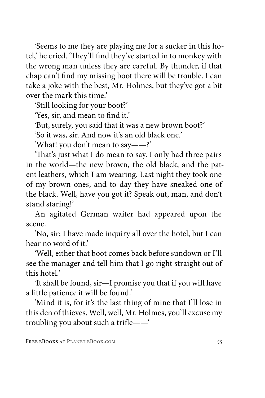'Seems to me they are playing me for a sucker in this hotel,' he cried. 'They'll find they've started in to monkey with the wrong man unless they are careful. By thunder, if that chap can't find my missing boot there will be trouble. I can take a joke with the best, Mr. Holmes, but they've got a bit over the mark this time.'

'Still looking for your boot?'

'Yes, sir, and mean to find it.'

'But, surely, you said that it was a new brown boot?'

'So it was, sir. And now it's an old black one.'

'What! you don't mean to say——?'

'That's just what I do mean to say. I only had three pairs in the world—the new brown, the old black, and the patent leathers, which I am wearing. Last night they took one of my brown ones, and to-day they have sneaked one of the black. Well, have you got it? Speak out, man, and don't stand staring!'

An agitated German waiter had appeared upon the scene.

'No, sir; I have made inquiry all over the hotel, but I can hear no word of it.'

'Well, either that boot comes back before sundown or I'll see the manager and tell him that I go right straight out of this hotel.'

'It shall be found, sir—I promise you that if you will have a little patience it will be found.'

'Mind it is, for it's the last thing of mine that I'll lose in this den of thieves. Well, well, Mr. Holmes, you'll excuse my troubling you about such a trifle——'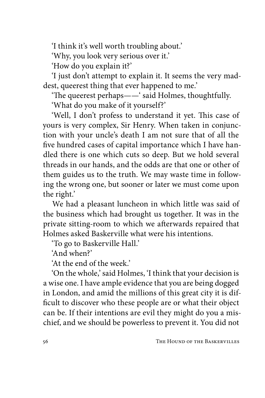'I think it's well worth troubling about.'

'Why, you look very serious over it.'

'How do you explain it?'

'I just don't attempt to explain it. It seems the very maddest, queerest thing that ever happened to me.'

'The queerest perhaps——' said Holmes, thoughtfully.

'What do you make of it yourself?'

'Well, I don't profess to understand it yet. This case of yours is very complex, Sir Henry. When taken in conjunction with your uncle's death I am not sure that of all the five hundred cases of capital importance which I have handled there is one which cuts so deep. But we hold several threads in our hands, and the odds are that one or other of them guides us to the truth. We may waste time in following the wrong one, but sooner or later we must come upon the right.'

We had a pleasant luncheon in which little was said of the business which had brought us together. It was in the private sitting-room to which we afterwards repaired that Holmes asked Baskerville what were his intentions.

'To go to Baskerville Hall.'

'And when?'

'At the end of the week.'

'On the whole,' said Holmes, 'I think that your decision is a wise one. I have ample evidence that you are being dogged in London, and amid the millions of this great city it is difficult to discover who these people are or what their object can be. If their intentions are evil they might do you a mischief, and we should be powerless to prevent it. You did not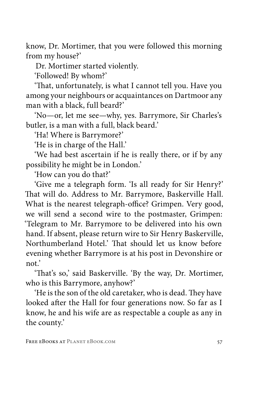know, Dr. Mortimer, that you were followed this morning from my house?'

Dr. Mortimer started violently.

'Followed! By whom?'

'That, unfortunately, is what I cannot tell you. Have you among your neighbours or acquaintances on Dartmoor any man with a black, full beard?'

'No—or, let me see—why, yes. Barrymore, Sir Charles's butler, is a man with a full, black beard.'

'Ha! Where is Barrymore?'

'He is in charge of the Hall.'

'We had best ascertain if he is really there, or if by any possibility he might be in London.'

'How can you do that?'

'Give me a telegraph form. 'Is all ready for Sir Henry?' That will do. Address to Mr. Barrymore, Baskerville Hall. What is the nearest telegraph-office? Grimpen. Very good, we will send a second wire to the postmaster, Grimpen: 'Telegram to Mr. Barrymore to be delivered into his own hand. If absent, please return wire to Sir Henry Baskerville, Northumberland Hotel.' That should let us know before evening whether Barrymore is at his post in Devonshire or not.'

'That's so,' said Baskerville. 'By the way, Dr. Mortimer, who is this Barrymore, anyhow?'

'He is the son of the old caretaker, who is dead. They have looked after the Hall for four generations now. So far as I know, he and his wife are as respectable a couple as any in the county.'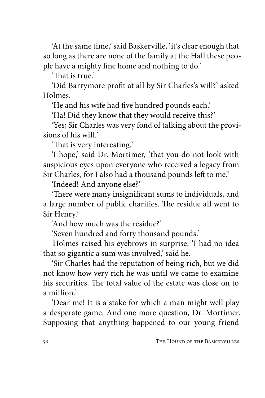'At the same time,' said Baskerville, 'it's clear enough that so long as there are none of the family at the Hall these people have a mighty fine home and nothing to do.'

'That is true.'

'Did Barrymore profit at all by Sir Charles's will?' asked Holmes.

'He and his wife had five hundred pounds each.'

'Ha! Did they know that they would receive this?'

'Yes; Sir Charles was very fond of talking about the provisions of his will.

'That is very interesting.'

'I hope,' said Dr. Mortimer, 'that you do not look with suspicious eyes upon everyone who received a legacy from Sir Charles, for I also had a thousand pounds left to me.'

'Indeed! And anyone else?'

'There were many insignificant sums to individuals, and a large number of public charities. The residue all went to Sir Henry.'

'And how much was the residue?'

'Seven hundred and forty thousand pounds.'

Holmes raised his eyebrows in surprise. 'I had no idea that so gigantic a sum was involved,' said he.

'Sir Charles had the reputation of being rich, but we did not know how very rich he was until we came to examine his securities. The total value of the estate was close on to a million.'

'Dear me! It is a stake for which a man might well play a desperate game. And one more question, Dr. Mortimer. Supposing that anything happened to our young friend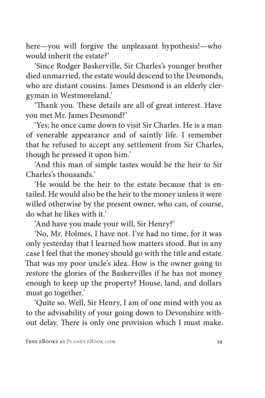here—you will forgive the unpleasant hypothesis!—who would inherit the estate?'

'Since Rodger Baskerville, Sir Charles's younger brother died unmarried, the estate would descend to the Desmonds, who are distant cousins. James Desmond is an elderly clergyman in Westmoreland.'

'Thank you. These details are all of great interest. Have you met Mr. James Desmond?'

'Yes; he once came down to visit Sir Charles. He is a man of venerable appearance and of saintly life. I remember that he refused to accept any settlement from Sir Charles, though he pressed it upon him.'

'And this man of simple tastes would be the heir to Sir Charles's thousands.'

'He would be the heir to the estate because that is entailed. He would also be the heir to the money unless it were willed otherwise by the present owner, who can, of course, do what he likes with it.'

'And have you made your will, Sir Henry?'

'No, Mr. Holmes, I have not. I've had no time, for it was only yesterday that I learned how matters stood. But in any case I feel that the money should go with the title and estate. That was my poor uncle's idea. How is the owner going to restore the glories of the Baskervilles if he has not money enough to keep up the property? House, land, and dollars must go together.'

'Quite so. Well, Sir Henry, I am of one mind with you as to the advisability of your going down to Devonshire without delay. There is only one provision which I must make.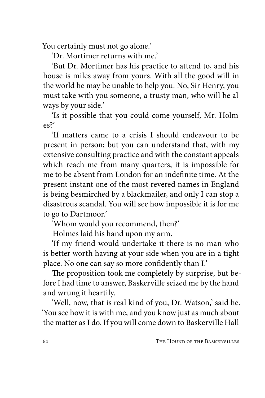You certainly must not go alone.'

'Dr. Mortimer returns with me.'

'But Dr. Mortimer has his practice to attend to, and his house is miles away from yours. With all the good will in the world he may be unable to help you. No, Sir Henry, you must take with you someone, a trusty man, who will be always by your side.'

'Is it possible that you could come yourself, Mr. Holmes?'

'If matters came to a crisis I should endeavour to be present in person; but you can understand that, with my extensive consulting practice and with the constant appeals which reach me from many quarters, it is impossible for me to be absent from London for an indefinite time. At the present instant one of the most revered names in England is being besmirched by a blackmailer, and only I can stop a disastrous scandal. You will see how impossible it is for me to go to Dartmoor.'

'Whom would you recommend, then?'

Holmes laid his hand upon my arm.

'If my friend would undertake it there is no man who is better worth having at your side when you are in a tight place. No one can say so more confidently than I.'

The proposition took me completely by surprise, but before I had time to answer, Baskerville seized me by the hand and wrung it heartily.

'Well, now, that is real kind of you, Dr. Watson,' said he. 'You see how it is with me, and you know just as much about the matter as I do. If you will come down to Baskerville Hall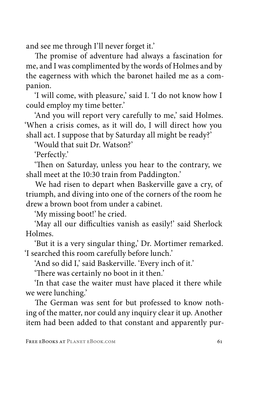and see me through I'll never forget it.'

The promise of adventure had always a fascination for me, and I was complimented by the words of Holmes and by the eagerness with which the baronet hailed me as a companion.

'I will come, with pleasure,' said I. 'I do not know how I could employ my time better.'

'And you will report very carefully to me,' said Holmes. 'When a crisis comes, as it will do, I will direct how you shall act. I suppose that by Saturday all might be ready?'

'Would that suit Dr. Watson?'

'Perfectly.'

'Then on Saturday, unless you hear to the contrary, we shall meet at the 10:30 train from Paddington.'

We had risen to depart when Baskerville gave a cry, of triumph, and diving into one of the corners of the room he drew a brown boot from under a cabinet.

'My missing boot!' he cried.

'May all our difficulties vanish as easily!' said Sherlock Holmes.

'But it is a very singular thing,' Dr. Mortimer remarked. 'I searched this room carefully before lunch.'

'And so did I,' said Baskerville. 'Every inch of it.'

'There was certainly no boot in it then.'

'In that case the waiter must have placed it there while we were lunching.'

The German was sent for but professed to know nothing of the matter, nor could any inquiry clear it up. Another item had been added to that constant and apparently pur-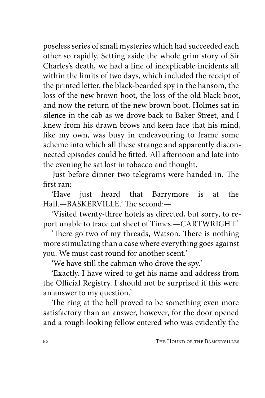poseless series of small mysteries which had succeeded each other so rapidly. Setting aside the whole grim story of Sir Charles's death, we had a line of inexplicable incidents all within the limits of two days, which included the receipt of the printed letter, the black-bearded spy in the hansom, the loss of the new brown boot, the loss of the old black boot, and now the return of the new brown boot. Holmes sat in silence in the cab as we drove back to Baker Street, and I knew from his drawn brows and keen face that his mind, like my own, was busy in endeavouring to frame some scheme into which all these strange and apparently disconnected episodes could be fitted. All afternoon and late into the evening he sat lost in tobacco and thought.

Just before dinner two telegrams were handed in. The first ran:—

'Have just heard that Barrymore is at the Hall.—BASKERVILLE.' The second:—

'Visited twenty-three hotels as directed, but sorry, to report unable to trace cut sheet of Times.—CARTWRIGHT.'

'There go two of my threads, Watson. There is nothing more stimulating than a case where everything goes against you. We must cast round for another scent.'

'We have still the cabman who drove the spy.'

'Exactly. I have wired to get his name and address from the Official Registry. I should not be surprised if this were an answer to my question.'

The ring at the bell proved to be something even more satisfactory than an answer, however, for the door opened and a rough-looking fellow entered who was evidently the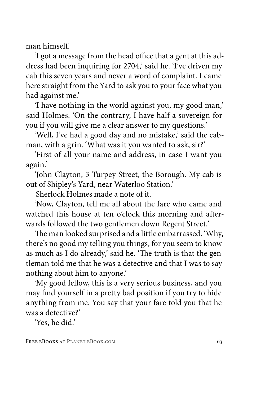man himself.

'I got a message from the head office that a gent at this address had been inquiring for 2704,' said he. 'I've driven my cab this seven years and never a word of complaint. I came here straight from the Yard to ask you to your face what you had against me.'

'I have nothing in the world against you, my good man,' said Holmes. 'On the contrary, I have half a sovereign for you if you will give me a clear answer to my questions.'

'Well, I've had a good day and no mistake,' said the cabman, with a grin. 'What was it you wanted to ask, sir?'

'First of all your name and address, in case I want you again.'

'John Clayton, 3 Turpey Street, the Borough. My cab is out of Shipley's Yard, near Waterloo Station.'

Sherlock Holmes made a note of it.

'Now, Clayton, tell me all about the fare who came and watched this house at ten o'clock this morning and afterwards followed the two gentlemen down Regent Street.'

The man looked surprised and a little embarrassed. 'Why, there's no good my telling you things, for you seem to know as much as I do already,' said he. 'The truth is that the gentleman told me that he was a detective and that I was to say nothing about him to anyone.'

'My good fellow, this is a very serious business, and you may find yourself in a pretty bad position if you try to hide anything from me. You say that your fare told you that he was a detective?'

'Yes, he did.'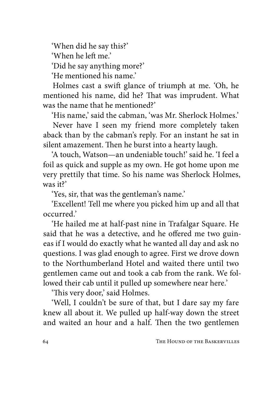'When did he say this?'

'When he left me.'

'Did he say anything more?'

'He mentioned his name.'

Holmes cast a swift glance of triumph at me. 'Oh, he mentioned his name, did he? That was imprudent. What was the name that he mentioned?'

'His name,' said the cabman, 'was Mr. Sherlock Holmes.'

Never have I seen my friend more completely taken aback than by the cabman's reply. For an instant he sat in silent amazement. Then he burst into a hearty laugh.

'A touch, Watson—an undeniable touch!' said he. 'I feel a foil as quick and supple as my own. He got home upon me very prettily that time. So his name was Sherlock Holmes, was it?'

'Yes, sir, that was the gentleman's name.'

'Excellent! Tell me where you picked him up and all that occurred.'

'He hailed me at half-past nine in Trafalgar Square. He said that he was a detective, and he offered me two guineas if I would do exactly what he wanted all day and ask no questions. I was glad enough to agree. First we drove down to the Northumberland Hotel and waited there until two gentlemen came out and took a cab from the rank. We followed their cab until it pulled up somewhere near here.'

'This very door,' said Holmes.

'Well, I couldn't be sure of that, but I dare say my fare knew all about it. We pulled up half-way down the street and waited an hour and a half. Then the two gentlemen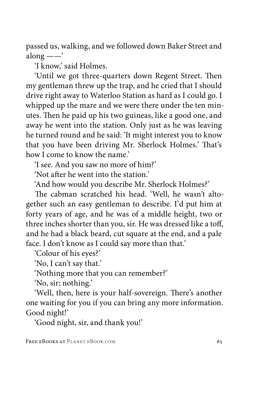passed us, walking, and we followed down Baker Street and along ——'

'I know,' said Holmes.

'Until we got three-quarters down Regent Street. Then my gentleman threw up the trap, and he cried that I should drive right away to Waterloo Station as hard as I could go. I whipped up the mare and we were there under the ten minutes. Then he paid up his two guineas, like a good one, and away he went into the station. Only just as he was leaving he turned round and he said: 'It might interest you to know that you have been driving Mr. Sherlock Holmes.' That's how I come to know the name.'

'I see. And you saw no more of him?'

'Not after he went into the station.'

'And how would you describe Mr. Sherlock Holmes?'

The cabman scratched his head. 'Well, he wasn't altogether such an easy gentleman to describe. I'd put him at forty years of age, and he was of a middle height, two or three inches shorter than you, sir. He was dressed like a toff, and he had a black beard, cut square at the end, and a pale face. I don't know as I could say more than that.'

'Colour of his eyes?'

'No, I can't say that.'

'Nothing more that you can remember?'

'No, sir; nothing.'

'Well, then, here is your half-sovereign. There's another one waiting for you if you can bring any more information. Good night!'

'Good night, sir, and thank you!'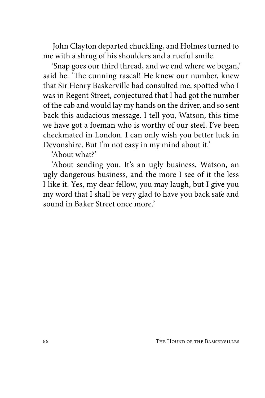John Clayton departed chuckling, and Holmes turned to me with a shrug of his shoulders and a rueful smile.

'Snap goes our third thread, and we end where we began,' said he. 'The cunning rascal! He knew our number, knew that Sir Henry Baskerville had consulted me, spotted who I was in Regent Street, conjectured that I had got the number of the cab and would lay my hands on the driver, and so sent back this audacious message. I tell you, Watson, this time we have got a foeman who is worthy of our steel. I've been checkmated in London. I can only wish you better luck in Devonshire. But I'm not easy in my mind about it.'

'About what?'

'About sending you. It's an ugly business, Watson, an ugly dangerous business, and the more I see of it the less I like it. Yes, my dear fellow, you may laugh, but I give you my word that I shall be very glad to have you back safe and sound in Baker Street once more.'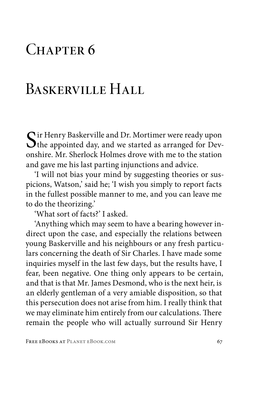#### CHAPTER<sub>6</sub>

# BASKERVILLE HALL

Sir Henry Baskerville and Dr. Mortimer were ready upon the appointed day, and we started as arranged for Devonshire. Mr. Sherlock Holmes drove with me to the station and gave me his last parting injunctions and advice.

'I will not bias your mind by suggesting theories or suspicions, Watson,' said he; 'I wish you simply to report facts in the fullest possible manner to me, and you can leave me to do the theorizing.'

'What sort of facts?' I asked.

'Anything which may seem to have a bearing however indirect upon the case, and especially the relations between young Baskerville and his neighbours or any fresh particulars concerning the death of Sir Charles. I have made some inquiries myself in the last few days, but the results have, I fear, been negative. One thing only appears to be certain, and that is that Mr. James Desmond, who is the next heir, is an elderly gentleman of a very amiable disposition, so that this persecution does not arise from him. I really think that we may eliminate him entirely from our calculations. There remain the people who will actually surround Sir Henry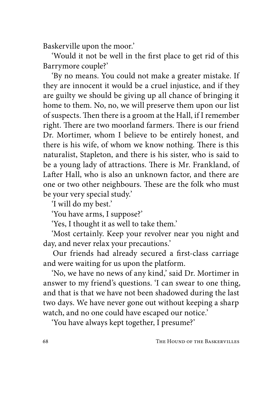Baskerville upon the moor.'

'Would it not be well in the first place to get rid of this Barrymore couple?'

'By no means. You could not make a greater mistake. If they are innocent it would be a cruel injustice, and if they are guilty we should be giving up all chance of bringing it home to them. No, no, we will preserve them upon our list of suspects. Then there is a groom at the Hall, if I remember right. There are two moorland farmers. There is our friend Dr. Mortimer, whom I believe to be entirely honest, and there is his wife, of whom we know nothing. There is this naturalist, Stapleton, and there is his sister, who is said to be a young lady of attractions. There is Mr. Frankland, of Lafter Hall, who is also an unknown factor, and there are one or two other neighbours. These are the folk who must be your very special study.'

'I will do my best.'

'You have arms, I suppose?'

'Yes, I thought it as well to take them.'

'Most certainly. Keep your revolver near you night and day, and never relax your precautions.'

Our friends had already secured a first-class carriage and were waiting for us upon the platform.

'No, we have no news of any kind,' said Dr. Mortimer in answer to my friend's questions. 'I can swear to one thing, and that is that we have not been shadowed during the last two days. We have never gone out without keeping a sharp watch, and no one could have escaped our notice.'

'You have always kept together, I presume?'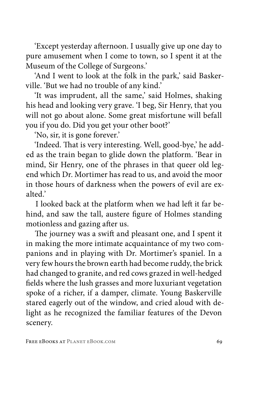'Except yesterday afternoon. I usually give up one day to pure amusement when I come to town, so I spent it at the Museum of the College of Surgeons.'

'And I went to look at the folk in the park,' said Baskerville. 'But we had no trouble of any kind.'

'It was imprudent, all the same,' said Holmes, shaking his head and looking very grave. 'I beg, Sir Henry, that you will not go about alone. Some great misfortune will befall you if you do. Did you get your other boot?'

'No, sir, it is gone forever.'

'Indeed. That is very interesting. Well, good-bye,' he added as the train began to glide down the platform. 'Bear in mind, Sir Henry, one of the phrases in that queer old legend which Dr. Mortimer has read to us, and avoid the moor in those hours of darkness when the powers of evil are exalted.'

I looked back at the platform when we had left it far behind, and saw the tall, austere figure of Holmes standing motionless and gazing after us.

The journey was a swift and pleasant one, and I spent it in making the more intimate acquaintance of my two companions and in playing with Dr. Mortimer's spaniel. In a very few hours the brown earth had become ruddy, the brick had changed to granite, and red cows grazed in well-hedged fields where the lush grasses and more luxuriant vegetation spoke of a richer, if a damper, climate. Young Baskerville stared eagerly out of the window, and cried aloud with delight as he recognized the familiar features of the Devon scenery.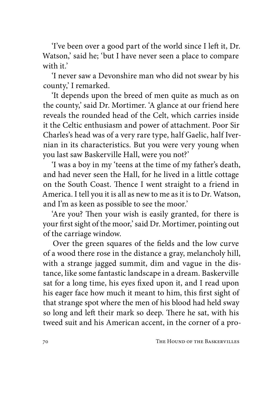'I've been over a good part of the world since I left it, Dr. Watson,' said he; 'but I have never seen a place to compare with it'

'I never saw a Devonshire man who did not swear by his county,' I remarked.

'It depends upon the breed of men quite as much as on the county,' said Dr. Mortimer. 'A glance at our friend here reveals the rounded head of the Celt, which carries inside it the Celtic enthusiasm and power of attachment. Poor Sir Charles's head was of a very rare type, half Gaelic, half Ivernian in its characteristics. But you were very young when you last saw Baskerville Hall, were you not?'

'I was a boy in my 'teens at the time of my father's death, and had never seen the Hall, for he lived in a little cottage on the South Coast. Thence I went straight to a friend in America. I tell you it is all as new to me as it is to Dr. Watson, and I'm as keen as possible to see the moor.'

'Are you? Then your wish is easily granted, for there is your first sight of the moor,' said Dr. Mortimer, pointing out of the carriage window.

Over the green squares of the fields and the low curve of a wood there rose in the distance a gray, melancholy hill, with a strange jagged summit, dim and vague in the distance, like some fantastic landscape in a dream. Baskerville sat for a long time, his eyes fixed upon it, and I read upon his eager face how much it meant to him, this first sight of that strange spot where the men of his blood had held sway so long and left their mark so deep. There he sat, with his tweed suit and his American accent, in the corner of a pro-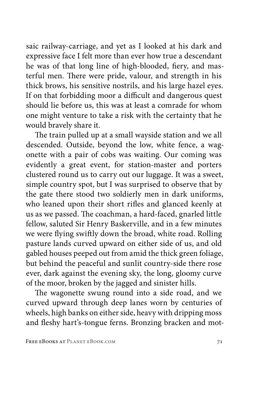saic railway-carriage, and yet as I looked at his dark and expressive face I felt more than ever how true a descendant he was of that long line of high-blooded, fiery, and masterful men. There were pride, valour, and strength in his thick brows, his sensitive nostrils, and his large hazel eyes. If on that forbidding moor a difficult and dangerous quest should lie before us, this was at least a comrade for whom one might venture to take a risk with the certainty that he would bravely share it.

The train pulled up at a small wayside station and we all descended. Outside, beyond the low, white fence, a wagonette with a pair of cobs was waiting. Our coming was evidently a great event, for station-master and porters clustered round us to carry out our luggage. It was a sweet, simple country spot, but I was surprised to observe that by the gate there stood two soldierly men in dark uniforms, who leaned upon their short rifles and glanced keenly at us as we passed. The coachman, a hard-faced, gnarled little fellow, saluted Sir Henry Baskerville, and in a few minutes we were flying swiftly down the broad, white road. Rolling pasture lands curved upward on either side of us, and old gabled houses peeped out from amid the thick green foliage, but behind the peaceful and sunlit country-side there rose ever, dark against the evening sky, the long, gloomy curve of the moor, broken by the jagged and sinister hills.

The wagonette swung round into a side road, and we curved upward through deep lanes worn by centuries of wheels, high banks on either side, heavy with dripping moss and fleshy hart's-tongue ferns. Bronzing bracken and mot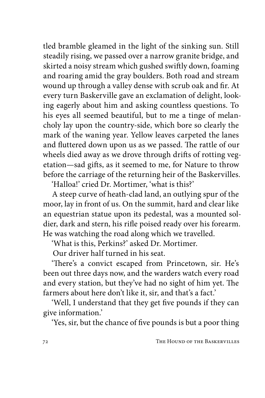tled bramble gleamed in the light of the sinking sun. Still steadily rising, we passed over a narrow granite bridge, and skirted a noisy stream which gushed swiftly down, foaming and roaring amid the gray boulders. Both road and stream wound up through a valley dense with scrub oak and fir. At every turn Baskerville gave an exclamation of delight, looking eagerly about him and asking countless questions. To his eyes all seemed beautiful, but to me a tinge of melancholy lay upon the country-side, which bore so clearly the mark of the waning year. Yellow leaves carpeted the lanes and fluttered down upon us as we passed. The rattle of our wheels died away as we drove through drifts of rotting vegetation—sad gifts, as it seemed to me, for Nature to throw before the carriage of the returning heir of the Baskervilles.

'Halloa!' cried Dr. Mortimer, 'what is this?'

A steep curve of heath-clad land, an outlying spur of the moor, lay in front of us. On the summit, hard and clear like an equestrian statue upon its pedestal, was a mounted soldier, dark and stern, his rifle poised ready over his forearm. He was watching the road along which we travelled.

'What is this, Perkins?' asked Dr. Mortimer.

Our driver half turned in his seat.

'There's a convict escaped from Princetown, sir. He's been out three days now, and the warders watch every road and every station, but they've had no sight of him yet. The farmers about here don't like it, sir, and that's a fact.'

'Well, I understand that they get five pounds if they can give information.'

'Yes, sir, but the chance of five pounds is but a poor thing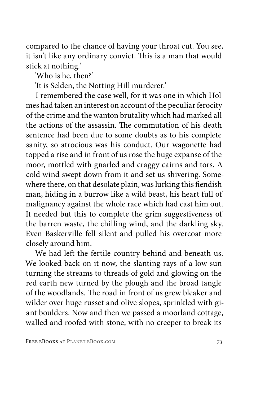compared to the chance of having your throat cut. You see, it isn't like any ordinary convict. This is a man that would stick at nothing.'

'Who is he, then?'

'It is Selden, the Notting Hill murderer.'

I remembered the case well, for it was one in which Holmes had taken an interest on account of the peculiar ferocity of the crime and the wanton brutality which had marked all the actions of the assassin. The commutation of his death sentence had been due to some doubts as to his complete sanity, so atrocious was his conduct. Our wagonette had topped a rise and in front of us rose the huge expanse of the moor, mottled with gnarled and craggy cairns and tors. A cold wind swept down from it and set us shivering. Somewhere there, on that desolate plain, was lurking this fiendish man, hiding in a burrow like a wild beast, his heart full of malignancy against the whole race which had cast him out. It needed but this to complete the grim suggestiveness of the barren waste, the chilling wind, and the darkling sky. Even Baskerville fell silent and pulled his overcoat more closely around him.

We had left the fertile country behind and beneath us. We looked back on it now, the slanting rays of a low sun turning the streams to threads of gold and glowing on the red earth new turned by the plough and the broad tangle of the woodlands. The road in front of us grew bleaker and wilder over huge russet and olive slopes, sprinkled with giant boulders. Now and then we passed a moorland cottage, walled and roofed with stone, with no creeper to break its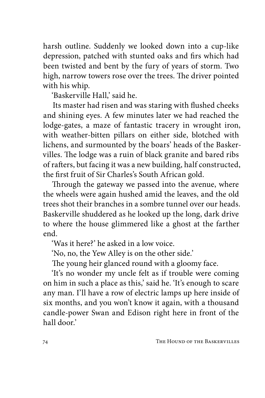harsh outline. Suddenly we looked down into a cup-like depression, patched with stunted oaks and firs which had been twisted and bent by the fury of years of storm. Two high, narrow towers rose over the trees. The driver pointed with his whip.

'Baskerville Hall,' said he.

Its master had risen and was staring with flushed cheeks and shining eyes. A few minutes later we had reached the lodge-gates, a maze of fantastic tracery in wrought iron, with weather-bitten pillars on either side, blotched with lichens, and surmounted by the boars' heads of the Baskervilles. The lodge was a ruin of black granite and bared ribs of rafters, but facing it was a new building, half constructed, the first fruit of Sir Charles's South African gold.

Through the gateway we passed into the avenue, where the wheels were again hushed amid the leaves, and the old trees shot their branches in a sombre tunnel over our heads. Baskerville shuddered as he looked up the long, dark drive to where the house glimmered like a ghost at the farther end.

'Was it here?' he asked in a low voice.

'No, no, the Yew Alley is on the other side.'

The young heir glanced round with a gloomy face.

'It's no wonder my uncle felt as if trouble were coming on him in such a place as this,' said he. 'It's enough to scare any man. I'll have a row of electric lamps up here inside of six months, and you won't know it again, with a thousand candle-power Swan and Edison right here in front of the hall door.'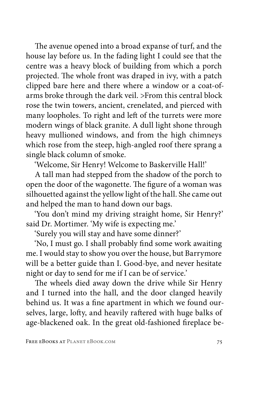The avenue opened into a broad expanse of turf, and the house lay before us. In the fading light I could see that the centre was a heavy block of building from which a porch projected. The whole front was draped in ivy, with a patch clipped bare here and there where a window or a coat-ofarms broke through the dark veil. >From this central block rose the twin towers, ancient, crenelated, and pierced with many loopholes. To right and left of the turrets were more modern wings of black granite. A dull light shone through heavy mullioned windows, and from the high chimneys which rose from the steep, high-angled roof there sprang a single black column of smoke.

'Welcome, Sir Henry! Welcome to Baskerville Hall!'

A tall man had stepped from the shadow of the porch to open the door of the wagonette. The figure of a woman was silhouetted against the yellow light of the hall. She came out and helped the man to hand down our bags.

'You don't mind my driving straight home, Sir Henry?' said Dr. Mortimer. 'My wife is expecting me.'

'Surely you will stay and have some dinner?'

'No, I must go. I shall probably find some work awaiting me. I would stay to show you over the house, but Barrymore will be a better guide than I. Good-bye, and never hesitate night or day to send for me if I can be of service.'

The wheels died away down the drive while Sir Henry and I turned into the hall, and the door clanged heavily behind us. It was a fine apartment in which we found ourselves, large, lofty, and heavily raftered with huge balks of age-blackened oak. In the great old-fashioned fireplace be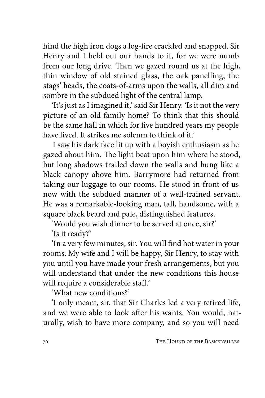hind the high iron dogs a log-fire crackled and snapped. Sir Henry and I held out our hands to it, for we were numb from our long drive. Then we gazed round us at the high, thin window of old stained glass, the oak panelling, the stags' heads, the coats-of-arms upon the walls, all dim and sombre in the subdued light of the central lamp.

'It's just as I imagined it,' said Sir Henry. 'Is it not the very picture of an old family home? To think that this should be the same hall in which for five hundred years my people have lived. It strikes me solemn to think of it.

I saw his dark face lit up with a boyish enthusiasm as he gazed about him. The light beat upon him where he stood, but long shadows trailed down the walls and hung like a black canopy above him. Barrymore had returned from taking our luggage to our rooms. He stood in front of us now with the subdued manner of a well-trained servant. He was a remarkable-looking man, tall, handsome, with a square black beard and pale, distinguished features.

'Would you wish dinner to be served at once, sir?'

'Is it ready?'

'In a very few minutes, sir. You will find hot water in your rooms. My wife and I will be happy, Sir Henry, to stay with you until you have made your fresh arrangements, but you will understand that under the new conditions this house will require a considerable staff.'

'What new conditions?'

'I only meant, sir, that Sir Charles led a very retired life, and we were able to look after his wants. You would, naturally, wish to have more company, and so you will need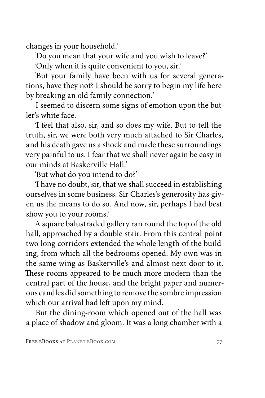changes in your household.'

'Do you mean that your wife and you wish to leave?'

'Only when it is quite convenient to you, sir.'

'But your family have been with us for several generations, have they not? I should be sorry to begin my life here by breaking an old family connection.'

I seemed to discern some signs of emotion upon the butler's white face.

'I feel that also, sir, and so does my wife. But to tell the truth, sir, we were both very much attached to Sir Charles, and his death gave us a shock and made these surroundings very painful to us. I fear that we shall never again be easy in our minds at Baskerville Hall.'

'But what do you intend to do?'

'I have no doubt, sir, that we shall succeed in establishing ourselves in some business. Sir Charles's generosity has given us the means to do so. And now, sir, perhaps I had best show you to your rooms.'

A square balustraded gallery ran round the top of the old hall, approached by a double stair. From this central point two long corridors extended the whole length of the building, from which all the bedrooms opened. My own was in the same wing as Baskerville's and almost next door to it. These rooms appeared to be much more modern than the central part of the house, and the bright paper and numerous candles did something to remove the sombre impression which our arrival had left upon my mind.

But the dining-room which opened out of the hall was a place of shadow and gloom. It was a long chamber with a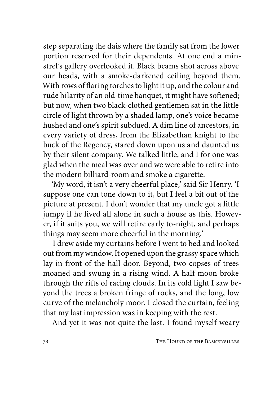step separating the dais where the family sat from the lower portion reserved for their dependents. At one end a minstrel's gallery overlooked it. Black beams shot across above our heads, with a smoke-darkened ceiling beyond them. With rows of flaring torches to light it up, and the colour and rude hilarity of an old-time banquet, it might have softened; but now, when two black-clothed gentlemen sat in the little circle of light thrown by a shaded lamp, one's voice became hushed and one's spirit subdued. A dim line of ancestors, in every variety of dress, from the Elizabethan knight to the buck of the Regency, stared down upon us and daunted us by their silent company. We talked little, and I for one was glad when the meal was over and we were able to retire into the modern billiard-room and smoke a cigarette.

'My word, it isn't a very cheerful place,' said Sir Henry. 'I suppose one can tone down to it, but I feel a bit out of the picture at present. I don't wonder that my uncle got a little jumpy if he lived all alone in such a house as this. However, if it suits you, we will retire early to-night, and perhaps things may seem more cheerful in the morning.'

I drew aside my curtains before I went to bed and looked out from my window. It opened upon the grassy space which lay in front of the hall door. Beyond, two copses of trees moaned and swung in a rising wind. A half moon broke through the rifts of racing clouds. In its cold light I saw beyond the trees a broken fringe of rocks, and the long, low curve of the melancholy moor. I closed the curtain, feeling that my last impression was in keeping with the rest.

And yet it was not quite the last. I found myself weary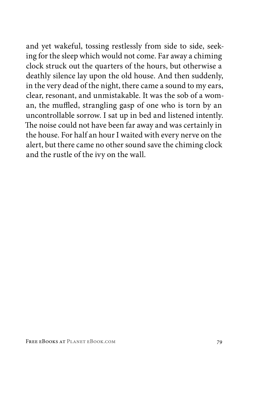and yet wakeful, tossing restlessly from side to side, seeking for the sleep which would not come. Far away a chiming clock struck out the quarters of the hours, but otherwise a deathly silence lay upon the old house. And then suddenly, in the very dead of the night, there came a sound to my ears, clear, resonant, and unmistakable. It was the sob of a woman, the muffled, strangling gasp of one who is torn by an uncontrollable sorrow. I sat up in bed and listened intently. The noise could not have been far away and was certainly in the house. For half an hour I waited with every nerve on the alert, but there came no other sound save the chiming clock and the rustle of the ivy on the wall.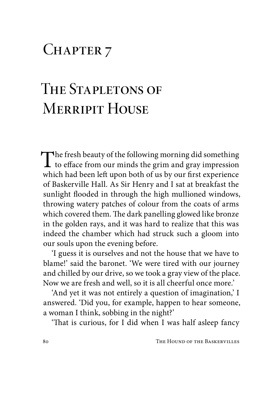## CHAPTER 7

## The Stapletons of **MERRIPIT HOUSE**

The fresh beauty of the following morning did something<br>to efface from our minds the grim and gray impression<br>which had been left was both of us by our first synasiance which had been left upon both of us by our first experience of Baskerville Hall. As Sir Henry and I sat at breakfast the sunlight flooded in through the high mullioned windows, throwing watery patches of colour from the coats of arms which covered them. The dark panelling glowed like bronze in the golden rays, and it was hard to realize that this was indeed the chamber which had struck such a gloom into our souls upon the evening before.

'I guess it is ourselves and not the house that we have to blame!' said the baronet. 'We were tired with our journey and chilled by our drive, so we took a gray view of the place. Now we are fresh and well, so it is all cheerful once more.'

'And yet it was not entirely a question of imagination,' I answered. 'Did you, for example, happen to hear someone, a woman I think, sobbing in the night?'

'That is curious, for I did when I was half asleep fancy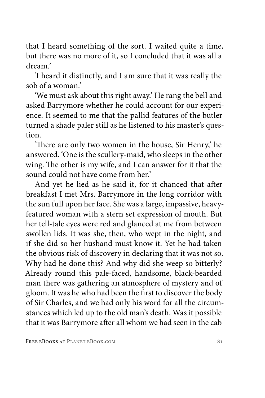that I heard something of the sort. I waited quite a time, but there was no more of it, so I concluded that it was all a dream.'

'I heard it distinctly, and I am sure that it was really the sob of a woman.'

'We must ask about this right away.' He rang the bell and asked Barrymore whether he could account for our experience. It seemed to me that the pallid features of the butler turned a shade paler still as he listened to his master's question.

'There are only two women in the house, Sir Henry,' he answered. 'One is the scullery-maid, who sleeps in the other wing. The other is my wife, and I can answer for it that the sound could not have come from her.'

And yet he lied as he said it, for it chanced that after breakfast I met Mrs. Barrymore in the long corridor with the sun full upon her face. She was a large, impassive, heavyfeatured woman with a stern set expression of mouth. But her tell-tale eyes were red and glanced at me from between swollen lids. It was she, then, who wept in the night, and if she did so her husband must know it. Yet he had taken the obvious risk of discovery in declaring that it was not so. Why had he done this? And why did she weep so bitterly? Already round this pale-faced, handsome, black-bearded man there was gathering an atmosphere of mystery and of gloom. It was he who had been the first to discover the body of Sir Charles, and we had only his word for all the circumstances which led up to the old man's death. Was it possible that it was Barrymore after all whom we had seen in the cab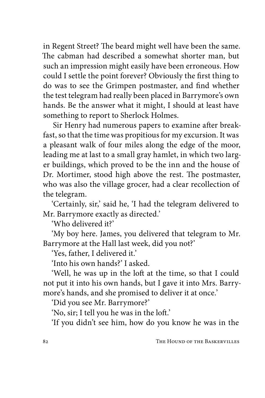in Regent Street? The beard might well have been the same. The cabman had described a somewhat shorter man, but such an impression might easily have been erroneous. How could I settle the point forever? Obviously the first thing to do was to see the Grimpen postmaster, and find whether the test telegram had really been placed in Barrymore's own hands. Be the answer what it might, I should at least have something to report to Sherlock Holmes.

Sir Henry had numerous papers to examine after breakfast, so that the time was propitious for my excursion. It was a pleasant walk of four miles along the edge of the moor, leading me at last to a small gray hamlet, in which two larger buildings, which proved to be the inn and the house of Dr. Mortimer, stood high above the rest. The postmaster, who was also the village grocer, had a clear recollection of the telegram.

'Certainly, sir,' said he, 'I had the telegram delivered to Mr. Barrymore exactly as directed.'

'Who delivered it?'

'My boy here. James, you delivered that telegram to Mr. Barrymore at the Hall last week, did you not?'

'Yes, father, I delivered it.'

'Into his own hands?' I asked.

'Well, he was up in the loft at the time, so that I could not put it into his own hands, but I gave it into Mrs. Barrymore's hands, and she promised to deliver it at once.'

'Did you see Mr. Barrymore?'

'No, sir; I tell you he was in the loft.'

'If you didn't see him, how do you know he was in the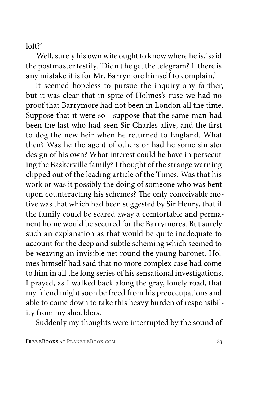$lnft$ ?

'Well, surely his own wife ought to know where he is,' said the postmaster testily. 'Didn't he get the telegram? If there is any mistake it is for Mr. Barrymore himself to complain.'

It seemed hopeless to pursue the inquiry any farther, but it was clear that in spite of Holmes's ruse we had no proof that Barrymore had not been in London all the time. Suppose that it were so—suppose that the same man had been the last who had seen Sir Charles alive, and the first to dog the new heir when he returned to England. What then? Was he the agent of others or had he some sinister design of his own? What interest could he have in persecuting the Baskerville family? I thought of the strange warning clipped out of the leading article of the Times. Was that his work or was it possibly the doing of someone who was bent upon counteracting his schemes? The only conceivable motive was that which had been suggested by Sir Henry, that if the family could be scared away a comfortable and permanent home would be secured for the Barrymores. But surely such an explanation as that would be quite inadequate to account for the deep and subtle scheming which seemed to be weaving an invisible net round the young baronet. Holmes himself had said that no more complex case had come to him in all the long series of his sensational investigations. I prayed, as I walked back along the gray, lonely road, that my friend might soon be freed from his preoccupations and able to come down to take this heavy burden of responsibility from my shoulders.

Suddenly my thoughts were interrupted by the sound of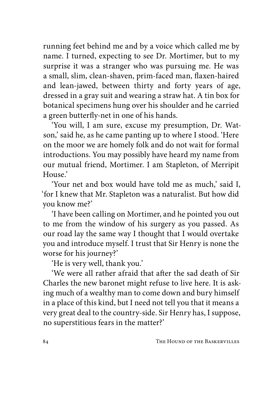running feet behind me and by a voice which called me by name. I turned, expecting to see Dr. Mortimer, but to my surprise it was a stranger who was pursuing me. He was a small, slim, clean-shaven, prim-faced man, flaxen-haired and lean-jawed, between thirty and forty years of age, dressed in a gray suit and wearing a straw hat. A tin box for botanical specimens hung over his shoulder and he carried a green butterfly-net in one of his hands.

'You will, I am sure, excuse my presumption, Dr. Watson,' said he, as he came panting up to where I stood. 'Here on the moor we are homely folk and do not wait for formal introductions. You may possibly have heard my name from our mutual friend, Mortimer. I am Stapleton, of Merripit  $H_{OUE}$ <sup> $,$ </sup>

'Your net and box would have told me as much,' said I, 'for I knew that Mr. Stapleton was a naturalist. But how did you know me?'

'I have been calling on Mortimer, and he pointed you out to me from the window of his surgery as you passed. As our road lay the same way I thought that I would overtake you and introduce myself. I trust that Sir Henry is none the worse for his journey?'

'He is very well, thank you.'

'We were all rather afraid that after the sad death of Sir Charles the new baronet might refuse to live here. It is asking much of a wealthy man to come down and bury himself in a place of this kind, but I need not tell you that it means a very great deal to the country-side. Sir Henry has, I suppose, no superstitious fears in the matter?'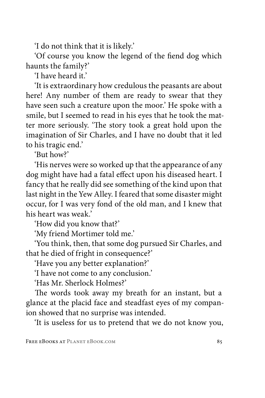'I do not think that it is likely.'

'Of course you know the legend of the fiend dog which haunts the family?'

'I have heard it.'

'It is extraordinary how credulous the peasants are about here! Any number of them are ready to swear that they have seen such a creature upon the moor.' He spoke with a smile, but I seemed to read in his eyes that he took the matter more seriously. 'The story took a great hold upon the imagination of Sir Charles, and I have no doubt that it led to his tragic end.'

'But how?'

'His nerves were so worked up that the appearance of any dog might have had a fatal effect upon his diseased heart. I fancy that he really did see something of the kind upon that last night in the Yew Alley. I feared that some disaster might occur, for I was very fond of the old man, and I knew that his heart was weak.'

'How did you know that?'

'My friend Mortimer told me.'

'You think, then, that some dog pursued Sir Charles, and that he died of fright in consequence?'

'Have you any better explanation?'

'I have not come to any conclusion.'

'Has Mr. Sherlock Holmes?'

The words took away my breath for an instant, but a glance at the placid face and steadfast eyes of my companion showed that no surprise was intended.

'It is useless for us to pretend that we do not know you,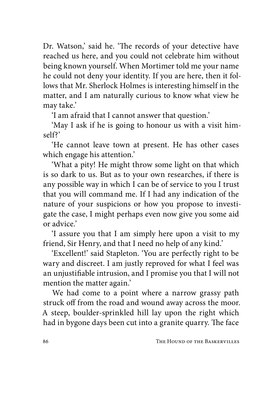Dr. Watson,' said he. 'The records of your detective have reached us here, and you could not celebrate him without being known yourself. When Mortimer told me your name he could not deny your identity. If you are here, then it follows that Mr. Sherlock Holmes is interesting himself in the matter, and I am naturally curious to know what view he may take.'

'I am afraid that I cannot answer that question.'

'May I ask if he is going to honour us with a visit himself?'

'He cannot leave town at present. He has other cases which engage his attention.'

'What a pity! He might throw some light on that which is so dark to us. But as to your own researches, if there is any possible way in which I can be of service to you I trust that you will command me. If I had any indication of the nature of your suspicions or how you propose to investigate the case, I might perhaps even now give you some aid or advice.'

'I assure you that I am simply here upon a visit to my friend, Sir Henry, and that I need no help of any kind.'

'Excellent!' said Stapleton. 'You are perfectly right to be wary and discreet. I am justly reproved for what I feel was an unjustifiable intrusion, and I promise you that I will not mention the matter again.'

We had come to a point where a narrow grassy path struck off from the road and wound away across the moor. A steep, boulder-sprinkled hill lay upon the right which had in bygone days been cut into a granite quarry. The face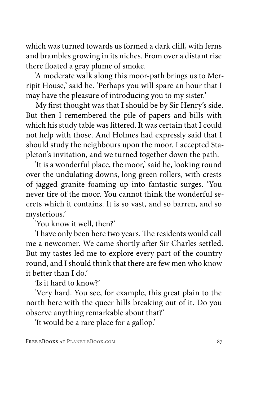which was turned towards us formed a dark cliff, with ferns and brambles growing in its niches. From over a distant rise there floated a gray plume of smoke.

'A moderate walk along this moor-path brings us to Merripit House,' said he. 'Perhaps you will spare an hour that I may have the pleasure of introducing you to my sister.'

My first thought was that I should be by Sir Henry's side. But then I remembered the pile of papers and bills with which his study table was littered. It was certain that I could not help with those. And Holmes had expressly said that I should study the neighbours upon the moor. I accepted Stapleton's invitation, and we turned together down the path.

'It is a wonderful place, the moor,' said he, looking round over the undulating downs, long green rollers, with crests of jagged granite foaming up into fantastic surges. 'You never tire of the moor. You cannot think the wonderful secrets which it contains. It is so vast, and so barren, and so mysterious.'

'You know it well, then?'

'I have only been here two years. The residents would call me a newcomer. We came shortly after Sir Charles settled. But my tastes led me to explore every part of the country round, and I should think that there are few men who know it better than I do.'

'Is it hard to know?'

'Very hard. You see, for example, this great plain to the north here with the queer hills breaking out of it. Do you observe anything remarkable about that?'

'It would be a rare place for a gallop.'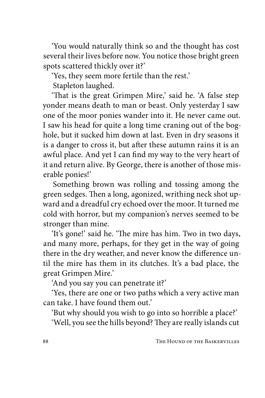'You would naturally think so and the thought has cost several their lives before now. You notice those bright green spots scattered thickly over it?'

'Yes, they seem more fertile than the rest.'

Stapleton laughed.

'That is the great Grimpen Mire,' said he. 'A false step yonder means death to man or beast. Only yesterday I saw one of the moor ponies wander into it. He never came out. I saw his head for quite a long time craning out of the boghole, but it sucked him down at last. Even in dry seasons it is a danger to cross it, but after these autumn rains it is an awful place. And yet I can find my way to the very heart of it and return alive. By George, there is another of those miserable ponies!'

Something brown was rolling and tossing among the green sedges. Then a long, agonized, writhing neck shot upward and a dreadful cry echoed over the moor. It turned me cold with horror, but my companion's nerves seemed to be stronger than mine.

'It's gone!' said he. 'The mire has him. Two in two days, and many more, perhaps, for they get in the way of going there in the dry weather, and never know the difference until the mire has them in its clutches. It's a bad place, the great Grimpen Mire.'

'And you say you can penetrate it?'

'Yes, there are one or two paths which a very active man can take. I have found them out.'

'But why should you wish to go into so horrible a place?'

'Well, you see the hills beyond? They are really islands cut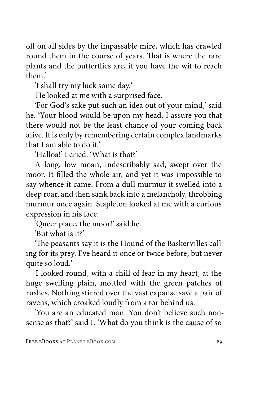off on all sides by the impassable mire, which has crawled round them in the course of years. That is where the rare plants and the butterflies are, if you have the wit to reach them.'

'I shall try my luck some day.'

He looked at me with a surprised face.

'For God's sake put such an idea out of your mind,' said he. 'Your blood would be upon my head. I assure you that there would not be the least chance of your coming back alive. It is only by remembering certain complex landmarks that I am able to do it.'

'Halloa!' I cried. 'What is that?'

A long, low moan, indescribably sad, swept over the moor. It filled the whole air, and yet it was impossible to say whence it came. From a dull murmur it swelled into a deep roar, and then sank back into a melancholy, throbbing murmur once again. Stapleton looked at me with a curious expression in his face.

'Queer place, the moor!' said he.

'But what is it?'

'The peasants say it is the Hound of the Baskervilles calling for its prey. I've heard it once or twice before, but never quite so loud.'

I looked round, with a chill of fear in my heart, at the huge swelling plain, mottled with the green patches of rushes. Nothing stirred over the vast expanse save a pair of ravens, which croaked loudly from a tor behind us.

'You are an educated man. You don't believe such nonsense as that?' said I. 'What do you think is the cause of so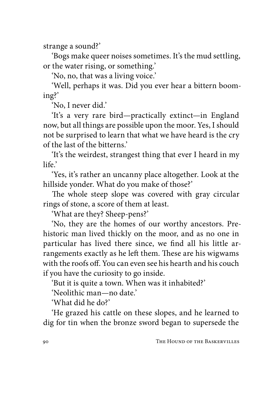strange a sound?'

'Bogs make queer noises sometimes. It's the mud settling, or the water rising, or something.'

'No, no, that was a living voice.'

'Well, perhaps it was. Did you ever hear a bittern booming?'

'No, I never did.'

'It's a very rare bird—practically extinct—in England now, but all things are possible upon the moor. Yes, I should not be surprised to learn that what we have heard is the cry of the last of the bitterns.'

'It's the weirdest, strangest thing that ever I heard in my life<sup>'</sup>

'Yes, it's rather an uncanny place altogether. Look at the hillside yonder. What do you make of those?'

The whole steep slope was covered with gray circular rings of stone, a score of them at least.

'What are they? Sheep-pens?'

'No, they are the homes of our worthy ancestors. Prehistoric man lived thickly on the moor, and as no one in particular has lived there since, we find all his little arrangements exactly as he left them. These are his wigwams with the roofs off. You can even see his hearth and his couch if you have the curiosity to go inside.

'But it is quite a town. When was it inhabited?'

'Neolithic man—no date.'

'What did he do?'

'He grazed his cattle on these slopes, and he learned to dig for tin when the bronze sword began to supersede the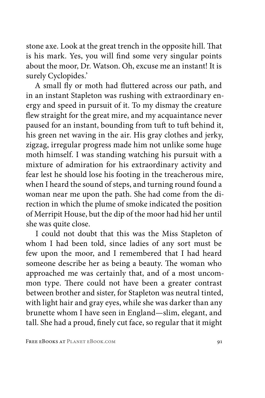stone axe. Look at the great trench in the opposite hill. That is his mark. Yes, you will find some very singular points about the moor, Dr. Watson. Oh, excuse me an instant! It is surely Cyclopides.'

A small fly or moth had fluttered across our path, and in an instant Stapleton was rushing with extraordinary energy and speed in pursuit of it. To my dismay the creature flew straight for the great mire, and my acquaintance never paused for an instant, bounding from tuft to tuft behind it, his green net waving in the air. His gray clothes and jerky, zigzag, irregular progress made him not unlike some huge moth himself. I was standing watching his pursuit with a mixture of admiration for his extraordinary activity and fear lest he should lose his footing in the treacherous mire, when I heard the sound of steps, and turning round found a woman near me upon the path. She had come from the direction in which the plume of smoke indicated the position of Merripit House, but the dip of the moor had hid her until she was quite close.

I could not doubt that this was the Miss Stapleton of whom I had been told, since ladies of any sort must be few upon the moor, and I remembered that I had heard someone describe her as being a beauty. The woman who approached me was certainly that, and of a most uncommon type. There could not have been a greater contrast between brother and sister, for Stapleton was neutral tinted, with light hair and gray eyes, while she was darker than any brunette whom I have seen in England—slim, elegant, and tall. She had a proud, finely cut face, so regular that it might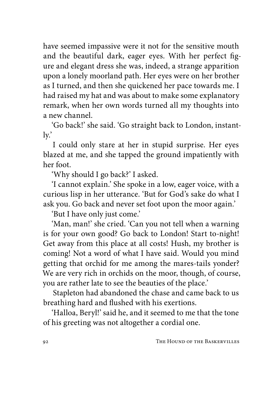have seemed impassive were it not for the sensitive mouth and the beautiful dark, eager eyes. With her perfect figure and elegant dress she was, indeed, a strange apparition upon a lonely moorland path. Her eyes were on her brother as I turned, and then she quickened her pace towards me. I had raised my hat and was about to make some explanatory remark, when her own words turned all my thoughts into a new channel.

'Go back!' she said. 'Go straight back to London, instantly.'

I could only stare at her in stupid surprise. Her eyes blazed at me, and she tapped the ground impatiently with her foot.

'Why should I go back?' I asked.

'I cannot explain.' She spoke in a low, eager voice, with a curious lisp in her utterance. 'But for God's sake do what I ask you. Go back and never set foot upon the moor again.'

'But I have only just come.'

'Man, man!' she cried. 'Can you not tell when a warning is for your own good? Go back to London! Start to-night! Get away from this place at all costs! Hush, my brother is coming! Not a word of what I have said. Would you mind getting that orchid for me among the mares-tails yonder? We are very rich in orchids on the moor, though, of course, you are rather late to see the beauties of the place.'

Stapleton had abandoned the chase and came back to us breathing hard and flushed with his exertions.

'Halloa, Beryl!' said he, and it seemed to me that the tone of his greeting was not altogether a cordial one.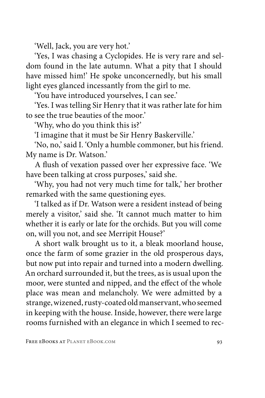'Well, Jack, you are very hot.'

'Yes, I was chasing a Cyclopides. He is very rare and seldom found in the late autumn. What a pity that I should have missed him!' He spoke unconcernedly, but his small light eyes glanced incessantly from the girl to me.

'You have introduced yourselves, I can see.'

'Yes. I was telling Sir Henry that it was rather late for him to see the true beauties of the moor.'

'Why, who do you think this is?'

'I imagine that it must be Sir Henry Baskerville.'

'No, no,' said I. 'Only a humble commoner, but his friend. My name is Dr. Watson.'

A flush of vexation passed over her expressive face. 'We have been talking at cross purposes,' said she.

'Why, you had not very much time for talk,' her brother remarked with the same questioning eyes.

'I talked as if Dr. Watson were a resident instead of being merely a visitor,' said she. 'It cannot much matter to him whether it is early or late for the orchids. But you will come on, will you not, and see Merripit House?'

A short walk brought us to it, a bleak moorland house, once the farm of some grazier in the old prosperous days, but now put into repair and turned into a modern dwelling. An orchard surrounded it, but the trees, as is usual upon the moor, were stunted and nipped, and the effect of the whole place was mean and melancholy. We were admitted by a strange, wizened, rusty-coated old manservant, who seemed in keeping with the house. Inside, however, there were large rooms furnished with an elegance in which I seemed to rec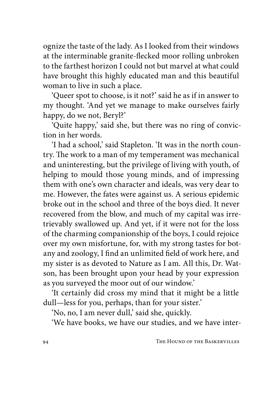ognize the taste of the lady. As I looked from their windows at the interminable granite-flecked moor rolling unbroken to the farthest horizon I could not but marvel at what could have brought this highly educated man and this beautiful woman to live in such a place.

'Queer spot to choose, is it not?' said he as if in answer to my thought. 'And yet we manage to make ourselves fairly happy, do we not, Beryl?'

'Quite happy,' said she, but there was no ring of conviction in her words.

'I had a school,' said Stapleton. 'It was in the north country. The work to a man of my temperament was mechanical and uninteresting, but the privilege of living with youth, of helping to mould those young minds, and of impressing them with one's own character and ideals, was very dear to me. However, the fates were against us. A serious epidemic broke out in the school and three of the boys died. It never recovered from the blow, and much of my capital was irretrievably swallowed up. And yet, if it were not for the loss of the charming companionship of the boys, I could rejoice over my own misfortune, for, with my strong tastes for botany and zoology, I find an unlimited field of work here, and my sister is as devoted to Nature as I am. All this, Dr. Watson, has been brought upon your head by your expression as you surveyed the moor out of our window.'

'It certainly did cross my mind that it might be a little dull—less for you, perhaps, than for your sister.'

'No, no, I am never dull,' said she, quickly.

'We have books, we have our studies, and we have inter-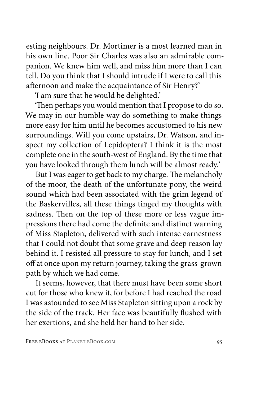esting neighbours. Dr. Mortimer is a most learned man in his own line. Poor Sir Charles was also an admirable companion. We knew him well, and miss him more than I can tell. Do you think that I should intrude if I were to call this afternoon and make the acquaintance of Sir Henry?'

'I am sure that he would be delighted.'

'Then perhaps you would mention that I propose to do so. We may in our humble way do something to make things more easy for him until he becomes accustomed to his new surroundings. Will you come upstairs, Dr. Watson, and inspect my collection of Lepidoptera? I think it is the most complete one in the south-west of England. By the time that you have looked through them lunch will be almost ready.'

But I was eager to get back to my charge. The melancholy of the moor, the death of the unfortunate pony, the weird sound which had been associated with the grim legend of the Baskervilles, all these things tinged my thoughts with sadness. Then on the top of these more or less vague impressions there had come the definite and distinct warning of Miss Stapleton, delivered with such intense earnestness that I could not doubt that some grave and deep reason lay behind it. I resisted all pressure to stay for lunch, and I set off at once upon my return journey, taking the grass-grown path by which we had come.

It seems, however, that there must have been some short cut for those who knew it, for before I had reached the road I was astounded to see Miss Stapleton sitting upon a rock by the side of the track. Her face was beautifully flushed with her exertions, and she held her hand to her side.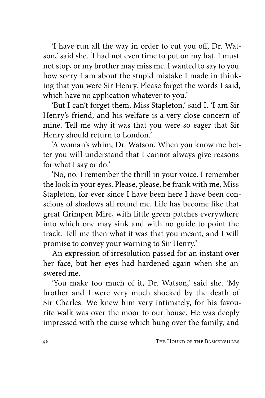'I have run all the way in order to cut you off, Dr. Watson,' said she. 'I had not even time to put on my hat. I must not stop, or my brother may miss me. I wanted to say to you how sorry I am about the stupid mistake I made in thinking that you were Sir Henry. Please forget the words I said, which have no application whatever to you.'

'But I can't forget them, Miss Stapleton,' said I. 'I am Sir Henry's friend, and his welfare is a very close concern of mine. Tell me why it was that you were so eager that Sir Henry should return to London.'

'A woman's whim, Dr. Watson. When you know me better you will understand that I cannot always give reasons for what I say or do.'

'No, no. I remember the thrill in your voice. I remember the look in your eyes. Please, please, be frank with me, Miss Stapleton, for ever since I have been here I have been conscious of shadows all round me. Life has become like that great Grimpen Mire, with little green patches everywhere into which one may sink and with no guide to point the track. Tell me then what it was that you meant, and I will promise to convey your warning to Sir Henry.'

An expression of irresolution passed for an instant over her face, but her eyes had hardened again when she answered me.

'You make too much of it, Dr. Watson,' said she. 'My brother and I were very much shocked by the death of Sir Charles. We knew him very intimately, for his favourite walk was over the moor to our house. He was deeply impressed with the curse which hung over the family, and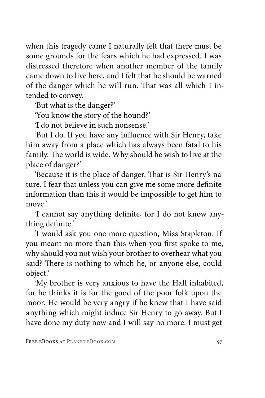when this tragedy came I naturally felt that there must be some grounds for the fears which he had expressed. I was distressed therefore when another member of the family came down to live here, and I felt that he should be warned of the danger which he will run. That was all which I intended to convey.

'But what is the danger?'

'You know the story of the hound?'

'I do not believe in such nonsense.'

'But I do. If you have any influence with Sir Henry, take him away from a place which has always been fatal to his family. The world is wide. Why should he wish to live at the place of danger?'

'Because it is the place of danger. That is Sir Henry's nature. I fear that unless you can give me some more definite information than this it would be impossible to get him to move<sup>'</sup>

'I cannot say anything definite, for I do not know anything definite.'

'I would ask you one more question, Miss Stapleton. If you meant no more than this when you first spoke to me, why should you not wish your brother to overhear what you said? There is nothing to which he, or anyone else, could object.'

'My brother is very anxious to have the Hall inhabited, for he thinks it is for the good of the poor folk upon the moor. He would be very angry if he knew that I have said anything which might induce Sir Henry to go away. But I have done my duty now and I will say no more. I must get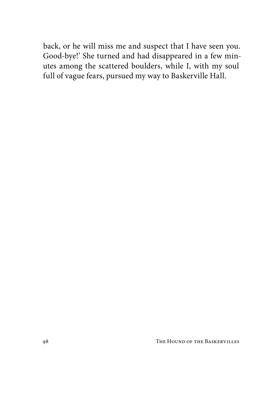back, or he will miss me and suspect that I have seen you. Good-bye!' She turned and had disappeared in a few minutes among the scattered boulders, while I, with my soul full of vague fears, pursued my way to Baskerville Hall.

98 THE HOUND OF THE BASKERVILLES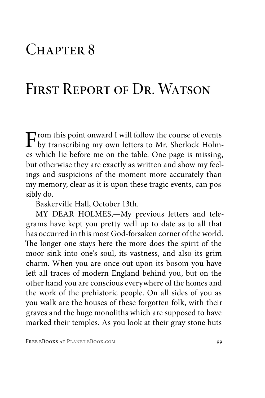## CHAPTER 8

## FIRST REPORT OF DR. WATSON

From this point onward I will follow the course of events<br>by transcribing my own letters to Mr. Sherlock Holm-<br>as which lie before me on the table. One nege is missing es which lie before me on the table. One page is missing, but otherwise they are exactly as written and show my feelings and suspicions of the moment more accurately than my memory, clear as it is upon these tragic events, can possibly do.

Baskerville Hall, October 13th.

MY DEAR HOLMES,—My previous letters and telegrams have kept you pretty well up to date as to all that has occurred in this most God-forsaken corner of the world. The longer one stays here the more does the spirit of the moor sink into one's soul, its vastness, and also its grim charm. When you are once out upon its bosom you have left all traces of modern England behind you, but on the other hand you are conscious everywhere of the homes and the work of the prehistoric people. On all sides of you as you walk are the houses of these forgotten folk, with their graves and the huge monoliths which are supposed to have marked their temples. As you look at their gray stone huts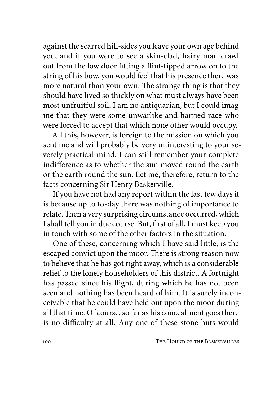against the scarred hill-sides you leave your own age behind you, and if you were to see a skin-clad, hairy man crawl out from the low door fitting a flint-tipped arrow on to the string of his bow, you would feel that his presence there was more natural than your own. The strange thing is that they should have lived so thickly on what must always have been most unfruitful soil. I am no antiquarian, but I could imagine that they were some unwarlike and harried race who were forced to accept that which none other would occupy.

All this, however, is foreign to the mission on which you sent me and will probably be very uninteresting to your severely practical mind. I can still remember your complete indifference as to whether the sun moved round the earth or the earth round the sun. Let me, therefore, return to the facts concerning Sir Henry Baskerville.

If you have not had any report within the last few days it is because up to to-day there was nothing of importance to relate. Then a very surprising circumstance occurred, which I shall tell you in due course. But, first of all, I must keep you in touch with some of the other factors in the situation.

One of these, concerning which I have said little, is the escaped convict upon the moor. There is strong reason now to believe that he has got right away, which is a considerable relief to the lonely householders of this district. A fortnight has passed since his flight, during which he has not been seen and nothing has been heard of him. It is surely inconceivable that he could have held out upon the moor during all that time. Of course, so far as his concealment goes there is no difficulty at all. Any one of these stone huts would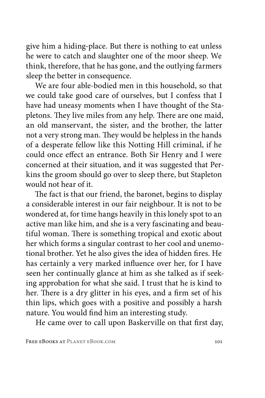give him a hiding-place. But there is nothing to eat unless he were to catch and slaughter one of the moor sheep. We think, therefore, that he has gone, and the outlying farmers sleep the better in consequence.

We are four able-bodied men in this household, so that we could take good care of ourselves, but I confess that I have had uneasy moments when I have thought of the Stapletons. They live miles from any help. There are one maid, an old manservant, the sister, and the brother, the latter not a very strong man. They would be helpless in the hands of a desperate fellow like this Notting Hill criminal, if he could once effect an entrance. Both Sir Henry and I were concerned at their situation, and it was suggested that Perkins the groom should go over to sleep there, but Stapleton would not hear of it.

The fact is that our friend, the baronet, begins to display a considerable interest in our fair neighbour. It is not to be wondered at, for time hangs heavily in this lonely spot to an active man like him, and she is a very fascinating and beautiful woman. There is something tropical and exotic about her which forms a singular contrast to her cool and unemotional brother. Yet he also gives the idea of hidden fires. He has certainly a very marked influence over her, for I have seen her continually glance at him as she talked as if seeking approbation for what she said. I trust that he is kind to her. There is a dry glitter in his eyes, and a firm set of his thin lips, which goes with a positive and possibly a harsh nature. You would find him an interesting study.

He came over to call upon Baskerville on that first day,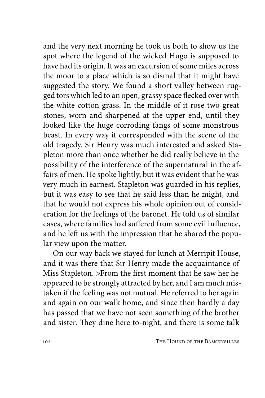and the very next morning he took us both to show us the spot where the legend of the wicked Hugo is supposed to have had its origin. It was an excursion of some miles across the moor to a place which is so dismal that it might have suggested the story. We found a short valley between rugged tors which led to an open, grassy space flecked over with the white cotton grass. In the middle of it rose two great stones, worn and sharpened at the upper end, until they looked like the huge corroding fangs of some monstrous beast. In every way it corresponded with the scene of the old tragedy. Sir Henry was much interested and asked Stapleton more than once whether he did really believe in the possibility of the interference of the supernatural in the affairs of men. He spoke lightly, but it was evident that he was very much in earnest. Stapleton was guarded in his replies, but it was easy to see that he said less than he might, and that he would not express his whole opinion out of consideration for the feelings of the baronet. He told us of similar cases, where families had suffered from some evil influence, and he left us with the impression that he shared the popular view upon the matter.

On our way back we stayed for lunch at Merripit House, and it was there that Sir Henry made the acquaintance of Miss Stapleton. >From the first moment that he saw her he appeared to be strongly attracted by her, and I am much mistaken if the feeling was not mutual. He referred to her again and again on our walk home, and since then hardly a day has passed that we have not seen something of the brother and sister. They dine here to-night, and there is some talk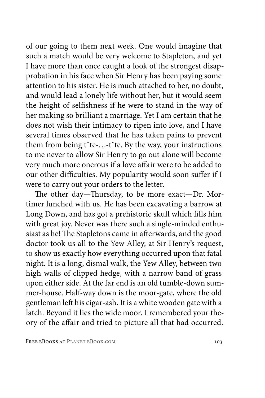of our going to them next week. One would imagine that such a match would be very welcome to Stapleton, and yet I have more than once caught a look of the strongest disapprobation in his face when Sir Henry has been paying some attention to his sister. He is much attached to her, no doubt, and would lead a lonely life without her, but it would seem the height of selfishness if he were to stand in the way of her making so brilliant a marriage. Yet I am certain that he does not wish their intimacy to ripen into love, and I have several times observed that he has taken pains to prevent them from being tˆte-…-tˆte. By the way, your instructions to me never to allow Sir Henry to go out alone will become very much more onerous if a love affair were to be added to our other difficulties. My popularity would soon suffer if I were to carry out your orders to the letter.

The other day—Thursday, to be more exact—Dr. Mortimer lunched with us. He has been excavating a barrow at Long Down, and has got a prehistoric skull which fills him with great joy. Never was there such a single-minded enthusiast as he! The Stapletons came in afterwards, and the good doctor took us all to the Yew Alley, at Sir Henry's request, to show us exactly how everything occurred upon that fatal night. It is a long, dismal walk, the Yew Alley, between two high walls of clipped hedge, with a narrow band of grass upon either side. At the far end is an old tumble-down summer-house. Half-way down is the moor-gate, where the old gentleman left his cigar-ash. It is a white wooden gate with a latch. Beyond it lies the wide moor. I remembered your theory of the affair and tried to picture all that had occurred.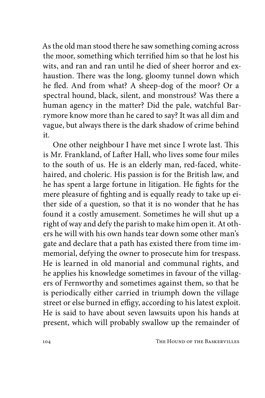As the old man stood there he saw something coming across the moor, something which terrified him so that he lost his wits, and ran and ran until he died of sheer horror and exhaustion. There was the long, gloomy tunnel down which he fled. And from what? A sheep-dog of the moor? Or a spectral hound, black, silent, and monstrous? Was there a human agency in the matter? Did the pale, watchful Barrymore know more than he cared to say? It was all dim and vague, but always there is the dark shadow of crime behind it.

One other neighbour I have met since I wrote last. This is Mr. Frankland, of Lafter Hall, who lives some four miles to the south of us. He is an elderly man, red-faced, whitehaired, and choleric. His passion is for the British law, and he has spent a large fortune in litigation. He fights for the mere pleasure of fighting and is equally ready to take up either side of a question, so that it is no wonder that he has found it a costly amusement. Sometimes he will shut up a right of way and defy the parish to make him open it. At others he will with his own hands tear down some other man's gate and declare that a path has existed there from time immemorial, defying the owner to prosecute him for trespass. He is learned in old manorial and communal rights, and he applies his knowledge sometimes in favour of the villagers of Fernworthy and sometimes against them, so that he is periodically either carried in triumph down the village street or else burned in effigy, according to his latest exploit. He is said to have about seven lawsuits upon his hands at present, which will probably swallow up the remainder of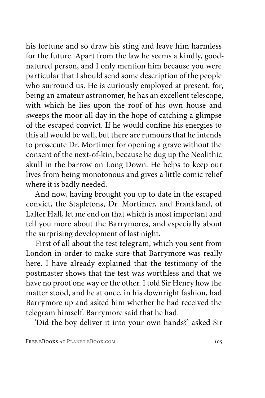his fortune and so draw his sting and leave him harmless for the future. Apart from the law he seems a kindly, goodnatured person, and I only mention him because you were particular that I should send some description of the people who surround us. He is curiously employed at present, for, being an amateur astronomer, he has an excellent telescope, with which he lies upon the roof of his own house and sweeps the moor all day in the hope of catching a glimpse of the escaped convict. If he would confine his energies to this all would be well, but there are rumours that he intends to prosecute Dr. Mortimer for opening a grave without the consent of the next-of-kin, because he dug up the Neolithic skull in the barrow on Long Down. He helps to keep our lives from being monotonous and gives a little comic relief where it is badly needed.

And now, having brought you up to date in the escaped convict, the Stapletons, Dr. Mortimer, and Frankland, of Lafter Hall, let me end on that which is most important and tell you more about the Barrymores, and especially about the surprising development of last night.

First of all about the test telegram, which you sent from London in order to make sure that Barrymore was really here. I have already explained that the testimony of the postmaster shows that the test was worthless and that we have no proof one way or the other. I told Sir Henry how the matter stood, and he at once, in his downright fashion, had Barrymore up and asked him whether he had received the telegram himself. Barrymore said that he had.

'Did the boy deliver it into your own hands?' asked Sir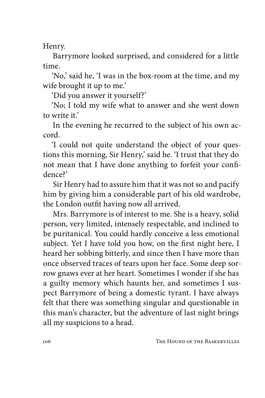Henry.

Barrymore looked surprised, and considered for a little time.

'No,' said he, 'I was in the box-room at the time, and my wife brought it up to me.'

'Did you answer it yourself?'

'No; I told my wife what to answer and she went down to write it'

In the evening he recurred to the subject of his own accord.

'I could not quite understand the object of your questions this morning, Sir Henry,' said he. 'I trust that they do not mean that I have done anything to forfeit your confidence?'

Sir Henry had to assure him that it was not so and pacify him by giving him a considerable part of his old wardrobe, the London outfit having now all arrived.

Mrs. Barrymore is of interest to me. She is a heavy, solid person, very limited, intensely respectable, and inclined to be puritanical. You could hardly conceive a less emotional subject. Yet I have told you how, on the first night here, I heard her sobbing bitterly, and since then I have more than once observed traces of tears upon her face. Some deep sorrow gnaws ever at her heart. Sometimes I wonder if she has a guilty memory which haunts her, and sometimes I suspect Barrymore of being a domestic tyrant. I have always felt that there was something singular and questionable in this man's character, but the adventure of last night brings all my suspicions to a head.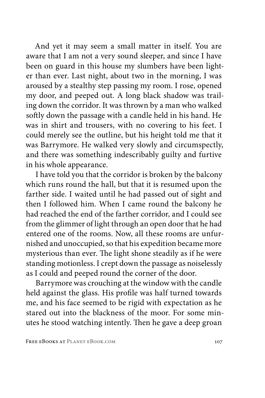And yet it may seem a small matter in itself. You are aware that I am not a very sound sleeper, and since I have been on guard in this house my slumbers have been lighter than ever. Last night, about two in the morning, I was aroused by a stealthy step passing my room. I rose, opened my door, and peeped out. A long black shadow was trailing down the corridor. It was thrown by a man who walked softly down the passage with a candle held in his hand. He was in shirt and trousers, with no covering to his feet. I could merely see the outline, but his height told me that it was Barrymore. He walked very slowly and circumspectly, and there was something indescribably guilty and furtive in his whole appearance.

I have told you that the corridor is broken by the balcony which runs round the hall, but that it is resumed upon the farther side. I waited until he had passed out of sight and then I followed him. When I came round the balcony he had reached the end of the farther corridor, and I could see from the glimmer of light through an open door that he had entered one of the rooms. Now, all these rooms are unfurnished and unoccupied, so that his expedition became more mysterious than ever. The light shone steadily as if he were standing motionless. I crept down the passage as noiselessly as I could and peeped round the corner of the door.

Barrymore was crouching at the window with the candle held against the glass. His profile was half turned towards me, and his face seemed to be rigid with expectation as he stared out into the blackness of the moor. For some minutes he stood watching intently. Then he gave a deep groan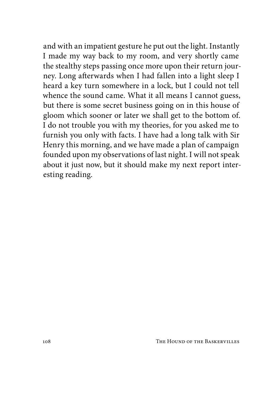and with an impatient gesture he put out the light. Instantly I made my way back to my room, and very shortly came the stealthy steps passing once more upon their return journey. Long afterwards when I had fallen into a light sleep I heard a key turn somewhere in a lock, but I could not tell whence the sound came. What it all means I cannot guess, but there is some secret business going on in this house of gloom which sooner or later we shall get to the bottom of. I do not trouble you with my theories, for you asked me to furnish you only with facts. I have had a long talk with Sir Henry this morning, and we have made a plan of campaign founded upon my observations of last night. I will not speak about it just now, but it should make my next report interesting reading.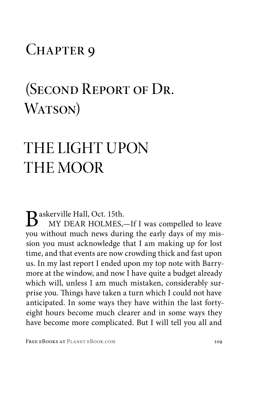### CHAPTER 9

## (Second Report of Dr. WATSON)

# THE LIGHT UPON THE MOOR

Baskerville Hall, Oct. 15th.

MY DEAR HOLMES,—If I was compelled to leave you without much news during the early days of my mission you must acknowledge that I am making up for lost time, and that events are now crowding thick and fast upon us. In my last report I ended upon my top note with Barrymore at the window, and now I have quite a budget already which will, unless I am much mistaken, considerably surprise you. Things have taken a turn which I could not have anticipated. In some ways they have within the last fortyeight hours become much clearer and in some ways they have become more complicated. But I will tell you all and

FREE EBOOKS AT PLANET EBOOK.COM 109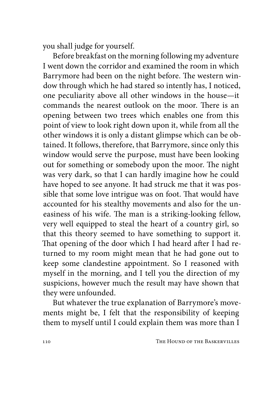you shall judge for yourself.

Before breakfast on the morning following my adventure I went down the corridor and examined the room in which Barrymore had been on the night before. The western window through which he had stared so intently has, I noticed, one peculiarity above all other windows in the house—it commands the nearest outlook on the moor. There is an opening between two trees which enables one from this point of view to look right down upon it, while from all the other windows it is only a distant glimpse which can be obtained. It follows, therefore, that Barrymore, since only this window would serve the purpose, must have been looking out for something or somebody upon the moor. The night was very dark, so that I can hardly imagine how he could have hoped to see anyone. It had struck me that it was possible that some love intrigue was on foot. That would have accounted for his stealthy movements and also for the uneasiness of his wife. The man is a striking-looking fellow, very well equipped to steal the heart of a country girl, so that this theory seemed to have something to support it. That opening of the door which I had heard after I had returned to my room might mean that he had gone out to keep some clandestine appointment. So I reasoned with myself in the morning, and I tell you the direction of my suspicions, however much the result may have shown that they were unfounded.

But whatever the true explanation of Barrymore's movements might be, I felt that the responsibility of keeping them to myself until I could explain them was more than I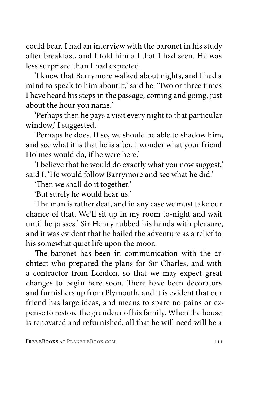could bear. I had an interview with the baronet in his study after breakfast, and I told him all that I had seen. He was less surprised than I had expected.

'I knew that Barrymore walked about nights, and I had a mind to speak to him about it,' said he. 'Two or three times I have heard his steps in the passage, coming and going, just about the hour you name.'

'Perhaps then he pays a visit every night to that particular window,' I suggested.

'Perhaps he does. If so, we should be able to shadow him, and see what it is that he is after. I wonder what your friend Holmes would do, if he were here.'

'I believe that he would do exactly what you now suggest,' said I. 'He would follow Barrymore and see what he did.'

'Then we shall do it together.'

'But surely he would hear us.'

'The man is rather deaf, and in any case we must take our chance of that. We'll sit up in my room to-night and wait until he passes.' Sir Henry rubbed his hands with pleasure, and it was evident that he hailed the adventure as a relief to his somewhat quiet life upon the moor.

The baronet has been in communication with the architect who prepared the plans for Sir Charles, and with a contractor from London, so that we may expect great changes to begin here soon. There have been decorators and furnishers up from Plymouth, and it is evident that our friend has large ideas, and means to spare no pains or expense to restore the grandeur of his family. When the house is renovated and refurnished, all that he will need will be a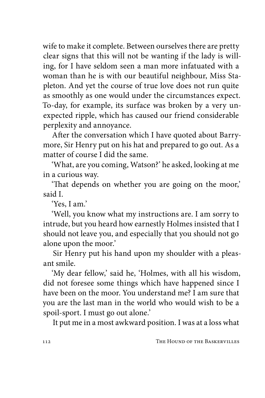wife to make it complete. Between ourselves there are pretty clear signs that this will not be wanting if the lady is willing, for I have seldom seen a man more infatuated with a woman than he is with our beautiful neighbour, Miss Stapleton. And yet the course of true love does not run quite as smoothly as one would under the circumstances expect. To-day, for example, its surface was broken by a very unexpected ripple, which has caused our friend considerable perplexity and annoyance.

After the conversation which I have quoted about Barrymore, Sir Henry put on his hat and prepared to go out. As a matter of course I did the same.

'What, are you coming, Watson?' he asked, looking at me in a curious way.

'That depends on whether you are going on the moor,' said I.

'Yes, I am.'

'Well, you know what my instructions are. I am sorry to intrude, but you heard how earnestly Holmes insisted that I should not leave you, and especially that you should not go alone upon the moor.'

Sir Henry put his hand upon my shoulder with a pleasant smile.

'My dear fellow,' said he, 'Holmes, with all his wisdom, did not foresee some things which have happened since I have been on the moor. You understand me? I am sure that you are the last man in the world who would wish to be a spoil-sport. I must go out alone.'

It put me in a most awkward position. I was at a loss what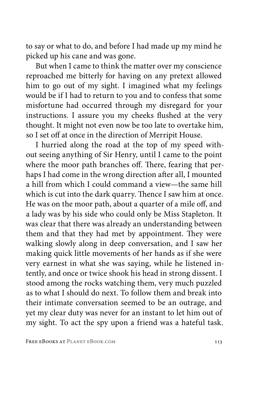to say or what to do, and before I had made up my mind he picked up his cane and was gone.

But when I came to think the matter over my conscience reproached me bitterly for having on any pretext allowed him to go out of my sight. I imagined what my feelings would be if I had to return to you and to confess that some misfortune had occurred through my disregard for your instructions. I assure you my cheeks flushed at the very thought. It might not even now be too late to overtake him, so I set off at once in the direction of Merripit House.

I hurried along the road at the top of my speed without seeing anything of Sir Henry, until I came to the point where the moor path branches off. There, fearing that perhaps I had come in the wrong direction after all, I mounted a hill from which I could command a view—the same hill which is cut into the dark quarry. Thence I saw him at once. He was on the moor path, about a quarter of a mile off, and a lady was by his side who could only be Miss Stapleton. It was clear that there was already an understanding between them and that they had met by appointment. They were walking slowly along in deep conversation, and I saw her making quick little movements of her hands as if she were very earnest in what she was saying, while he listened intently, and once or twice shook his head in strong dissent. I stood among the rocks watching them, very much puzzled as to what I should do next. To follow them and break into their intimate conversation seemed to be an outrage, and yet my clear duty was never for an instant to let him out of my sight. To act the spy upon a friend was a hateful task.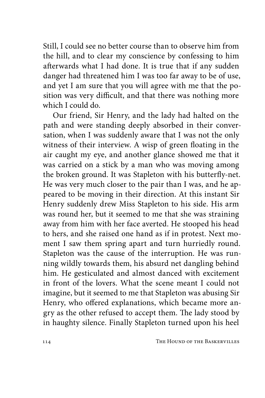Still, I could see no better course than to observe him from the hill, and to clear my conscience by confessing to him afterwards what I had done. It is true that if any sudden danger had threatened him I was too far away to be of use, and yet I am sure that you will agree with me that the position was very difficult, and that there was nothing more which I could do.

Our friend, Sir Henry, and the lady had halted on the path and were standing deeply absorbed in their conversation, when I was suddenly aware that I was not the only witness of their interview. A wisp of green floating in the air caught my eye, and another glance showed me that it was carried on a stick by a man who was moving among the broken ground. It was Stapleton with his butterfly-net. He was very much closer to the pair than I was, and he appeared to be moving in their direction. At this instant Sir Henry suddenly drew Miss Stapleton to his side. His arm was round her, but it seemed to me that she was straining away from him with her face averted. He stooped his head to hers, and she raised one hand as if in protest. Next moment I saw them spring apart and turn hurriedly round. Stapleton was the cause of the interruption. He was running wildly towards them, his absurd net dangling behind him. He gesticulated and almost danced with excitement in front of the lovers. What the scene meant I could not imagine, but it seemed to me that Stapleton was abusing Sir Henry, who offered explanations, which became more angry as the other refused to accept them. The lady stood by in haughty silence. Finally Stapleton turned upon his heel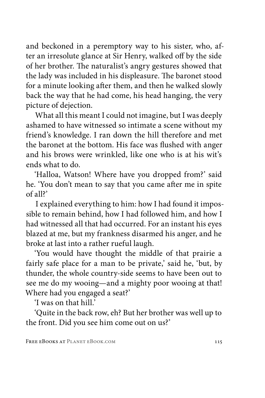and beckoned in a peremptory way to his sister, who, after an irresolute glance at Sir Henry, walked off by the side of her brother. The naturalist's angry gestures showed that the lady was included in his displeasure. The baronet stood for a minute looking after them, and then he walked slowly back the way that he had come, his head hanging, the very picture of dejection.

What all this meant I could not imagine, but I was deeply ashamed to have witnessed so intimate a scene without my friend's knowledge. I ran down the hill therefore and met the baronet at the bottom. His face was flushed with anger and his brows were wrinkled, like one who is at his wit's ends what to do.

'Halloa, Watson! Where have you dropped from?' said he. 'You don't mean to say that you came after me in spite of all?'

I explained everything to him: how I had found it impossible to remain behind, how I had followed him, and how I had witnessed all that had occurred. For an instant his eyes blazed at me, but my frankness disarmed his anger, and he broke at last into a rather rueful laugh.

'You would have thought the middle of that prairie a fairly safe place for a man to be private,' said he, 'but, by thunder, the whole country-side seems to have been out to see me do my wooing—and a mighty poor wooing at that! Where had you engaged a seat?'

'I was on that hill.'

'Quite in the back row, eh? But her brother was well up to the front. Did you see him come out on us?'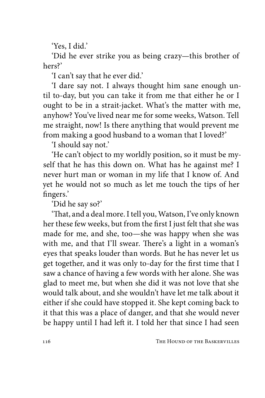'Yes, I did.'

'Did he ever strike you as being crazy—this brother of hers?'

'I can't say that he ever did.'

'I dare say not. I always thought him sane enough until to-day, but you can take it from me that either he or I ought to be in a strait-jacket. What's the matter with me, anyhow? You've lived near me for some weeks, Watson. Tell me straight, now! Is there anything that would prevent me from making a good husband to a woman that I loved?'

'I should say not.'

'He can't object to my worldly position, so it must be myself that he has this down on. What has he against me? I never hurt man or woman in my life that I know of. And yet he would not so much as let me touch the tips of her fingers.'

'Did he say so?'

'That, and a deal more. I tell you, Watson, I've only known her these few weeks, but from the first I just felt that she was made for me, and she, too—she was happy when she was with me, and that I'll swear. There's a light in a woman's eyes that speaks louder than words. But he has never let us get together, and it was only to-day for the first time that I saw a chance of having a few words with her alone. She was glad to meet me, but when she did it was not love that she would talk about, and she wouldn't have let me talk about it either if she could have stopped it. She kept coming back to it that this was a place of danger, and that she would never be happy until I had left it. I told her that since I had seen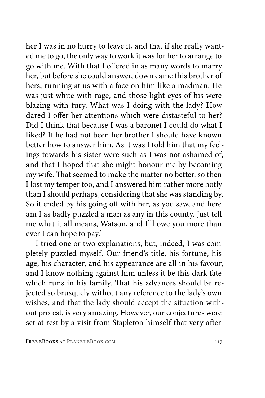her I was in no hurry to leave it, and that if she really wanted me to go, the only way to work it was for her to arrange to go with me. With that I offered in as many words to marry her, but before she could answer, down came this brother of hers, running at us with a face on him like a madman. He was just white with rage, and those light eyes of his were blazing with fury. What was I doing with the lady? How dared I offer her attentions which were distasteful to her? Did I think that because I was a baronet I could do what I liked? If he had not been her brother I should have known better how to answer him. As it was I told him that my feelings towards his sister were such as I was not ashamed of, and that I hoped that she might honour me by becoming my wife. That seemed to make the matter no better, so then I lost my temper too, and I answered him rather more hotly than I should perhaps, considering that she was standing by. So it ended by his going off with her, as you saw, and here am I as badly puzzled a man as any in this county. Just tell me what it all means, Watson, and I'll owe you more than ever I can hope to pay.'

I tried one or two explanations, but, indeed, I was completely puzzled myself. Our friend's title, his fortune, his age, his character, and his appearance are all in his favour, and I know nothing against him unless it be this dark fate which runs in his family. That his advances should be rejected so brusquely without any reference to the lady's own wishes, and that the lady should accept the situation without protest, is very amazing. However, our conjectures were set at rest by a visit from Stapleton himself that very after-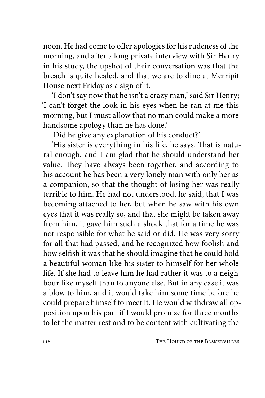noon. He had come to offer apologies for his rudeness of the morning, and after a long private interview with Sir Henry in his study, the upshot of their conversation was that the breach is quite healed, and that we are to dine at Merripit House next Friday as a sign of it.

'I don't say now that he isn't a crazy man,' said Sir Henry; 'I can't forget the look in his eyes when he ran at me this morning, but I must allow that no man could make a more handsome apology than he has done.'

'Did he give any explanation of his conduct?'

'His sister is everything in his life, he says. That is natural enough, and I am glad that he should understand her value. They have always been together, and according to his account he has been a very lonely man with only her as a companion, so that the thought of losing her was really terrible to him. He had not understood, he said, that I was becoming attached to her, but when he saw with his own eyes that it was really so, and that she might be taken away from him, it gave him such a shock that for a time he was not responsible for what he said or did. He was very sorry for all that had passed, and he recognized how foolish and how selfish it was that he should imagine that he could hold a beautiful woman like his sister to himself for her whole life. If she had to leave him he had rather it was to a neighbour like myself than to anyone else. But in any case it was a blow to him, and it would take him some time before he could prepare himself to meet it. He would withdraw all opposition upon his part if I would promise for three months to let the matter rest and to be content with cultivating the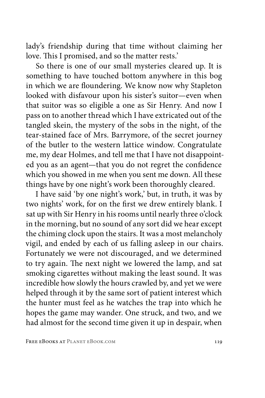lady's friendship during that time without claiming her love. This I promised, and so the matter rests.'

So there is one of our small mysteries cleared up. It is something to have touched bottom anywhere in this bog in which we are floundering. We know now why Stapleton looked with disfavour upon his sister's suitor—even when that suitor was so eligible a one as Sir Henry. And now I pass on to another thread which I have extricated out of the tangled skein, the mystery of the sobs in the night, of the tear-stained face of Mrs. Barrymore, of the secret journey of the butler to the western lattice window. Congratulate me, my dear Holmes, and tell me that I have not disappointed you as an agent—that you do not regret the confidence which you showed in me when you sent me down. All these things have by one night's work been thoroughly cleared.

I have said 'by one night's work,' but, in truth, it was by two nights' work, for on the first we drew entirely blank. I sat up with Sir Henry in his rooms until nearly three o'clock in the morning, but no sound of any sort did we hear except the chiming clock upon the stairs. It was a most melancholy vigil, and ended by each of us falling asleep in our chairs. Fortunately we were not discouraged, and we determined to try again. The next night we lowered the lamp, and sat smoking cigarettes without making the least sound. It was incredible how slowly the hours crawled by, and yet we were helped through it by the same sort of patient interest which the hunter must feel as he watches the trap into which he hopes the game may wander. One struck, and two, and we had almost for the second time given it up in despair, when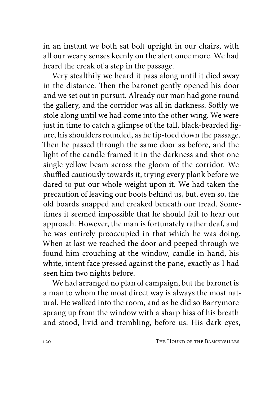in an instant we both sat bolt upright in our chairs, with all our weary senses keenly on the alert once more. We had heard the creak of a step in the passage.

Very stealthily we heard it pass along until it died away in the distance. Then the baronet gently opened his door and we set out in pursuit. Already our man had gone round the gallery, and the corridor was all in darkness. Softly we stole along until we had come into the other wing. We were just in time to catch a glimpse of the tall, black-bearded figure, his shoulders rounded, as he tip-toed down the passage. Then he passed through the same door as before, and the light of the candle framed it in the darkness and shot one single yellow beam across the gloom of the corridor. We shuffled cautiously towards it, trying every plank before we dared to put our whole weight upon it. We had taken the precaution of leaving our boots behind us, but, even so, the old boards snapped and creaked beneath our tread. Sometimes it seemed impossible that he should fail to hear our approach. However, the man is fortunately rather deaf, and he was entirely preoccupied in that which he was doing. When at last we reached the door and peeped through we found him crouching at the window, candle in hand, his white, intent face pressed against the pane, exactly as I had seen him two nights before.

We had arranged no plan of campaign, but the baronet is a man to whom the most direct way is always the most natural. He walked into the room, and as he did so Barrymore sprang up from the window with a sharp hiss of his breath and stood, livid and trembling, before us. His dark eyes,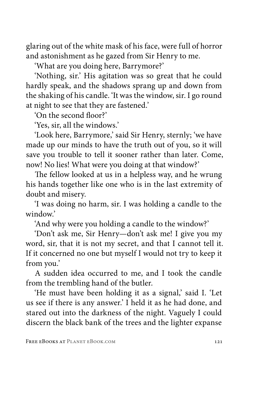glaring out of the white mask of his face, were full of horror and astonishment as he gazed from Sir Henry to me.

'What are you doing here, Barrymore?'

'Nothing, sir.' His agitation was so great that he could hardly speak, and the shadows sprang up and down from the shaking of his candle. 'It was the window, sir. I go round at night to see that they are fastened.'

'On the second floor?'

'Yes, sir, all the windows.'

'Look here, Barrymore,' said Sir Henry, sternly; 'we have made up our minds to have the truth out of you, so it will save you trouble to tell it sooner rather than later. Come, now! No lies! What were you doing at that window?'

The fellow looked at us in a helpless way, and he wrung his hands together like one who is in the last extremity of doubt and misery.

'I was doing no harm, sir. I was holding a candle to the window.'

'And why were you holding a candle to the window?'

'Don't ask me, Sir Henry—don't ask me! I give you my word, sir, that it is not my secret, and that I cannot tell it. If it concerned no one but myself I would not try to keep it from you.'

A sudden idea occurred to me, and I took the candle from the trembling hand of the butler.

'He must have been holding it as a signal,' said I. 'Let us see if there is any answer.' I held it as he had done, and stared out into the darkness of the night. Vaguely I could discern the black bank of the trees and the lighter expanse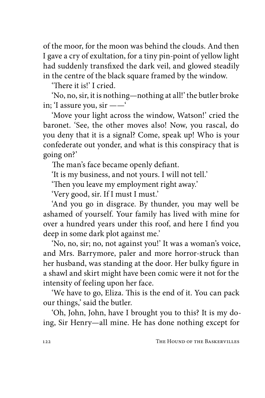of the moor, for the moon was behind the clouds. And then I gave a cry of exultation, for a tiny pin-point of yellow light had suddenly transfixed the dark veil, and glowed steadily in the centre of the black square framed by the window.

'There it is!' I cried.

'No, no, sir, it is nothing—nothing at all!' the butler broke in; 'I assure you, sir ——'

'Move your light across the window, Watson!' cried the baronet. 'See, the other moves also! Now, you rascal, do you deny that it is a signal? Come, speak up! Who is your confederate out yonder, and what is this conspiracy that is going on?'

The man's face became openly defiant.

'It is my business, and not yours. I will not tell.'

'Then you leave my employment right away.'

'Very good, sir. If I must I must.'

'And you go in disgrace. By thunder, you may well be ashamed of yourself. Your family has lived with mine for over a hundred years under this roof, and here I find you deep in some dark plot against me.'

'No, no, sir; no, not against you!' It was a woman's voice, and Mrs. Barrymore, paler and more horror-struck than her husband, was standing at the door. Her bulky figure in a shawl and skirt might have been comic were it not for the intensity of feeling upon her face.

'We have to go, Eliza. This is the end of it. You can pack our things,' said the butler.

'Oh, John, John, have I brought you to this? It is my doing, Sir Henry—all mine. He has done nothing except for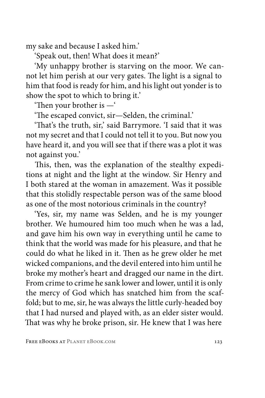my sake and because I asked him.'

'Speak out, then! What does it mean?'

'My unhappy brother is starving on the moor. We cannot let him perish at our very gates. The light is a signal to him that food is ready for him, and his light out yonder is to show the spot to which to bring it.'

'Then your brother is —'

'The escaped convict, sir—Selden, the criminal.'

'That's the truth, sir,' said Barrymore. 'I said that it was not my secret and that I could not tell it to you. But now you have heard it, and you will see that if there was a plot it was not against you.'

This, then, was the explanation of the stealthy expeditions at night and the light at the window. Sir Henry and I both stared at the woman in amazement. Was it possible that this stolidly respectable person was of the same blood as one of the most notorious criminals in the country?

'Yes, sir, my name was Selden, and he is my younger brother. We humoured him too much when he was a lad, and gave him his own way in everything until he came to think that the world was made for his pleasure, and that he could do what he liked in it. Then as he grew older he met wicked companions, and the devil entered into him until he broke my mother's heart and dragged our name in the dirt. From crime to crime he sank lower and lower, until it is only the mercy of God which has snatched him from the scaffold; but to me, sir, he was always the little curly-headed boy that I had nursed and played with, as an elder sister would. That was why he broke prison, sir. He knew that I was here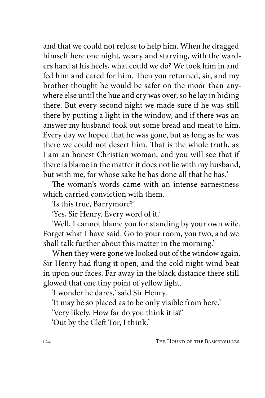and that we could not refuse to help him. When he dragged himself here one night, weary and starving, with the warders hard at his heels, what could we do? We took him in and fed him and cared for him. Then you returned, sir, and my brother thought he would be safer on the moor than anywhere else until the hue and cry was over, so he lay in hiding there. But every second night we made sure if he was still there by putting a light in the window, and if there was an answer my husband took out some bread and meat to him. Every day we hoped that he was gone, but as long as he was there we could not desert him. That is the whole truth, as I am an honest Christian woman, and you will see that if there is blame in the matter it does not lie with my husband, but with me, for whose sake he has done all that he has.'

The woman's words came with an intense earnestness which carried conviction with them.

'Is this true, Barrymore?'

'Yes, Sir Henry. Every word of it.'

'Well, I cannot blame you for standing by your own wife. Forget what I have said. Go to your room, you two, and we shall talk further about this matter in the morning.'

When they were gone we looked out of the window again. Sir Henry had flung it open, and the cold night wind beat in upon our faces. Far away in the black distance there still glowed that one tiny point of yellow light.

'I wonder he dares,' said Sir Henry.

'It may be so placed as to be only visible from here.'

'Very likely. How far do you think it is?'

'Out by the Cleft Tor, I think.'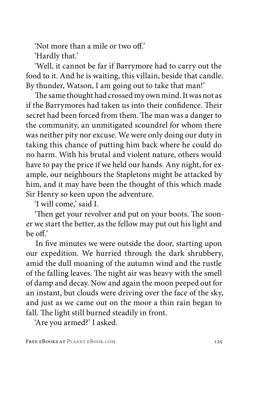'Not more than a mile or two off.'

'Hardly that.'

'Well, it cannot be far if Barrymore had to carry out the food to it. And he is waiting, this villain, beside that candle. By thunder, Watson, I am going out to take that man!'

The same thought had crossed my own mind. It was not as if the Barrymores had taken us into their confidence. Their secret had been forced from them. The man was a danger to the community, an unmitigated scoundrel for whom there was neither pity nor excuse. We were only doing our duty in taking this chance of putting him back where he could do no harm. With his brutal and violent nature, others would have to pay the price if we held our hands. Any night, for example, our neighbours the Stapletons might be attacked by him, and it may have been the thought of this which made Sir Henry so keen upon the adventure.

'I will come,' said I.

'Then get your revolver and put on your boots. The sooner we start the better, as the fellow may put out his light and be off.

In five minutes we were outside the door, starting upon our expedition. We hurried through the dark shrubbery, amid the dull moaning of the autumn wind and the rustle of the falling leaves. The night air was heavy with the smell of damp and decay. Now and again the moon peeped out for an instant, but clouds were driving over the face of the sky, and just as we came out on the moor a thin rain began to fall. The light still burned steadily in front.

'Are you armed?' I asked.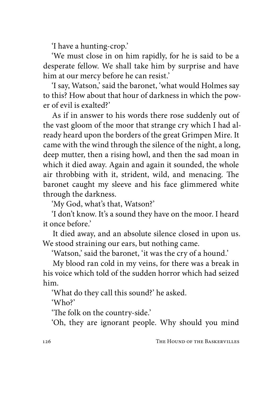'I have a hunting-crop.'

'We must close in on him rapidly, for he is said to be a desperate fellow. We shall take him by surprise and have him at our mercy before he can resist.'

'I say, Watson,' said the baronet, 'what would Holmes say to this? How about that hour of darkness in which the power of evil is exalted?'

As if in answer to his words there rose suddenly out of the vast gloom of the moor that strange cry which I had already heard upon the borders of the great Grimpen Mire. It came with the wind through the silence of the night, a long, deep mutter, then a rising howl, and then the sad moan in which it died away. Again and again it sounded, the whole air throbbing with it, strident, wild, and menacing. The baronet caught my sleeve and his face glimmered white through the darkness.

'My God, what's that, Watson?'

'I don't know. It's a sound they have on the moor. I heard it once before.'

It died away, and an absolute silence closed in upon us. We stood straining our ears, but nothing came.

'Watson,' said the baronet, 'it was the cry of a hound.'

My blood ran cold in my veins, for there was a break in his voice which told of the sudden horror which had seized him.

'What do they call this sound?' he asked.

'Who?'

'The folk on the country-side.'

'Oh, they are ignorant people. Why should you mind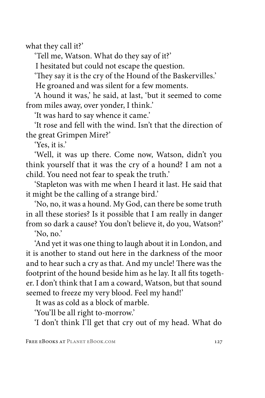what they call it?'

'Tell me, Watson. What do they say of it?'

I hesitated but could not escape the question.

'They say it is the cry of the Hound of the Baskervilles.'

He groaned and was silent for a few moments.

'A hound it was,' he said, at last, 'but it seemed to come from miles away, over yonder, I think.'

'It was hard to say whence it came.'

'It rose and fell with the wind. Isn't that the direction of the great Grimpen Mire?'

'Yes, it is.'

'Well, it was up there. Come now, Watson, didn't you think yourself that it was the cry of a hound? I am not a child. You need not fear to speak the truth.'

'Stapleton was with me when I heard it last. He said that it might be the calling of a strange bird.'

'No, no, it was a hound. My God, can there be some truth in all these stories? Is it possible that I am really in danger from so dark a cause? You don't believe it, do you, Watson?'

'No, no.'

'And yet it was one thing to laugh about it in London, and it is another to stand out here in the darkness of the moor and to hear such a cry as that. And my uncle! There was the footprint of the hound beside him as he lay. It all fits together. I don't think that I am a coward, Watson, but that sound seemed to freeze my very blood. Feel my hand!'

It was as cold as a block of marble.

'You'll be all right to-morrow.'

'I don't think I'll get that cry out of my head. What do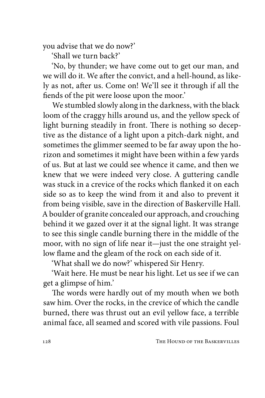you advise that we do now?'

'Shall we turn back?'

'No, by thunder; we have come out to get our man, and we will do it. We after the convict, and a hell-hound, as likely as not, after us. Come on! We'll see it through if all the fiends of the pit were loose upon the moor.'

We stumbled slowly along in the darkness, with the black loom of the craggy hills around us, and the yellow speck of light burning steadily in front. There is nothing so deceptive as the distance of a light upon a pitch-dark night, and sometimes the glimmer seemed to be far away upon the horizon and sometimes it might have been within a few yards of us. But at last we could see whence it came, and then we knew that we were indeed very close. A guttering candle was stuck in a crevice of the rocks which flanked it on each side so as to keep the wind from it and also to prevent it from being visible, save in the direction of Baskerville Hall. A boulder of granite concealed our approach, and crouching behind it we gazed over it at the signal light. It was strange to see this single candle burning there in the middle of the moor, with no sign of life near it—just the one straight yellow flame and the gleam of the rock on each side of it.

'What shall we do now?' whispered Sir Henry.

'Wait here. He must be near his light. Let us see if we can get a glimpse of him.'

The words were hardly out of my mouth when we both saw him. Over the rocks, in the crevice of which the candle burned, there was thrust out an evil yellow face, a terrible animal face, all seamed and scored with vile passions. Foul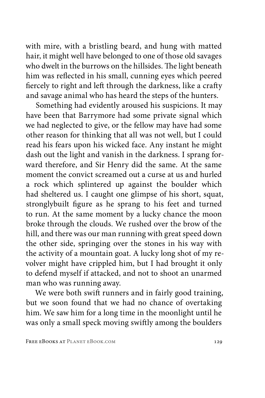with mire, with a bristling beard, and hung with matted hair, it might well have belonged to one of those old savages who dwelt in the burrows on the hillsides. The light beneath him was reflected in his small, cunning eyes which peered fiercely to right and left through the darkness, like a crafty and savage animal who has heard the steps of the hunters.

Something had evidently aroused his suspicions. It may have been that Barrymore had some private signal which we had neglected to give, or the fellow may have had some other reason for thinking that all was not well, but I could read his fears upon his wicked face. Any instant he might dash out the light and vanish in the darkness. I sprang forward therefore, and Sir Henry did the same. At the same moment the convict screamed out a curse at us and hurled a rock which splintered up against the boulder which had sheltered us. I caught one glimpse of his short, squat, stronglybuilt figure as he sprang to his feet and turned to run. At the same moment by a lucky chance the moon broke through the clouds. We rushed over the brow of the hill, and there was our man running with great speed down the other side, springing over the stones in his way with the activity of a mountain goat. A lucky long shot of my revolver might have crippled him, but I had brought it only to defend myself if attacked, and not to shoot an unarmed man who was running away.

We were both swift runners and in fairly good training, but we soon found that we had no chance of overtaking him. We saw him for a long time in the moonlight until he was only a small speck moving swiftly among the boulders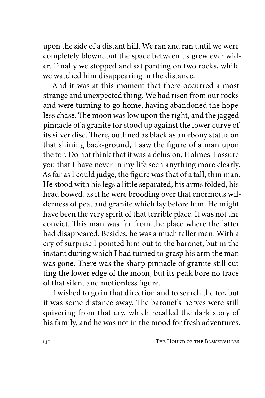upon the side of a distant hill. We ran and ran until we were completely blown, but the space between us grew ever wider. Finally we stopped and sat panting on two rocks, while we watched him disappearing in the distance.

And it was at this moment that there occurred a most strange and unexpected thing. We had risen from our rocks and were turning to go home, having abandoned the hopeless chase. The moon was low upon the right, and the jagged pinnacle of a granite tor stood up against the lower curve of its silver disc. There, outlined as black as an ebony statue on that shining back-ground, I saw the figure of a man upon the tor. Do not think that it was a delusion, Holmes. I assure you that I have never in my life seen anything more clearly. As far as I could judge, the figure was that of a tall, thin man. He stood with his legs a little separated, his arms folded, his head bowed, as if he were brooding over that enormous wilderness of peat and granite which lay before him. He might have been the very spirit of that terrible place. It was not the convict. This man was far from the place where the latter had disappeared. Besides, he was a much taller man. With a cry of surprise I pointed him out to the baronet, but in the instant during which I had turned to grasp his arm the man was gone. There was the sharp pinnacle of granite still cutting the lower edge of the moon, but its peak bore no trace of that silent and motionless figure.

I wished to go in that direction and to search the tor, but it was some distance away. The baronet's nerves were still quivering from that cry, which recalled the dark story of his family, and he was not in the mood for fresh adventures.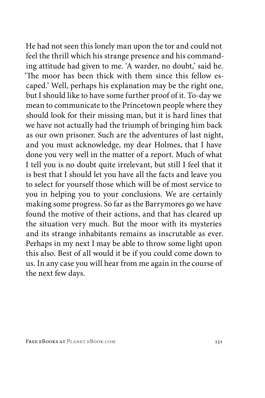He had not seen this lonely man upon the tor and could not feel the thrill which his strange presence and his commanding attitude had given to me. 'A warder, no doubt,' said he. 'The moor has been thick with them since this fellow escaped.' Well, perhaps his explanation may be the right one, but I should like to have some further proof of it. To-day we mean to communicate to the Princetown people where they should look for their missing man, but it is hard lines that we have not actually had the triumph of bringing him back as our own prisoner. Such are the adventures of last night, and you must acknowledge, my dear Holmes, that I have done you very well in the matter of a report. Much of what I tell you is no doubt quite irrelevant, but still I feel that it is best that I should let you have all the facts and leave you to select for yourself those which will be of most service to you in helping you to your conclusions. We are certainly making some progress. So far as the Barrymores go we have found the motive of their actions, and that has cleared up the situation very much. But the moor with its mysteries and its strange inhabitants remains as inscrutable as ever. Perhaps in my next I may be able to throw some light upon this also. Best of all would it be if you could come down to us. In any case you will hear from me again in the course of the next few days.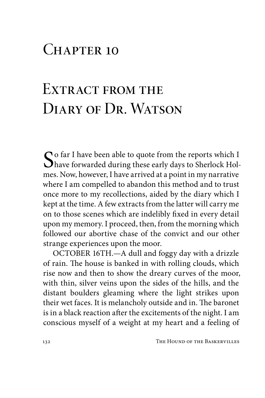### CHAPTER 10

### EXTRACT FROM THE DIARY OF DR. WATSON

So far I have been able to quote from the reports which I have forwarded during these early days to Sherlock Holmes. Now, however, I have arrived at a point in my narrative where I am compelled to abandon this method and to trust once more to my recollections, aided by the diary which I kept at the time. A few extracts from the latter will carry me on to those scenes which are indelibly fixed in every detail upon my memory. I proceed, then, from the morning which followed our abortive chase of the convict and our other strange experiences upon the moor.

OCTOBER 16TH.—A dull and foggy day with a drizzle of rain. The house is banked in with rolling clouds, which rise now and then to show the dreary curves of the moor, with thin, silver veins upon the sides of the hills, and the distant boulders gleaming where the light strikes upon their wet faces. It is melancholy outside and in. The baronet is in a black reaction after the excitements of the night. I am conscious myself of a weight at my heart and a feeling of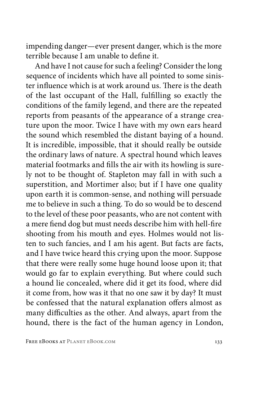impending danger—ever present danger, which is the more terrible because I am unable to define it.

And have I not cause for such a feeling? Consider the long sequence of incidents which have all pointed to some sinister influence which is at work around us. There is the death of the last occupant of the Hall, fulfilling so exactly the conditions of the family legend, and there are the repeated reports from peasants of the appearance of a strange creature upon the moor. Twice I have with my own ears heard the sound which resembled the distant baying of a hound. It is incredible, impossible, that it should really be outside the ordinary laws of nature. A spectral hound which leaves material footmarks and fills the air with its howling is surely not to be thought of. Stapleton may fall in with such a superstition, and Mortimer also; but if I have one quality upon earth it is common-sense, and nothing will persuade me to believe in such a thing. To do so would be to descend to the level of these poor peasants, who are not content with a mere fiend dog but must needs describe him with hell-fire shooting from his mouth and eyes. Holmes would not listen to such fancies, and I am his agent. But facts are facts, and I have twice heard this crying upon the moor. Suppose that there were really some huge hound loose upon it; that would go far to explain everything. But where could such a hound lie concealed, where did it get its food, where did it come from, how was it that no one saw it by day? It must be confessed that the natural explanation offers almost as many difficulties as the other. And always, apart from the hound, there is the fact of the human agency in London,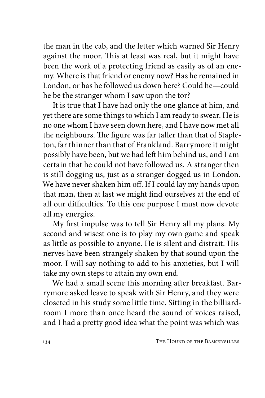the man in the cab, and the letter which warned Sir Henry against the moor. This at least was real, but it might have been the work of a protecting friend as easily as of an enemy. Where is that friend or enemy now? Has he remained in London, or has he followed us down here? Could he—could he be the stranger whom I saw upon the tor?

It is true that I have had only the one glance at him, and yet there are some things to which I am ready to swear. He is no one whom I have seen down here, and I have now met all the neighbours. The figure was far taller than that of Stapleton, far thinner than that of Frankland. Barrymore it might possibly have been, but we had left him behind us, and I am certain that he could not have followed us. A stranger then is still dogging us, just as a stranger dogged us in London. We have never shaken him off. If I could lay my hands upon that man, then at last we might find ourselves at the end of all our difficulties. To this one purpose I must now devote all my energies.

My first impulse was to tell Sir Henry all my plans. My second and wisest one is to play my own game and speak as little as possible to anyone. He is silent and distrait. His nerves have been strangely shaken by that sound upon the moor. I will say nothing to add to his anxieties, but I will take my own steps to attain my own end.

We had a small scene this morning after breakfast. Barrymore asked leave to speak with Sir Henry, and they were closeted in his study some little time. Sitting in the billiardroom I more than once heard the sound of voices raised, and I had a pretty good idea what the point was which was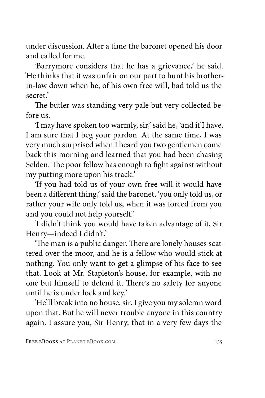under discussion. After a time the baronet opened his door and called for me.

'Barrymore considers that he has a grievance,' he said. 'He thinks that it was unfair on our part to hunt his brotherin-law down when he, of his own free will, had told us the secret.'

The butler was standing very pale but very collected before us.

'I may have spoken too warmly, sir,' said he, 'and if I have, I am sure that I beg your pardon. At the same time, I was very much surprised when I heard you two gentlemen come back this morning and learned that you had been chasing Selden. The poor fellow has enough to fight against without my putting more upon his track.'

'If you had told us of your own free will it would have been a different thing,' said the baronet, 'you only told us, or rather your wife only told us, when it was forced from you and you could not help yourself.'

'I didn't think you would have taken advantage of it, Sir Henry—indeed I didn't.'

'The man is a public danger. There are lonely houses scattered over the moor, and he is a fellow who would stick at nothing. You only want to get a glimpse of his face to see that. Look at Mr. Stapleton's house, for example, with no one but himself to defend it. There's no safety for anyone until he is under lock and key.'

'He'll break into no house, sir. I give you my solemn word upon that. But he will never trouble anyone in this country again. I assure you, Sir Henry, that in a very few days the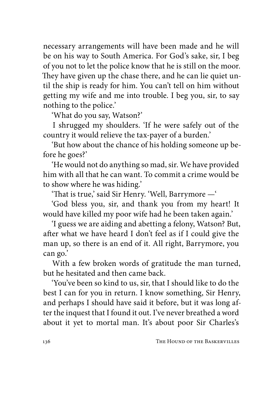necessary arrangements will have been made and he will be on his way to South America. For God's sake, sir, I beg of you not to let the police know that he is still on the moor. They have given up the chase there, and he can lie quiet until the ship is ready for him. You can't tell on him without getting my wife and me into trouble. I beg you, sir, to say nothing to the police.'

'What do you say, Watson?'

I shrugged my shoulders. 'If he were safely out of the country it would relieve the tax-payer of a burden.'

'But how about the chance of his holding someone up before he goes?'

'He would not do anything so mad, sir. We have provided him with all that he can want. To commit a crime would be to show where he was hiding.'

'That is true,' said Sir Henry. 'Well, Barrymore —'

'God bless you, sir, and thank you from my heart! It would have killed my poor wife had he been taken again.'

'I guess we are aiding and abetting a felony, Watson? But, after what we have heard I don't feel as if I could give the man up, so there is an end of it. All right, Barrymore, you can go.'

With a few broken words of gratitude the man turned, but he hesitated and then came back.

'You've been so kind to us, sir, that I should like to do the best I can for you in return. I know something, Sir Henry, and perhaps I should have said it before, but it was long after the inquest that I found it out. I've never breathed a word about it yet to mortal man. It's about poor Sir Charles's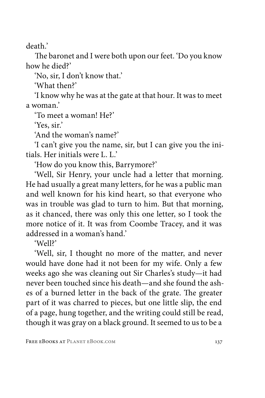death.'

The baronet and I were both upon our feet. 'Do you know how he died?'

'No, sir, I don't know that.'

'What then?'

'I know why he was at the gate at that hour. It was to meet a woman.'

'To meet a woman! He?'

'Yes, sir.'

'And the woman's name?'

'I can't give you the name, sir, but I can give you the initials. Her initials were L. L.'

'How do you know this, Barrymore?'

'Well, Sir Henry, your uncle had a letter that morning. He had usually a great many letters, for he was a public man and well known for his kind heart, so that everyone who was in trouble was glad to turn to him. But that morning, as it chanced, there was only this one letter, so I took the more notice of it. It was from Coombe Tracey, and it was addressed in a woman's hand.'

'Well?'

'Well, sir, I thought no more of the matter, and never would have done had it not been for my wife. Only a few weeks ago she was cleaning out Sir Charles's study—it had never been touched since his death—and she found the ashes of a burned letter in the back of the grate. The greater part of it was charred to pieces, but one little slip, the end of a page, hung together, and the writing could still be read, though it was gray on a black ground. It seemed to us to be a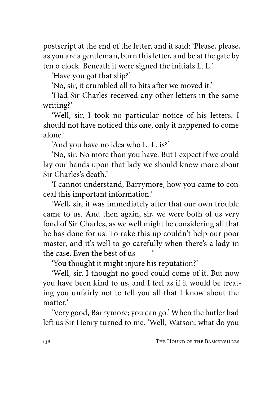postscript at the end of the letter, and it said: 'Please, please, as you are a gentleman, burn this letter, and be at the gate by ten o clock. Beneath it were signed the initials L. L.'

'Have you got that slip?'

'No, sir, it crumbled all to bits after we moved it.'

'Had Sir Charles received any other letters in the same writing?'

'Well, sir, I took no particular notice of his letters. I should not have noticed this one, only it happened to come alone.'

'And you have no idea who L. L. is?'

'No, sir. No more than you have. But I expect if we could lay our hands upon that lady we should know more about Sir Charles's death.'

'I cannot understand, Barrymore, how you came to conceal this important information.'

'Well, sir, it was immediately after that our own trouble came to us. And then again, sir, we were both of us very fond of Sir Charles, as we well might be considering all that he has done for us. To rake this up couldn't help our poor master, and it's well to go carefully when there's a lady in the case. Even the best of us ——'

'You thought it might injure his reputation?'

'Well, sir, I thought no good could come of it. But now you have been kind to us, and I feel as if it would be treating you unfairly not to tell you all that I know about the matter.'

'Very good, Barrymore; you can go.' When the butler had left us Sir Henry turned to me. 'Well, Watson, what do you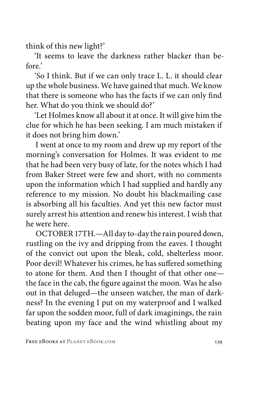think of this new light?'

'It seems to leave the darkness rather blacker than before.'

'So I think. But if we can only trace L. L. it should clear up the whole business. We have gained that much. We know that there is someone who has the facts if we can only find her. What do you think we should do?'

'Let Holmes know all about it at once. It will give him the clue for which he has been seeking. I am much mistaken if it does not bring him down.'

I went at once to my room and drew up my report of the morning's conversation for Holmes. It was evident to me that he had been very busy of late, for the notes which I had from Baker Street were few and short, with no comments upon the information which I had supplied and hardly any reference to my mission. No doubt his blackmailing case is absorbing all his faculties. And yet this new factor must surely arrest his attention and renew his interest. I wish that he were here.

OCTOBER 17TH.—All day to-day the rain poured down, rustling on the ivy and dripping from the eaves. I thought of the convict out upon the bleak, cold, shelterless moor. Poor devil! Whatever his crimes, he has suffered something to atone for them. And then I thought of that other one the face in the cab, the figure against the moon. Was he also out in that deluged—the unseen watcher, the man of darkness? In the evening I put on my waterproof and I walked far upon the sodden moor, full of dark imaginings, the rain beating upon my face and the wind whistling about my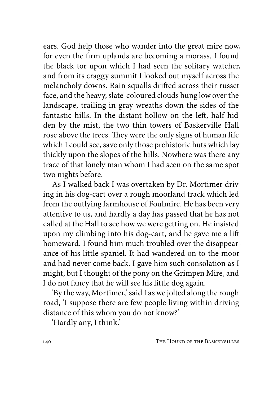ears. God help those who wander into the great mire now, for even the firm uplands are becoming a morass. I found the black tor upon which I had seen the solitary watcher, and from its craggy summit I looked out myself across the melancholy downs. Rain squalls drifted across their russet face, and the heavy, slate-coloured clouds hung low over the landscape, trailing in gray wreaths down the sides of the fantastic hills. In the distant hollow on the left, half hidden by the mist, the two thin towers of Baskerville Hall rose above the trees. They were the only signs of human life which I could see, save only those prehistoric huts which lay thickly upon the slopes of the hills. Nowhere was there any trace of that lonely man whom I had seen on the same spot two nights before.

As I walked back I was overtaken by Dr. Mortimer driving in his dog-cart over a rough moorland track which led from the outlying farmhouse of Foulmire. He has been very attentive to us, and hardly a day has passed that he has not called at the Hall to see how we were getting on. He insisted upon my climbing into his dog-cart, and he gave me a lift homeward. I found him much troubled over the disappearance of his little spaniel. It had wandered on to the moor and had never come back. I gave him such consolation as I might, but I thought of the pony on the Grimpen Mire, and I do not fancy that he will see his little dog again.

'By the way, Mortimer,' said I as we jolted along the rough road, 'I suppose there are few people living within driving distance of this whom you do not know?'

'Hardly any, I think.'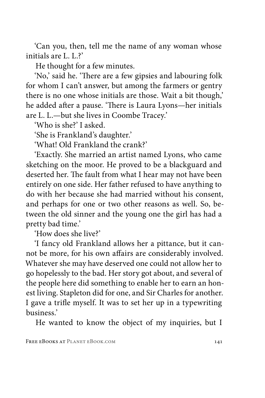'Can you, then, tell me the name of any woman whose initials are L. L.?'

He thought for a few minutes.

'No,' said he. 'There are a few gipsies and labouring folk for whom I can't answer, but among the farmers or gentry there is no one whose initials are those. Wait a bit though,' he added after a pause. 'There is Laura Lyons—her initials are L. L.—but she lives in Coombe Tracey.'

'Who is she?' I asked.

'She is Frankland's daughter.'

'What! Old Frankland the crank?'

'Exactly. She married an artist named Lyons, who came sketching on the moor. He proved to be a blackguard and deserted her. The fault from what I hear may not have been entirely on one side. Her father refused to have anything to do with her because she had married without his consent, and perhaps for one or two other reasons as well. So, between the old sinner and the young one the girl has had a pretty bad time.'

'How does she live?'

'I fancy old Frankland allows her a pittance, but it cannot be more, for his own affairs are considerably involved. Whatever she may have deserved one could not allow her to go hopelessly to the bad. Her story got about, and several of the people here did something to enable her to earn an honest living. Stapleton did for one, and Sir Charles for another. I gave a trifle myself. It was to set her up in a typewriting business.'

He wanted to know the object of my inquiries, but I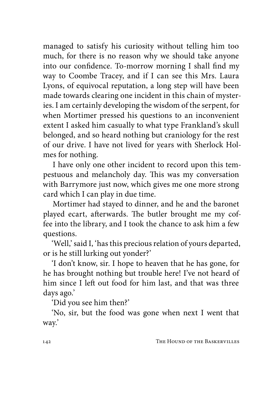managed to satisfy his curiosity without telling him too much, for there is no reason why we should take anyone into our confidence. To-morrow morning I shall find my way to Coombe Tracey, and if I can see this Mrs. Laura Lyons, of equivocal reputation, a long step will have been made towards clearing one incident in this chain of mysteries. I am certainly developing the wisdom of the serpent, for when Mortimer pressed his questions to an inconvenient extent I asked him casually to what type Frankland's skull belonged, and so heard nothing but craniology for the rest of our drive. I have not lived for years with Sherlock Holmes for nothing.

I have only one other incident to record upon this tempestuous and melancholy day. This was my conversation with Barrymore just now, which gives me one more strong card which I can play in due time.

Mortimer had stayed to dinner, and he and the baronet played ecart, afterwards. The butler brought me my coffee into the library, and I took the chance to ask him a few questions.

'Well,' said I, 'has this precious relation of yours departed, or is he still lurking out yonder?'

'I don't know, sir. I hope to heaven that he has gone, for he has brought nothing but trouble here! I've not heard of him since I left out food for him last, and that was three days ago.'

'Did you see him then?'

'No, sir, but the food was gone when next I went that way.'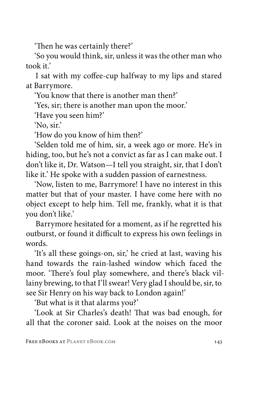'Then he was certainly there?'

'So you would think, sir, unless it was the other man who took it.'

I sat with my coffee-cup halfway to my lips and stared at Barrymore.

'You know that there is another man then?'

'Yes, sir; there is another man upon the moor.'

'Have you seen him?'

'No, sir.'

'How do you know of him then?'

'Selden told me of him, sir, a week ago or more. He's in hiding, too, but he's not a convict as far as I can make out. I don't like it, Dr. Watson—I tell you straight, sir, that I don't like it.' He spoke with a sudden passion of earnestness.

'Now, listen to me, Barrymore! I have no interest in this matter but that of your master. I have come here with no object except to help him. Tell me, frankly, what it is that you don't like.'

Barrymore hesitated for a moment, as if he regretted his outburst, or found it difficult to express his own feelings in words.

'It's all these goings-on, sir,' he cried at last, waving his hand towards the rain-lashed window which faced the moor. 'There's foul play somewhere, and there's black villainy brewing, to that I'll swear! Very glad I should be, sir, to see Sir Henry on his way back to London again!'

'But what is it that alarms you?'

'Look at Sir Charles's death! That was bad enough, for all that the coroner said. Look at the noises on the moor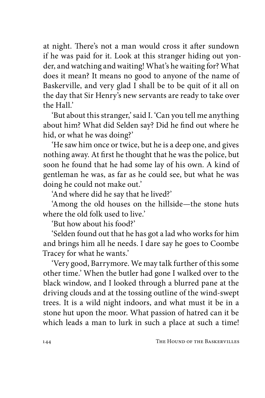at night. There's not a man would cross it after sundown if he was paid for it. Look at this stranger hiding out yonder, and watching and waiting! What's he waiting for? What does it mean? It means no good to anyone of the name of Baskerville, and very glad I shall be to be quit of it all on the day that Sir Henry's new servants are ready to take over the Hall.'

'But about this stranger,' said I. 'Can you tell me anything about him? What did Selden say? Did he find out where he hid, or what he was doing?'

'He saw him once or twice, but he is a deep one, and gives nothing away. At first he thought that he was the police, but soon he found that he had some lay of his own. A kind of gentleman he was, as far as he could see, but what he was doing he could not make out.'

'And where did he say that he lived?'

'Among the old houses on the hillside—the stone huts where the old folk used to live'

'But how about his food?'

'Selden found out that he has got a lad who works for him and brings him all he needs. I dare say he goes to Coombe Tracey for what he wants.'

'Very good, Barrymore. We may talk further of this some other time.' When the butler had gone I walked over to the black window, and I looked through a blurred pane at the driving clouds and at the tossing outline of the wind-swept trees. It is a wild night indoors, and what must it be in a stone hut upon the moor. What passion of hatred can it be which leads a man to lurk in such a place at such a time!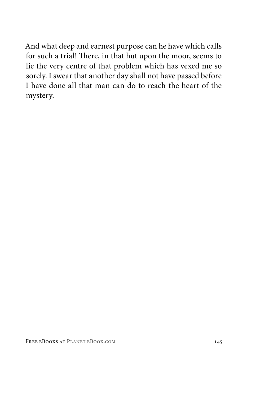And what deep and earnest purpose can he have which calls for such a trial! There, in that hut upon the moor, seems to lie the very centre of that problem which has vexed me so sorely. I swear that another day shall not have passed before I have done all that man can do to reach the heart of the mystery.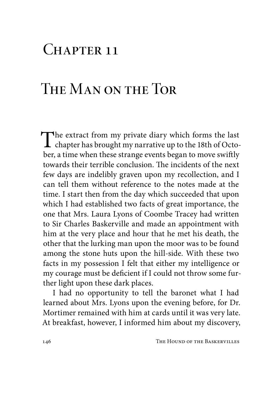## $CHAPTER$  11

# The Man on the Tor

The extract from my private diary which forms the last chapter has brought my narrative up to the 18th of October, a time when these strange events began to move swiftly towards their terrible conclusion. The incidents of the next few days are indelibly graven upon my recollection, and I can tell them without reference to the notes made at the time. I start then from the day which succeeded that upon which I had established two facts of great importance, the one that Mrs. Laura Lyons of Coombe Tracey had written to Sir Charles Baskerville and made an appointment with him at the very place and hour that he met his death, the other that the lurking man upon the moor was to be found among the stone huts upon the hill-side. With these two facts in my possession I felt that either my intelligence or my courage must be deficient if I could not throw some further light upon these dark places.

I had no opportunity to tell the baronet what I had learned about Mrs. Lyons upon the evening before, for Dr. Mortimer remained with him at cards until it was very late. At breakfast, however, I informed him about my discovery,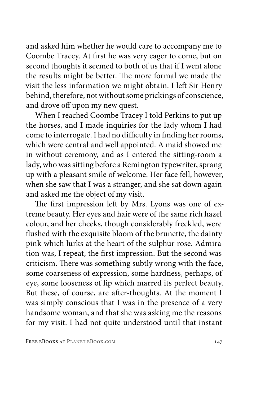and asked him whether he would care to accompany me to Coombe Tracey. At first he was very eager to come, but on second thoughts it seemed to both of us that if I went alone the results might be better. The more formal we made the visit the less information we might obtain. I left Sir Henry behind, therefore, not without some prickings of conscience, and drove off upon my new quest.

When I reached Coombe Tracey I told Perkins to put up the horses, and I made inquiries for the lady whom I had come to interrogate. I had no difficulty in finding her rooms, which were central and well appointed. A maid showed me in without ceremony, and as I entered the sitting-room a lady, who was sitting before a Remington typewriter, sprang up with a pleasant smile of welcome. Her face fell, however, when she saw that I was a stranger, and she sat down again and asked me the object of my visit.

The first impression left by Mrs. Lyons was one of extreme beauty. Her eyes and hair were of the same rich hazel colour, and her cheeks, though considerably freckled, were flushed with the exquisite bloom of the brunette, the dainty pink which lurks at the heart of the sulphur rose. Admiration was, I repeat, the first impression. But the second was criticism. There was something subtly wrong with the face, some coarseness of expression, some hardness, perhaps, of eye, some looseness of lip which marred its perfect beauty. But these, of course, are after-thoughts. At the moment I was simply conscious that I was in the presence of a very handsome woman, and that she was asking me the reasons for my visit. I had not quite understood until that instant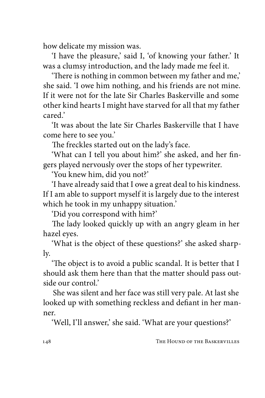how delicate my mission was.

'I have the pleasure,' said I, 'of knowing your father.' It was a clumsy introduction, and the lady made me feel it.

'There is nothing in common between my father and me,' she said. 'I owe him nothing, and his friends are not mine. If it were not for the late Sir Charles Baskerville and some other kind hearts I might have starved for all that my father cared.'

'It was about the late Sir Charles Baskerville that I have come here to see you.'

The freckles started out on the lady's face.

'What can I tell you about him?' she asked, and her fingers played nervously over the stops of her typewriter.

'You knew him, did you not?'

'I have already said that I owe a great deal to his kindness. If I am able to support myself it is largely due to the interest which he took in my unhappy situation.'

'Did you correspond with him?'

The lady looked quickly up with an angry gleam in her hazel eyes.

'What is the object of these questions?' she asked sharply.

'The object is to avoid a public scandal. It is better that I should ask them here than that the matter should pass outside our control.'

She was silent and her face was still very pale. At last she looked up with something reckless and defiant in her manner.

'Well, I'll answer,' she said. 'What are your questions?'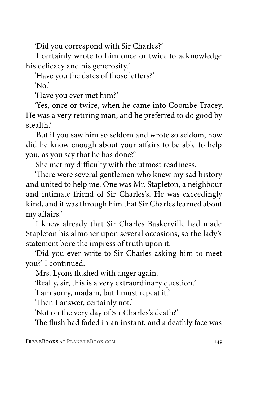'Did you correspond with Sir Charles?'

'I certainly wrote to him once or twice to acknowledge his delicacy and his generosity.'

'Have you the dates of those letters?'

'No.'

'Have you ever met him?'

'Yes, once or twice, when he came into Coombe Tracey. He was a very retiring man, and he preferred to do good by stealth.'

'But if you saw him so seldom and wrote so seldom, how did he know enough about your affairs to be able to help you, as you say that he has done?'

She met my difficulty with the utmost readiness.

'There were several gentlemen who knew my sad history and united to help me. One was Mr. Stapleton, a neighbour and intimate friend of Sir Charles's. He was exceedingly kind, and it was through him that Sir Charles learned about my affairs.'

I knew already that Sir Charles Baskerville had made Stapleton his almoner upon several occasions, so the lady's statement bore the impress of truth upon it.

'Did you ever write to Sir Charles asking him to meet you?' I continued.

Mrs. Lyons flushed with anger again.

'Really, sir, this is a very extraordinary question.'

'I am sorry, madam, but I must repeat it.'

'Then I answer, certainly not.'

'Not on the very day of Sir Charles's death?'

The flush had faded in an instant, and a deathly face was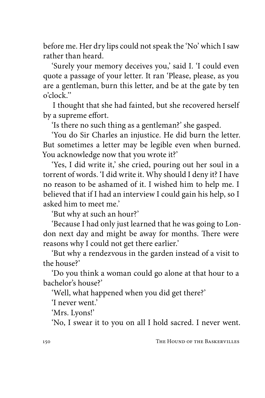before me. Her dry lips could not speak the 'No' which I saw rather than heard.

'Surely your memory deceives you,' said I. 'I could even quote a passage of your letter. It ran 'Please, please, as you are a gentleman, burn this letter, and be at the gate by ten o'clock.''

I thought that she had fainted, but she recovered herself by a supreme effort.

'Is there no such thing as a gentleman?' she gasped.

'You do Sir Charles an injustice. He did burn the letter. But sometimes a letter may be legible even when burned. You acknowledge now that you wrote it?'

'Yes, I did write it,' she cried, pouring out her soul in a torrent of words. 'I did write it. Why should I deny it? I have no reason to be ashamed of it. I wished him to help me. I believed that if I had an interview I could gain his help, so I asked him to meet me.'

'But why at such an hour?'

'Because I had only just learned that he was going to London next day and might be away for months. There were reasons why I could not get there earlier.'

'But why a rendezvous in the garden instead of a visit to the house?'

'Do you think a woman could go alone at that hour to a bachelor's house?'

'Well, what happened when you did get there?'

'I never went.'

'Mrs. Lyons!'

'No, I swear it to you on all I hold sacred. I never went.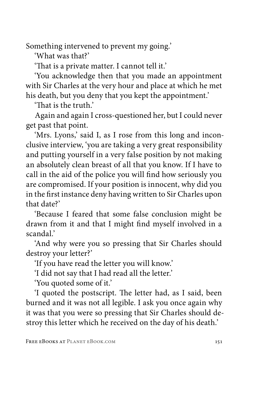Something intervened to prevent my going.'

'What was that?'

'That is a private matter. I cannot tell it.'

'You acknowledge then that you made an appointment with Sir Charles at the very hour and place at which he met his death, but you deny that you kept the appointment.'

'That is the truth.'

Again and again I cross-questioned her, but I could never get past that point.

'Mrs. Lyons,' said I, as I rose from this long and inconclusive interview, 'you are taking a very great responsibility and putting yourself in a very false position by not making an absolutely clean breast of all that you know. If I have to call in the aid of the police you will find how seriously you are compromised. If your position is innocent, why did you in the first instance deny having written to Sir Charles upon that date?'

'Because I feared that some false conclusion might be drawn from it and that I might find myself involved in a scandal.'

'And why were you so pressing that Sir Charles should destroy your letter?'

'If you have read the letter you will know.'

'I did not say that I had read all the letter.'

'You quoted some of it.'

'I quoted the postscript. The letter had, as I said, been burned and it was not all legible. I ask you once again why it was that you were so pressing that Sir Charles should destroy this letter which he received on the day of his death.'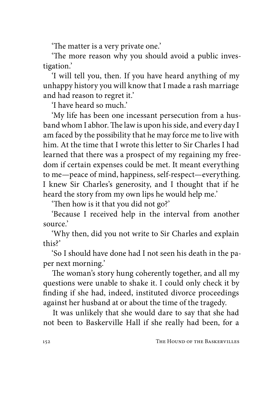'The matter is a very private one.'

'The more reason why you should avoid a public investigation.'

'I will tell you, then. If you have heard anything of my unhappy history you will know that I made a rash marriage and had reason to regret it.'

'I have heard so much.'

'My life has been one incessant persecution from a husband whom I abhor. The law is upon his side, and every day I am faced by the possibility that he may force me to live with him. At the time that I wrote this letter to Sir Charles I had learned that there was a prospect of my regaining my freedom if certain expenses could be met. It meant everything to me—peace of mind, happiness, self-respect—everything. I knew Sir Charles's generosity, and I thought that if he heard the story from my own lips he would help me.'

'Then how is it that you did not go?'

'Because I received help in the interval from another source.'

'Why then, did you not write to Sir Charles and explain this?'

'So I should have done had I not seen his death in the paper next morning.'

The woman's story hung coherently together, and all my questions were unable to shake it. I could only check it by finding if she had, indeed, instituted divorce proceedings against her husband at or about the time of the tragedy.

It was unlikely that she would dare to say that she had not been to Baskerville Hall if she really had been, for a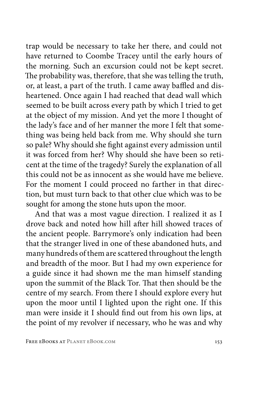trap would be necessary to take her there, and could not have returned to Coombe Tracey until the early hours of the morning. Such an excursion could not be kept secret. The probability was, therefore, that she was telling the truth, or, at least, a part of the truth. I came away baffled and disheartened. Once again I had reached that dead wall which seemed to be built across every path by which I tried to get at the object of my mission. And yet the more I thought of the lady's face and of her manner the more I felt that something was being held back from me. Why should she turn so pale? Why should she fight against every admission until it was forced from her? Why should she have been so reticent at the time of the tragedy? Surely the explanation of all this could not be as innocent as she would have me believe. For the moment I could proceed no farther in that direction, but must turn back to that other clue which was to be sought for among the stone huts upon the moor.

And that was a most vague direction. I realized it as I drove back and noted how hill after hill showed traces of the ancient people. Barrymore's only indication had been that the stranger lived in one of these abandoned huts, and many hundreds of them are scattered throughout the length and breadth of the moor. But I had my own experience for a guide since it had shown me the man himself standing upon the summit of the Black Tor. That then should be the centre of my search. From there I should explore every hut upon the moor until I lighted upon the right one. If this man were inside it I should find out from his own lips, at the point of my revolver if necessary, who he was and why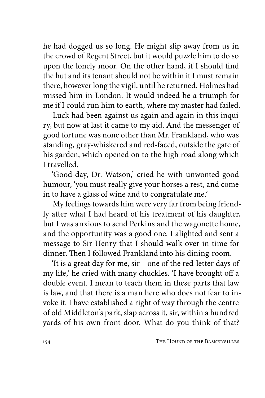he had dogged us so long. He might slip away from us in the crowd of Regent Street, but it would puzzle him to do so upon the lonely moor. On the other hand, if I should find the hut and its tenant should not be within it I must remain there, however long the vigil, until he returned. Holmes had missed him in London. It would indeed be a triumph for me if I could run him to earth, where my master had failed.

Luck had been against us again and again in this inquiry, but now at last it came to my aid. And the messenger of good fortune was none other than Mr. Frankland, who was standing, gray-whiskered and red-faced, outside the gate of his garden, which opened on to the high road along which I travelled.

'Good-day, Dr. Watson,' cried he with unwonted good humour, 'you must really give your horses a rest, and come in to have a glass of wine and to congratulate me.'

My feelings towards him were very far from being friendly after what I had heard of his treatment of his daughter, but I was anxious to send Perkins and the wagonette home, and the opportunity was a good one. I alighted and sent a message to Sir Henry that I should walk over in time for dinner. Then I followed Frankland into his dining-room.

'It is a great day for me, sir—one of the red-letter days of my life,' he cried with many chuckles. 'I have brought off a double event. I mean to teach them in these parts that law is law, and that there is a man here who does not fear to invoke it. I have established a right of way through the centre of old Middleton's park, slap across it, sir, within a hundred yards of his own front door. What do you think of that?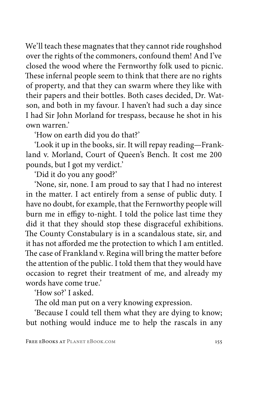We'll teach these magnates that they cannot ride roughshod over the rights of the commoners, confound them! And I've closed the wood where the Fernworthy folk used to picnic. These infernal people seem to think that there are no rights of property, and that they can swarm where they like with their papers and their bottles. Both cases decided, Dr. Watson, and both in my favour. I haven't had such a day since I had Sir John Morland for trespass, because he shot in his own warren.'

'How on earth did you do that?'

'Look it up in the books, sir. It will repay reading—Frankland v. Morland, Court of Queen's Bench. It cost me 200 pounds, but I got my verdict.'

'Did it do you any good?'

'None, sir, none. I am proud to say that I had no interest in the matter. I act entirely from a sense of public duty. I have no doubt, for example, that the Fernworthy people will burn me in effigy to-night. I told the police last time they did it that they should stop these disgraceful exhibitions. The County Constabulary is in a scandalous state, sir, and it has not afforded me the protection to which I am entitled. The case of Frankland v. Regina will bring the matter before the attention of the public. I told them that they would have occasion to regret their treatment of me, and already my words have come true.'

'How so?' I asked.

The old man put on a very knowing expression.

'Because I could tell them what they are dying to know; but nothing would induce me to help the rascals in any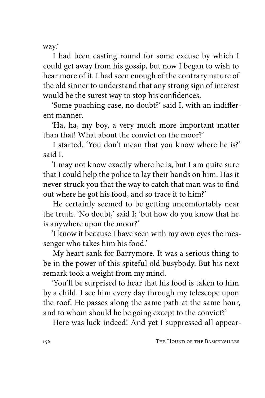way.'

I had been casting round for some excuse by which I could get away from his gossip, but now I began to wish to hear more of it. I had seen enough of the contrary nature of the old sinner to understand that any strong sign of interest would be the surest way to stop his confidences.

'Some poaching case, no doubt?' said I, with an indifferent manner.

'Ha, ha, my boy, a very much more important matter than that! What about the convict on the moor?'

I started. 'You don't mean that you know where he is?' said I.

'I may not know exactly where he is, but I am quite sure that I could help the police to lay their hands on him. Has it never struck you that the way to catch that man was to find out where he got his food, and so trace it to him?'

He certainly seemed to be getting uncomfortably near the truth. 'No doubt,' said I; 'but how do you know that he is anywhere upon the moor?'

'I know it because I have seen with my own eyes the messenger who takes him his food.'

My heart sank for Barrymore. It was a serious thing to be in the power of this spiteful old busybody. But his next remark took a weight from my mind.

'You'll be surprised to hear that his food is taken to him by a child. I see him every day through my telescope upon the roof. He passes along the same path at the same hour, and to whom should he be going except to the convict?'

Here was luck indeed! And yet I suppressed all appear-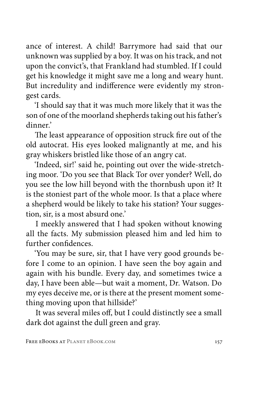ance of interest. A child! Barrymore had said that our unknown was supplied by a boy. It was on his track, and not upon the convict's, that Frankland had stumbled. If I could get his knowledge it might save me a long and weary hunt. But incredulity and indifference were evidently my strongest cards.

'I should say that it was much more likely that it was the son of one of the moorland shepherds taking out his father's dinner.'

The least appearance of opposition struck fire out of the old autocrat. His eyes looked malignantly at me, and his gray whiskers bristled like those of an angry cat.

'Indeed, sir!' said he, pointing out over the wide-stretching moor. 'Do you see that Black Tor over yonder? Well, do you see the low hill beyond with the thornbush upon it? It is the stoniest part of the whole moor. Is that a place where a shepherd would be likely to take his station? Your suggestion, sir, is a most absurd one.'

I meekly answered that I had spoken without knowing all the facts. My submission pleased him and led him to further confidences.

'You may be sure, sir, that I have very good grounds before I come to an opinion. I have seen the boy again and again with his bundle. Every day, and sometimes twice a day, I have been able—but wait a moment, Dr. Watson. Do my eyes deceive me, or is there at the present moment something moving upon that hillside?'

It was several miles off, but I could distinctly see a small dark dot against the dull green and gray.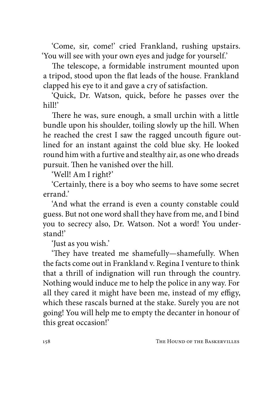'Come, sir, come!' cried Frankland, rushing upstairs. 'You will see with your own eyes and judge for yourself.'

The telescope, a formidable instrument mounted upon a tripod, stood upon the flat leads of the house. Frankland clapped his eye to it and gave a cry of satisfaction.

'Quick, Dr. Watson, quick, before he passes over the hill!'

There he was, sure enough, a small urchin with a little bundle upon his shoulder, toiling slowly up the hill. When he reached the crest I saw the ragged uncouth figure outlined for an instant against the cold blue sky. He looked round him with a furtive and stealthy air, as one who dreads pursuit. Then he vanished over the hill.

'Well! Am I right?'

'Certainly, there is a boy who seems to have some secret errand.'

'And what the errand is even a county constable could guess. But not one word shall they have from me, and I bind you to secrecy also, Dr. Watson. Not a word! You understand!'

'Just as you wish.'

'They have treated me shamefully—shamefully. When the facts come out in Frankland v. Regina I venture to think that a thrill of indignation will run through the country. Nothing would induce me to help the police in any way. For all they cared it might have been me, instead of my effigy, which these rascals burned at the stake. Surely you are not going! You will help me to empty the decanter in honour of this great occasion!'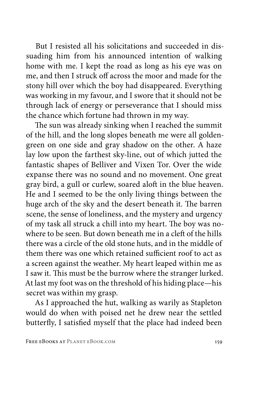But I resisted all his solicitations and succeeded in dissuading him from his announced intention of walking home with me. I kept the road as long as his eye was on me, and then I struck off across the moor and made for the stony hill over which the boy had disappeared. Everything was working in my favour, and I swore that it should not be through lack of energy or perseverance that I should miss the chance which fortune had thrown in my way.

The sun was already sinking when I reached the summit of the hill, and the long slopes beneath me were all goldengreen on one side and gray shadow on the other. A haze lay low upon the farthest sky-line, out of which jutted the fantastic shapes of Belliver and Vixen Tor. Over the wide expanse there was no sound and no movement. One great gray bird, a gull or curlew, soared aloft in the blue heaven. He and I seemed to be the only living things between the huge arch of the sky and the desert beneath it. The barren scene, the sense of loneliness, and the mystery and urgency of my task all struck a chill into my heart. The boy was nowhere to be seen. But down beneath me in a cleft of the hills there was a circle of the old stone huts, and in the middle of them there was one which retained sufficient roof to act as a screen against the weather. My heart leaped within me as I saw it. This must be the burrow where the stranger lurked. At last my foot was on the threshold of his hiding place—his secret was within my grasp.

As I approached the hut, walking as warily as Stapleton would do when with poised net he drew near the settled butterfly, I satisfied myself that the place had indeed been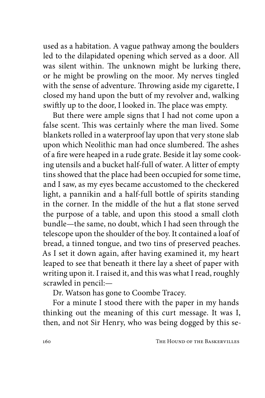used as a habitation. A vague pathway among the boulders led to the dilapidated opening which served as a door. All was silent within. The unknown might be lurking there, or he might be prowling on the moor. My nerves tingled with the sense of adventure. Throwing aside my cigarette, I closed my hand upon the butt of my revolver and, walking swiftly up to the door, I looked in. The place was empty.

But there were ample signs that I had not come upon a false scent. This was certainly where the man lived. Some blankets rolled in a waterproof lay upon that very stone slab upon which Neolithic man had once slumbered. The ashes of a fire were heaped in a rude grate. Beside it lay some cooking utensils and a bucket half-full of water. A litter of empty tins showed that the place had been occupied for some time, and I saw, as my eyes became accustomed to the checkered light, a pannikin and a half-full bottle of spirits standing in the corner. In the middle of the hut a flat stone served the purpose of a table, and upon this stood a small cloth bundle—the same, no doubt, which I had seen through the telescope upon the shoulder of the boy. It contained a loaf of bread, a tinned tongue, and two tins of preserved peaches. As I set it down again, after having examined it, my heart leaped to see that beneath it there lay a sheet of paper with writing upon it. I raised it, and this was what I read, roughly scrawled in pencil:—

Dr. Watson has gone to Coombe Tracey.

For a minute I stood there with the paper in my hands thinking out the meaning of this curt message. It was I, then, and not Sir Henry, who was being dogged by this se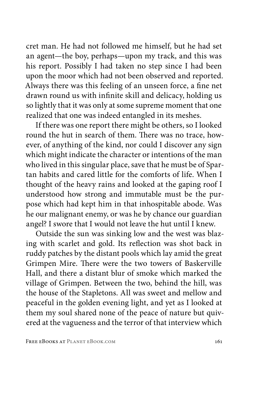cret man. He had not followed me himself, but he had set an agent—the boy, perhaps—upon my track, and this was his report. Possibly I had taken no step since I had been upon the moor which had not been observed and reported. Always there was this feeling of an unseen force, a fine net drawn round us with infinite skill and delicacy, holding us so lightly that it was only at some supreme moment that one realized that one was indeed entangled in its meshes.

If there was one report there might be others, so I looked round the hut in search of them. There was no trace, however, of anything of the kind, nor could I discover any sign which might indicate the character or intentions of the man who lived in this singular place, save that he must be of Spartan habits and cared little for the comforts of life. When I thought of the heavy rains and looked at the gaping roof I understood how strong and immutable must be the purpose which had kept him in that inhospitable abode. Was he our malignant enemy, or was he by chance our guardian angel? I swore that I would not leave the hut until I knew.

Outside the sun was sinking low and the west was blazing with scarlet and gold. Its reflection was shot back in ruddy patches by the distant pools which lay amid the great Grimpen Mire. There were the two towers of Baskerville Hall, and there a distant blur of smoke which marked the village of Grimpen. Between the two, behind the hill, was the house of the Stapletons. All was sweet and mellow and peaceful in the golden evening light, and yet as I looked at them my soul shared none of the peace of nature but quivered at the vagueness and the terror of that interview which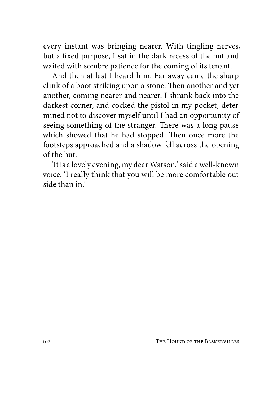every instant was bringing nearer. With tingling nerves, but a fixed purpose, I sat in the dark recess of the hut and waited with sombre patience for the coming of its tenant.

And then at last I heard him. Far away came the sharp clink of a boot striking upon a stone. Then another and yet another, coming nearer and nearer. I shrank back into the darkest corner, and cocked the pistol in my pocket, determined not to discover myself until I had an opportunity of seeing something of the stranger. There was a long pause which showed that he had stopped. Then once more the footsteps approached and a shadow fell across the opening of the hut.

'It is a lovely evening, my dear Watson,' said a well-known voice. 'I really think that you will be more comfortable outside than in.'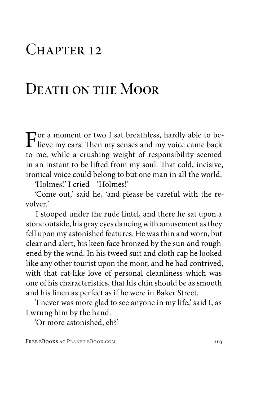### $CHAPTER$  12

#### DEATH ON THE MOOR

For a moment or two I sat breathless, hardly able to be-<br>lieve my ears. Then my senses and my voice came back<br>to me while a smushing weight of nononcibility seemed to me, while a crushing weight of responsibility seemed in an instant to be lifted from my soul. That cold, incisive, ironical voice could belong to but one man in all the world.

'Holmes!' I cried—'Holmes!'

'Come out,' said he, 'and please be careful with the revolver.'

I stooped under the rude lintel, and there he sat upon a stone outside, his gray eyes dancing with amusement as they fell upon my astonished features. He was thin and worn, but clear and alert, his keen face bronzed by the sun and roughened by the wind. In his tweed suit and cloth cap he looked like any other tourist upon the moor, and he had contrived, with that cat-like love of personal cleanliness which was one of his characteristics, that his chin should be as smooth and his linen as perfect as if he were in Baker Street.

'I never was more glad to see anyone in my life,' said I, as I wrung him by the hand.

'Or more astonished, eh?'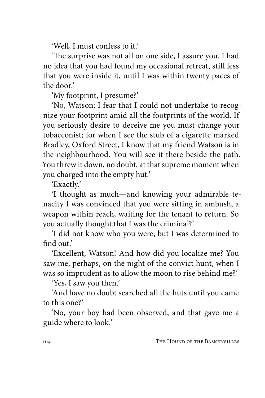'Well, I must confess to it.'

'The surprise was not all on one side, I assure you. I had no idea that you had found my occasional retreat, still less that you were inside it, until I was within twenty paces of the door.'

'My footprint, I presume?'

'No, Watson; I fear that I could not undertake to recognize your footprint amid all the footprints of the world. If you seriously desire to deceive me you must change your tobacconist; for when I see the stub of a cigarette marked Bradley, Oxford Street, I know that my friend Watson is in the neighbourhood. You will see it there beside the path. You threw it down, no doubt, at that supreme moment when you charged into the empty hut.'

'Exactly.'

'I thought as much—and knowing your admirable tenacity I was convinced that you were sitting in ambush, a weapon within reach, waiting for the tenant to return. So you actually thought that I was the criminal?'

'I did not know who you were, but I was determined to find out.'

'Excellent, Watson! And how did you localize me? You saw me, perhaps, on the night of the convict hunt, when I was so imprudent as to allow the moon to rise behind me?'

'Yes, I saw you then.'

'And have no doubt searched all the huts until you came to this one?'

'No, your boy had been observed, and that gave me a guide where to look.'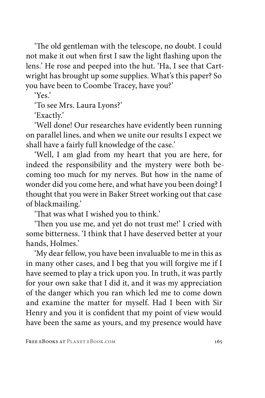'The old gentleman with the telescope, no doubt. I could not make it out when first I saw the light flashing upon the lens.' He rose and peeped into the hut. 'Ha, I see that Cartwright has brought up some supplies. What's this paper? So you have been to Coombe Tracey, have you?'

'Yes.'

'To see Mrs. Laura Lyons?'

'Exactly.'

'Well done! Our researches have evidently been running on parallel lines, and when we unite our results I expect we shall have a fairly full knowledge of the case.'

'Well, I am glad from my heart that you are here, for indeed the responsibility and the mystery were both becoming too much for my nerves. But how in the name of wonder did you come here, and what have you been doing? I thought that you were in Baker Street working out that case of blackmailing.'

'That was what I wished you to think.'

'Then you use me, and yet do not trust me!' I cried with some bitterness. 'I think that I have deserved better at your hands, Holmes.'

'My dear fellow, you have been invaluable to me in this as in many other cases, and I beg that you will forgive me if I have seemed to play a trick upon you. In truth, it was partly for your own sake that I did it, and it was my appreciation of the danger which you ran which led me to come down and examine the matter for myself. Had I been with Sir Henry and you it is confident that my point of view would have been the same as yours, and my presence would have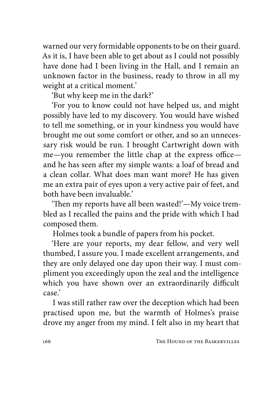warned our very formidable opponents to be on their guard. As it is, I have been able to get about as I could not possibly have done had I been living in the Hall, and I remain an unknown factor in the business, ready to throw in all my weight at a critical moment.'

'But why keep me in the dark?'

'For you to know could not have helped us, and might possibly have led to my discovery. You would have wished to tell me something, or in your kindness you would have brought me out some comfort or other, and so an unnecessary risk would be run. I brought Cartwright down with me—you remember the little chap at the express office and he has seen after my simple wants: a loaf of bread and a clean collar. What does man want more? He has given me an extra pair of eyes upon a very active pair of feet, and both have been invaluable.'

'Then my reports have all been wasted!'—My voice trembled as I recalled the pains and the pride with which I had composed them.

Holmes took a bundle of papers from his pocket.

'Here are your reports, my dear fellow, and very well thumbed, I assure you. I made excellent arrangements, and they are only delayed one day upon their way. I must compliment you exceedingly upon the zeal and the intelligence which you have shown over an extraordinarily difficult case.'

I was still rather raw over the deception which had been practised upon me, but the warmth of Holmes's praise drove my anger from my mind. I felt also in my heart that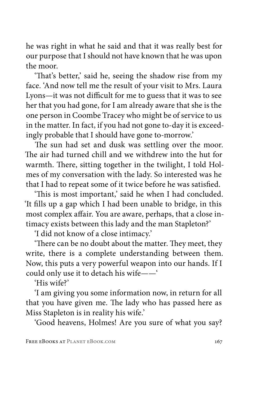he was right in what he said and that it was really best for our purpose that I should not have known that he was upon the moor.

'That's better,' said he, seeing the shadow rise from my face. 'And now tell me the result of your visit to Mrs. Laura Lyons—it was not difficult for me to guess that it was to see her that you had gone, for I am already aware that she is the one person in Coombe Tracey who might be of service to us in the matter. In fact, if you had not gone to-day it is exceedingly probable that I should have gone to-morrow.'

The sun had set and dusk was settling over the moor. The air had turned chill and we withdrew into the hut for warmth. There, sitting together in the twilight, I told Holmes of my conversation with the lady. So interested was he that I had to repeat some of it twice before he was satisfied.

'This is most important,' said he when I had concluded. 'It fills up a gap which I had been unable to bridge, in this most complex affair. You are aware, perhaps, that a close intimacy exists between this lady and the man Stapleton?'

'I did not know of a close intimacy.'

'There can be no doubt about the matter. They meet, they write, there is a complete understanding between them. Now, this puts a very powerful weapon into our hands. If I could only use it to detach his wife——'

'His wife?'

'I am giving you some information now, in return for all that you have given me. The lady who has passed here as Miss Stapleton is in reality his wife.'

'Good heavens, Holmes! Are you sure of what you say?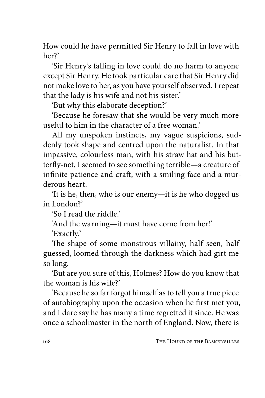How could he have permitted Sir Henry to fall in love with her?'

'Sir Henry's falling in love could do no harm to anyone except Sir Henry. He took particular care that Sir Henry did not make love to her, as you have yourself observed. I repeat that the lady is his wife and not his sister.'

'But why this elaborate deception?'

'Because he foresaw that she would be very much more useful to him in the character of a free woman.'

All my unspoken instincts, my vague suspicions, suddenly took shape and centred upon the naturalist. In that impassive, colourless man, with his straw hat and his butterfly-net, I seemed to see something terrible—a creature of infinite patience and craft, with a smiling face and a murderous heart.

'It is he, then, who is our enemy—it is he who dogged us in London?'

'So I read the riddle.'

'And the warning—it must have come from her!'

'Exactly.'

The shape of some monstrous villainy, half seen, half guessed, loomed through the darkness which had girt me so long.

'But are you sure of this, Holmes? How do you know that the woman is his wife?'

'Because he so far forgot himself as to tell you a true piece of autobiography upon the occasion when he first met you, and I dare say he has many a time regretted it since. He was once a schoolmaster in the north of England. Now, there is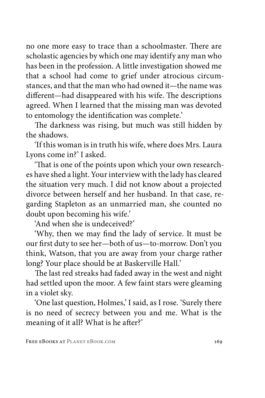no one more easy to trace than a schoolmaster. There are scholastic agencies by which one may identify any man who has been in the profession. A little investigation showed me that a school had come to grief under atrocious circumstances, and that the man who had owned it—the name was different—had disappeared with his wife. The descriptions agreed. When I learned that the missing man was devoted to entomology the identification was complete.'

The darkness was rising, but much was still hidden by the shadows.

'If this woman is in truth his wife, where does Mrs. Laura Lyons come in?' I asked.

'That is one of the points upon which your own researches have shed a light. Your interview with the lady has cleared the situation very much. I did not know about a projected divorce between herself and her husband. In that case, regarding Stapleton as an unmarried man, she counted no doubt upon becoming his wife.'

'And when she is undeceived?'

'Why, then we may find the lady of service. It must be our first duty to see her—both of us—to-morrow. Don't you think, Watson, that you are away from your charge rather long? Your place should be at Baskerville Hall.'

The last red streaks had faded away in the west and night had settled upon the moor. A few faint stars were gleaming in a violet sky.

'One last question, Holmes,' I said, as I rose. 'Surely there is no need of secrecy between you and me. What is the meaning of it all? What is he after?'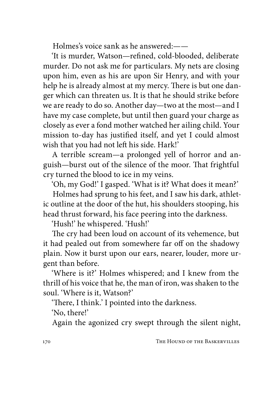Holmes's voice sank as he answered:——

'It is murder, Watson—refined, cold-blooded, deliberate murder. Do not ask me for particulars. My nets are closing upon him, even as his are upon Sir Henry, and with your help he is already almost at my mercy. There is but one danger which can threaten us. It is that he should strike before we are ready to do so. Another day—two at the most—and I have my case complete, but until then guard your charge as closely as ever a fond mother watched her ailing child. Your mission to-day has justified itself, and yet I could almost wish that you had not left his side. Hark!'

A terrible scream—a prolonged yell of horror and anguish—burst out of the silence of the moor. That frightful cry turned the blood to ice in my veins.

'Oh, my God!' I gasped. 'What is it? What does it mean?'

Holmes had sprung to his feet, and I saw his dark, athletic outline at the door of the hut, his shoulders stooping, his head thrust forward, his face peering into the darkness.

'Hush!' he whispered. 'Hush!'

The cry had been loud on account of its vehemence, but it had pealed out from somewhere far off on the shadowy plain. Now it burst upon our ears, nearer, louder, more urgent than before.

'Where is it?' Holmes whispered; and I knew from the thrill of his voice that he, the man of iron, was shaken to the soul. 'Where is it, Watson?'

'There, I think.' I pointed into the darkness.

'No, there!'

Again the agonized cry swept through the silent night,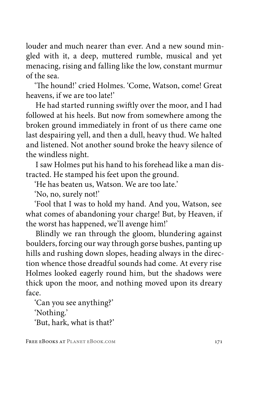louder and much nearer than ever. And a new sound mingled with it, a deep, muttered rumble, musical and yet menacing, rising and falling like the low, constant murmur of the sea.

'The hound!' cried Holmes. 'Come, Watson, come! Great heavens, if we are too late!'

He had started running swiftly over the moor, and I had followed at his heels. But now from somewhere among the broken ground immediately in front of us there came one last despairing yell, and then a dull, heavy thud. We halted and listened. Not another sound broke the heavy silence of the windless night.

I saw Holmes put his hand to his forehead like a man distracted. He stamped his feet upon the ground.

'He has beaten us, Watson. We are too late.'

'No, no, surely not!'

'Fool that I was to hold my hand. And you, Watson, see what comes of abandoning your charge! But, by Heaven, if the worst has happened, we'll avenge him!'

Blindly we ran through the gloom, blundering against boulders, forcing our way through gorse bushes, panting up hills and rushing down slopes, heading always in the direction whence those dreadful sounds had come. At every rise Holmes looked eagerly round him, but the shadows were thick upon the moor, and nothing moved upon its dreary face.

'Can you see anything?' 'Nothing.'

'But, hark, what is that?'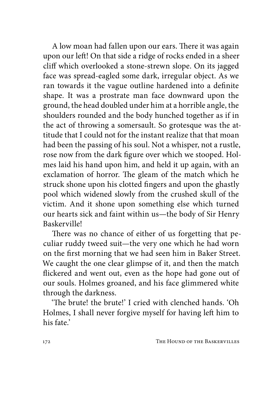A low moan had fallen upon our ears. There it was again upon our left! On that side a ridge of rocks ended in a sheer cliff which overlooked a stone-strewn slope. On its jagged face was spread-eagled some dark, irregular object. As we ran towards it the vague outline hardened into a definite shape. It was a prostrate man face downward upon the ground, the head doubled under him at a horrible angle, the shoulders rounded and the body hunched together as if in the act of throwing a somersault. So grotesque was the attitude that I could not for the instant realize that that moan had been the passing of his soul. Not a whisper, not a rustle, rose now from the dark figure over which we stooped. Holmes laid his hand upon him, and held it up again, with an exclamation of horror. The gleam of the match which he struck shone upon his clotted fingers and upon the ghastly pool which widened slowly from the crushed skull of the victim. And it shone upon something else which turned our hearts sick and faint within us—the body of Sir Henry Baskerville!

There was no chance of either of us forgetting that peculiar ruddy tweed suit—the very one which he had worn on the first morning that we had seen him in Baker Street. We caught the one clear glimpse of it, and then the match flickered and went out, even as the hope had gone out of our souls. Holmes groaned, and his face glimmered white through the darkness.

'The brute! the brute!' I cried with clenched hands. 'Oh Holmes, I shall never forgive myself for having left him to his fate.'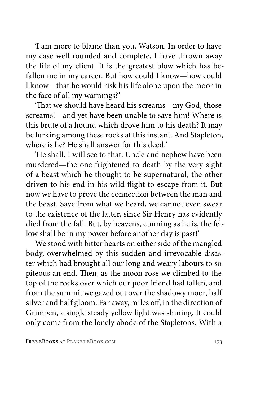'I am more to blame than you, Watson. In order to have my case well rounded and complete, I have thrown away the life of my client. It is the greatest blow which has befallen me in my career. But how could I know—how could l know—that he would risk his life alone upon the moor in the face of all my warnings?'

'That we should have heard his screams—my God, those screams!—and yet have been unable to save him! Where is this brute of a hound which drove him to his death? It may be lurking among these rocks at this instant. And Stapleton, where is he? He shall answer for this deed.'

'He shall. I will see to that. Uncle and nephew have been murdered—the one frightened to death by the very sight of a beast which he thought to be supernatural, the other driven to his end in his wild flight to escape from it. But now we have to prove the connection between the man and the beast. Save from what we heard, we cannot even swear to the existence of the latter, since Sir Henry has evidently died from the fall. But, by heavens, cunning as he is, the fellow shall be in my power before another day is past!'

We stood with bitter hearts on either side of the mangled body, overwhelmed by this sudden and irrevocable disaster which had brought all our long and weary labours to so piteous an end. Then, as the moon rose we climbed to the top of the rocks over which our poor friend had fallen, and from the summit we gazed out over the shadowy moor, half silver and half gloom. Far away, miles off, in the direction of Grimpen, a single steady yellow light was shining. It could only come from the lonely abode of the Stapletons. With a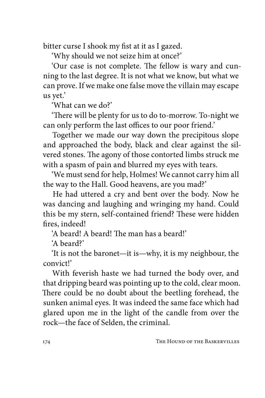bitter curse I shook my fist at it as I gazed.

'Why should we not seize him at once?'

'Our case is not complete. The fellow is wary and cunning to the last degree. It is not what we know, but what we can prove. If we make one false move the villain may escape us yet.'

'What can we do?'

'There will be plenty for us to do to-morrow. To-night we can only perform the last offices to our poor friend.'

Together we made our way down the precipitous slope and approached the body, black and clear against the silvered stones. The agony of those contorted limbs struck me with a spasm of pain and blurred my eyes with tears.

'We must send for help, Holmes! We cannot carry him all the way to the Hall. Good heavens, are you mad?'

He had uttered a cry and bent over the body. Now he was dancing and laughing and wringing my hand. Could this be my stern, self-contained friend? These were hidden fires, indeed!

'A beard! A beard! The man has a beard!'

'A beard?'

'It is not the baronet—it is—why, it is my neighbour, the convict!'

With feverish haste we had turned the body over, and that dripping beard was pointing up to the cold, clear moon. There could be no doubt about the beetling forehead, the sunken animal eyes. It was indeed the same face which had glared upon me in the light of the candle from over the rock—the face of Selden, the criminal.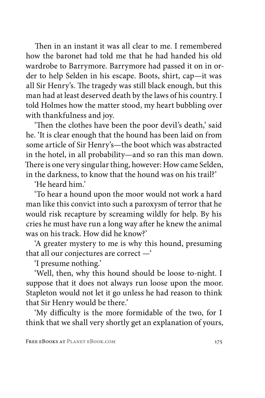Then in an instant it was all clear to me. I remembered how the baronet had told me that he had handed his old wardrobe to Barrymore. Barrymore had passed it on in order to help Selden in his escape. Boots, shirt, cap—it was all Sir Henry's. The tragedy was still black enough, but this man had at least deserved death by the laws of his country. I told Holmes how the matter stood, my heart bubbling over with thankfulness and joy.

'Then the clothes have been the poor devil's death,' said he. 'It is clear enough that the hound has been laid on from some article of Sir Henry's—the boot which was abstracted in the hotel, in all probability—and so ran this man down. There is one very singular thing, however: How came Selden, in the darkness, to know that the hound was on his trail?'

'He heard him.'

'To hear a hound upon the moor would not work a hard man like this convict into such a paroxysm of terror that he would risk recapture by screaming wildly for help. By his cries he must have run a long way after he knew the animal was on his track. How did he know?'

'A greater mystery to me is why this hound, presuming that all our conjectures are correct —'

'I presume nothing.'

'Well, then, why this hound should be loose to-night. I suppose that it does not always run loose upon the moor. Stapleton would not let it go unless he had reason to think that Sir Henry would be there.'

'My difficulty is the more formidable of the two, for I think that we shall very shortly get an explanation of yours,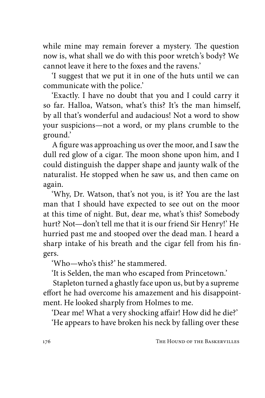while mine may remain forever a mystery. The question now is, what shall we do with this poor wretch's body? We cannot leave it here to the foxes and the ravens.'

'I suggest that we put it in one of the huts until we can communicate with the police.'

'Exactly. I have no doubt that you and I could carry it so far. Halloa, Watson, what's this? It's the man himself, by all that's wonderful and audacious! Not a word to show your suspicions—not a word, or my plans crumble to the ground.'

A figure was approaching us over the moor, and I saw the dull red glow of a cigar. The moon shone upon him, and I could distinguish the dapper shape and jaunty walk of the naturalist. He stopped when he saw us, and then came on again.

'Why, Dr. Watson, that's not you, is it? You are the last man that I should have expected to see out on the moor at this time of night. But, dear me, what's this? Somebody hurt? Not—don't tell me that it is our friend Sir Henry!' He hurried past me and stooped over the dead man. I heard a sharp intake of his breath and the cigar fell from his fingers.

'Who—who's this?' he stammered.

'It is Selden, the man who escaped from Princetown.'

Stapleton turned a ghastly face upon us, but by a supreme effort he had overcome his amazement and his disappointment. He looked sharply from Holmes to me.

'Dear me! What a very shocking affair! How did he die?'

'He appears to have broken his neck by falling over these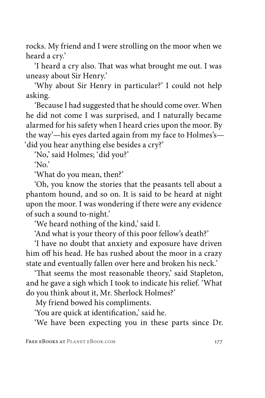rocks. My friend and I were strolling on the moor when we heard a cry.'

'I heard a cry also. That was what brought me out. I was uneasy about Sir Henry.'

'Why about Sir Henry in particular?' I could not help asking.

'Because I had suggested that he should come over. When he did not come I was surprised, and I naturally became alarmed for his safety when I heard cries upon the moor. By the way'—his eyes darted again from my face to Holmes's— 'did you hear anything else besides a cry?'

'No,' said Holmes; 'did you?'

'No.'

'What do you mean, then?'

'Oh, you know the stories that the peasants tell about a phantom hound, and so on. It is said to be heard at night upon the moor. I was wondering if there were any evidence of such a sound to-night.'

'We heard nothing of the kind,' said I.

'And what is your theory of this poor fellow's death?'

'I have no doubt that anxiety and exposure have driven him off his head. He has rushed about the moor in a crazy state and eventually fallen over here and broken his neck.'

'That seems the most reasonable theory,' said Stapleton, and he gave a sigh which I took to indicate his relief. 'What do you think about it, Mr. Sherlock Holmes?'

My friend bowed his compliments.

'You are quick at identification,' said he.

'We have been expecting you in these parts since Dr.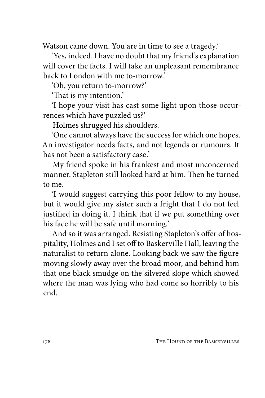Watson came down. You are in time to see a tragedy.'

'Yes, indeed. I have no doubt that my friend's explanation will cover the facts. I will take an unpleasant remembrance back to London with me to-morrow.'

'Oh, you return to-morrow?'

'That is my intention.'

'I hope your visit has cast some light upon those occurrences which have puzzled us?'

Holmes shrugged his shoulders.

'One cannot always have the success for which one hopes. An investigator needs facts, and not legends or rumours. It has not been a satisfactory case.'

My friend spoke in his frankest and most unconcerned manner. Stapleton still looked hard at him. Then he turned to me.

'I would suggest carrying this poor fellow to my house, but it would give my sister such a fright that I do not feel justified in doing it. I think that if we put something over his face he will be safe until morning.'

And so it was arranged. Resisting Stapleton's offer of hospitality, Holmes and I set off to Baskerville Hall, leaving the naturalist to return alone. Looking back we saw the figure moving slowly away over the broad moor, and behind him that one black smudge on the silvered slope which showed where the man was lying who had come so horribly to his end.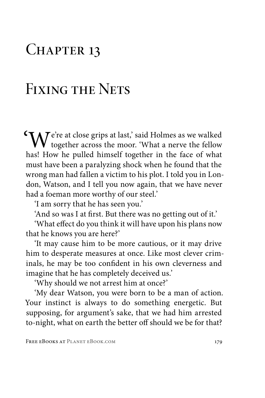## CHAPTER 13

### Fixing the Nets

 $\mathcal{T}_{\mathbf{A}}$   $\mathcal{T}$  e're at close grips at last,' said Holmes as we walked  $\mathsf{V}\mathsf{V}$  together across the moor. 'What a nerve the fellow has! How he pulled himself together in the face of what must have been a paralyzing shock when he found that the wrong man had fallen a victim to his plot. I told you in London, Watson, and I tell you now again, that we have never had a foeman more worthy of our steel.'

'I am sorry that he has seen you.'

'And so was I at first. But there was no getting out of it.'

'What effect do you think it will have upon his plans now that he knows you are here?'

'It may cause him to be more cautious, or it may drive him to desperate measures at once. Like most clever criminals, he may be too confident in his own cleverness and imagine that he has completely deceived us.'

'Why should we not arrest him at once?'

'My dear Watson, you were born to be a man of action. Your instinct is always to do something energetic. But supposing, for argument's sake, that we had him arrested to-night, what on earth the better off should we be for that?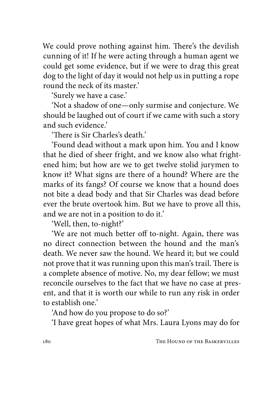We could prove nothing against him. There's the devilish cunning of it! If he were acting through a human agent we could get some evidence, but if we were to drag this great dog to the light of day it would not help us in putting a rope round the neck of its master.'

'Surely we have a case.'

'Not a shadow of one—only surmise and conjecture. We should be laughed out of court if we came with such a story and such evidence.'

'There is Sir Charles's death'

'Found dead without a mark upon him. You and I know that he died of sheer fright, and we know also what frightened him; but how are we to get twelve stolid jurymen to know it? What signs are there of a hound? Where are the marks of its fangs? Of course we know that a hound does not bite a dead body and that Sir Charles was dead before ever the brute overtook him. But we have to prove all this, and we are not in a position to do it.'

'Well, then, to-night?'

'We are not much better off to-night. Again, there was no direct connection between the hound and the man's death. We never saw the hound. We heard it; but we could not prove that it was running upon this man's trail. There is a complete absence of motive. No, my dear fellow; we must reconcile ourselves to the fact that we have no case at present, and that it is worth our while to run any risk in order to establish one.'

'And how do you propose to do so?'

'I have great hopes of what Mrs. Laura Lyons may do for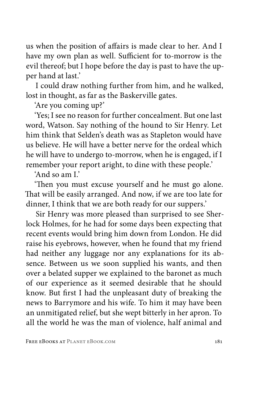us when the position of affairs is made clear to her. And I have my own plan as well. Sufficient for to-morrow is the evil thereof; but I hope before the day is past to have the upper hand at last.'

I could draw nothing further from him, and he walked, lost in thought, as far as the Baskerville gates.

'Are you coming up?'

'Yes; I see no reason for further concealment. But one last word, Watson. Say nothing of the hound to Sir Henry. Let him think that Selden's death was as Stapleton would have us believe. He will have a better nerve for the ordeal which he will have to undergo to-morrow, when he is engaged, if I remember your report aright, to dine with these people.'

'And so am I.'

'Then you must excuse yourself and he must go alone. That will be easily arranged. And now, if we are too late for dinner, I think that we are both ready for our suppers.'

Sir Henry was more pleased than surprised to see Sherlock Holmes, for he had for some days been expecting that recent events would bring him down from London. He did raise his eyebrows, however, when he found that my friend had neither any luggage nor any explanations for its absence. Between us we soon supplied his wants, and then over a belated supper we explained to the baronet as much of our experience as it seemed desirable that he should know. But first I had the unpleasant duty of breaking the news to Barrymore and his wife. To him it may have been an unmitigated relief, but she wept bitterly in her apron. To all the world he was the man of violence, half animal and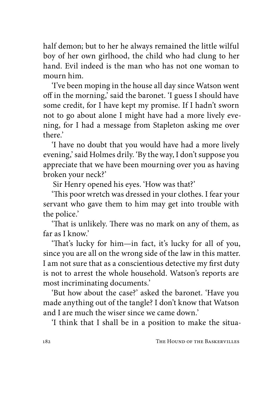half demon; but to her he always remained the little wilful boy of her own girlhood, the child who had clung to her hand. Evil indeed is the man who has not one woman to mourn him.

'I've been moping in the house all day since Watson went off in the morning,' said the baronet. 'I guess I should have some credit, for I have kept my promise. If I hadn't sworn not to go about alone I might have had a more lively evening, for I had a message from Stapleton asking me over there.'

'I have no doubt that you would have had a more lively evening,' said Holmes drily. 'By the way, I don't suppose you appreciate that we have been mourning over you as having broken your neck?'

Sir Henry opened his eyes. 'How was that?'

'This poor wretch was dressed in your clothes. I fear your servant who gave them to him may get into trouble with the police.'

'That is unlikely. There was no mark on any of them, as far as I know.'

'That's lucky for him—in fact, it's lucky for all of you, since you are all on the wrong side of the law in this matter. I am not sure that as a conscientious detective my first duty is not to arrest the whole household. Watson's reports are most incriminating documents.'

'But how about the case?' asked the baronet. 'Have you made anything out of the tangle? I don't know that Watson and I are much the wiser since we came down.'

'I think that I shall be in a position to make the situa-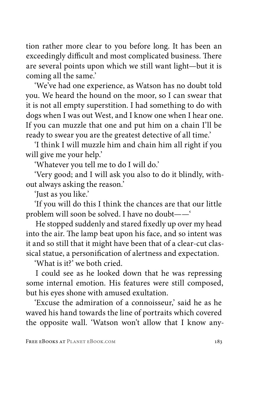tion rather more clear to you before long. It has been an exceedingly difficult and most complicated business. There are several points upon which we still want light—but it is coming all the same.'

'We've had one experience, as Watson has no doubt told you. We heard the hound on the moor, so I can swear that it is not all empty superstition. I had something to do with dogs when I was out West, and I know one when I hear one. If you can muzzle that one and put him on a chain I'll be ready to swear you are the greatest detective of all time.'

'I think I will muzzle him and chain him all right if you will give me your help.'

'Whatever you tell me to do I will do.'

'Very good; and I will ask you also to do it blindly, without always asking the reason.'

'Just as you like.'

'If you will do this I think the chances are that our little problem will soon be solved. I have no doubt——'

He stopped suddenly and stared fixedly up over my head into the air. The lamp beat upon his face, and so intent was it and so still that it might have been that of a clear-cut classical statue, a personification of alertness and expectation.

'What is it?' we both cried.

I could see as he looked down that he was repressing some internal emotion. His features were still composed, but his eyes shone with amused exultation.

'Excuse the admiration of a connoisseur,' said he as he waved his hand towards the line of portraits which covered the opposite wall. 'Watson won't allow that I know any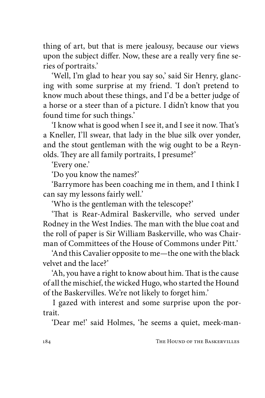thing of art, but that is mere jealousy, because our views upon the subject differ. Now, these are a really very fine series of portraits.'

'Well, I'm glad to hear you say so,' said Sir Henry, glancing with some surprise at my friend. 'I don't pretend to know much about these things, and I'd be a better judge of a horse or a steer than of a picture. I didn't know that you found time for such things.'

'I know what is good when I see it, and I see it now. That's a Kneller, I'll swear, that lady in the blue silk over yonder, and the stout gentleman with the wig ought to be a Reynolds. They are all family portraits, I presume?'

'Every one.'

'Do you know the names?'

'Barrymore has been coaching me in them, and I think I can say my lessons fairly well.'

'Who is the gentleman with the telescope?'

'That is Rear-Admiral Baskerville, who served under Rodney in the West Indies. The man with the blue coat and the roll of paper is Sir William Baskerville, who was Chairman of Committees of the House of Commons under Pitt.'

'And this Cavalier opposite to me—the one with the black velvet and the lace?'

'Ah, you have a right to know about him. That is the cause of all the mischief, the wicked Hugo, who started the Hound of the Baskervilles. We're not likely to forget him.'

I gazed with interest and some surprise upon the portrait.

'Dear me!' said Holmes, 'he seems a quiet, meek-man-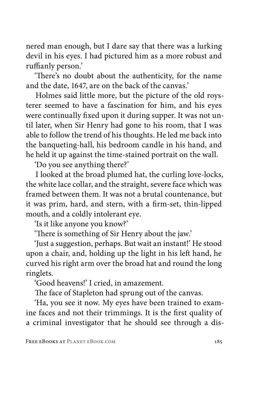nered man enough, but I dare say that there was a lurking devil in his eyes. I had pictured him as a more robust and ruffianly person.'

'There's no doubt about the authenticity, for the name and the date, 1647, are on the back of the canvas.'

Holmes said little more, but the picture of the old roysterer seemed to have a fascination for him, and his eyes were continually fixed upon it during supper. It was not until later, when Sir Henry had gone to his room, that I was able to follow the trend of his thoughts. He led me back into the banqueting-hall, his bedroom candle in his hand, and he held it up against the time-stained portrait on the wall.

'Do you see anything there?'

I looked at the broad plumed hat, the curling love-locks, the white lace collar, and the straight, severe face which was framed between them. It was not a brutal countenance, but it was prim, hard, and stern, with a firm-set, thin-lipped mouth, and a coldly intolerant eye.

'Is it like anyone you know?'

'There is something of Sir Henry about the jaw.'

'Just a suggestion, perhaps. But wait an instant!' He stood upon a chair, and, holding up the light in his left hand, he curved his right arm over the broad hat and round the long ringlets.

'Good heavens!' I cried, in amazement.

The face of Stapleton had sprung out of the canvas.

'Ha, you see it now. My eyes have been trained to examine faces and not their trimmings. It is the first quality of a criminal investigator that he should see through a dis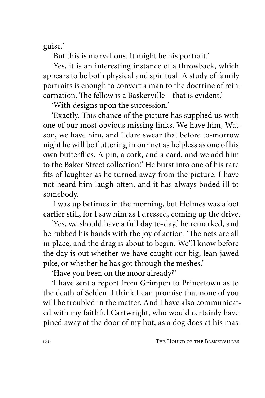guise.'

'But this is marvellous. It might be his portrait.'

'Yes, it is an interesting instance of a throwback, which appears to be both physical and spiritual. A study of family portraits is enough to convert a man to the doctrine of reincarnation. The fellow is a Baskerville—that is evident.'

'With designs upon the succession.'

'Exactly. This chance of the picture has supplied us with one of our most obvious missing links. We have him, Watson, we have him, and I dare swear that before to-morrow night he will be fluttering in our net as helpless as one of his own butterflies. A pin, a cork, and a card, and we add him to the Baker Street collection!' He burst into one of his rare fits of laughter as he turned away from the picture. I have not heard him laugh often, and it has always boded ill to somebody.

I was up betimes in the morning, but Holmes was afoot earlier still, for I saw him as I dressed, coming up the drive.

'Yes, we should have a full day to-day,' he remarked, and he rubbed his hands with the joy of action. 'The nets are all in place, and the drag is about to begin. We'll know before the day is out whether we have caught our big, lean-jawed pike, or whether he has got through the meshes.'

'Have you been on the moor already?'

'I have sent a report from Grimpen to Princetown as to the death of Selden. I think I can promise that none of you will be troubled in the matter. And I have also communicated with my faithful Cartwright, who would certainly have pined away at the door of my hut, as a dog does at his mas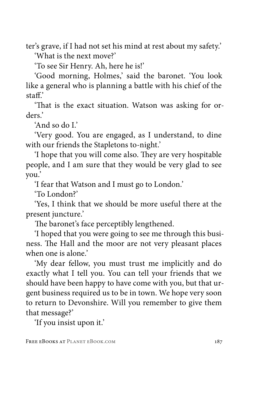ter's grave, if I had not set his mind at rest about my safety.' 'What is the next move?'

'To see Sir Henry. Ah, here he is!'

'Good morning, Holmes,' said the baronet. 'You look like a general who is planning a battle with his chief of the staff.'

'That is the exact situation. Watson was asking for orders.'

'And so do I.'

'Very good. You are engaged, as I understand, to dine with our friends the Stapletons to-night.'

'I hope that you will come also. They are very hospitable people, and I am sure that they would be very glad to see you.'

'I fear that Watson and I must go to London.'

'To London?'

'Yes, I think that we should be more useful there at the present juncture.'

The baronet's face perceptibly lengthened.

'I hoped that you were going to see me through this business. The Hall and the moor are not very pleasant places when one is alone'

'My dear fellow, you must trust me implicitly and do exactly what I tell you. You can tell your friends that we should have been happy to have come with you, but that urgent business required us to be in town. We hope very soon to return to Devonshire. Will you remember to give them that message?'

'If you insist upon it.'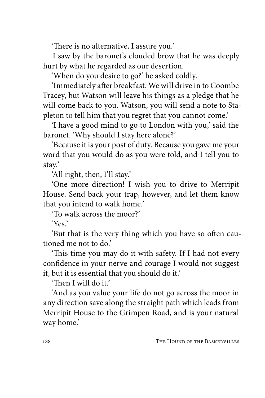'There is no alternative, I assure you.'

I saw by the baronet's clouded brow that he was deeply hurt by what he regarded as our desertion.

'When do you desire to go?' he asked coldly.

'Immediately after breakfast. We will drive in to Coombe Tracey, but Watson will leave his things as a pledge that he will come back to you. Watson, you will send a note to Stapleton to tell him that you regret that you cannot come.'

'I have a good mind to go to London with you,' said the baronet. 'Why should I stay here alone?'

'Because it is your post of duty. Because you gave me your word that you would do as you were told, and I tell you to stay.'

'All right, then, I'll stay.'

'One more direction! I wish you to drive to Merripit House. Send back your trap, however, and let them know that you intend to walk home.'

'To walk across the moor?'

'Yes.'

'But that is the very thing which you have so often cautioned me not to do.'

'This time you may do it with safety. If I had not every confidence in your nerve and courage I would not suggest it, but it is essential that you should do it.'

'Then I will do it.'

'And as you value your life do not go across the moor in any direction save along the straight path which leads from Merripit House to the Grimpen Road, and is your natural way home.'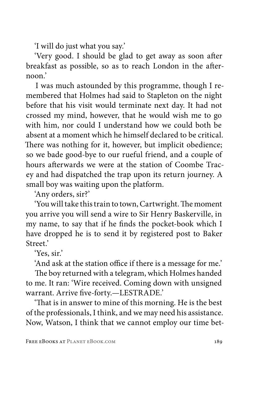'I will do just what you say.'

'Very good. I should be glad to get away as soon after breakfast as possible, so as to reach London in the afternoon.'

I was much astounded by this programme, though I remembered that Holmes had said to Stapleton on the night before that his visit would terminate next day. It had not crossed my mind, however, that he would wish me to go with him, nor could I understand how we could both be absent at a moment which he himself declared to be critical. There was nothing for it, however, but implicit obedience; so we bade good-bye to our rueful friend, and a couple of hours afterwards we were at the station of Coombe Tracey and had dispatched the trap upon its return journey. A small boy was waiting upon the platform.

'Any orders, sir?'

'You will take this train to town, Cartwright. The moment you arrive you will send a wire to Sir Henry Baskerville, in my name, to say that if he finds the pocket-book which I have dropped he is to send it by registered post to Baker Street<sup>2</sup>

'Yes, sir.'

'And ask at the station office if there is a message for me.'

The boy returned with a telegram, which Holmes handed to me. It ran: 'Wire received. Coming down with unsigned warrant. Arrive five-forty.—LESTRADE.'

'That is in answer to mine of this morning. He is the best of the professionals, I think, and we may need his assistance. Now, Watson, I think that we cannot employ our time bet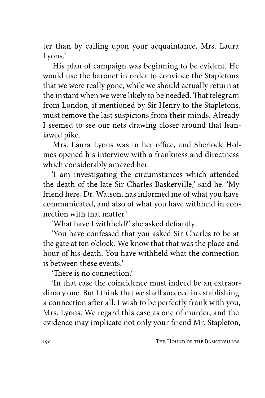ter than by calling upon your acquaintance, Mrs. Laura Lyons.'

His plan of campaign was beginning to be evident. He would use the baronet in order to convince the Stapletons that we were really gone, while we should actually return at the instant when we were likely to be needed. That telegram from London, if mentioned by Sir Henry to the Stapletons, must remove the last suspicions from their minds. Already I seemed to see our nets drawing closer around that leanjawed pike.

Mrs. Laura Lyons was in her office, and Sherlock Holmes opened his interview with a frankness and directness which considerably amazed her.

'I am investigating the circumstances which attended the death of the late Sir Charles Baskerville,' said he. 'My friend here, Dr. Watson, has informed me of what you have communicated, and also of what you have withheld in connection with that matter.'

'What have I withheld?' she asked defiantly.

'You have confessed that you asked Sir Charles to be at the gate at ten o'clock. We know that that was the place and hour of his death. You have withheld what the connection is between these events.'

'There is no connection.'

'In that case the coincidence must indeed be an extraordinary one. But I think that we shall succeed in establishing a connection after all. I wish to be perfectly frank with you, Mrs. Lyons. We regard this case as one of murder, and the evidence may implicate not only your friend Mr. Stapleton,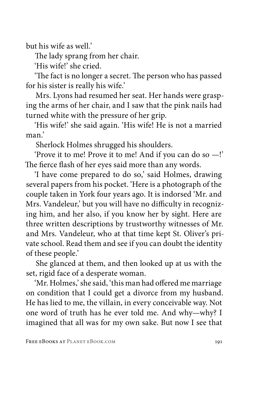but his wife as well.'

The lady sprang from her chair.

'His wife!' she cried.

'The fact is no longer a secret. The person who has passed for his sister is really his wife.'

Mrs. Lyons had resumed her seat. Her hands were grasping the arms of her chair, and I saw that the pink nails had turned white with the pressure of her grip.

'His wife!' she said again. 'His wife! He is not a married man.'

Sherlock Holmes shrugged his shoulders.

'Prove it to me! Prove it to me! And if you can do so —!' The fierce flash of her eyes said more than any words.

'I have come prepared to do so,' said Holmes, drawing several papers from his pocket. 'Here is a photograph of the couple taken in York four years ago. It is indorsed 'Mr. and Mrs. Vandeleur,' but you will have no difficulty in recognizing him, and her also, if you know her by sight. Here are three written descriptions by trustworthy witnesses of Mr. and Mrs. Vandeleur, who at that time kept St. Oliver's private school. Read them and see if you can doubt the identity of these people.'

She glanced at them, and then looked up at us with the set, rigid face of a desperate woman.

'Mr. Holmes,' she said, 'this man had offered me marriage on condition that I could get a divorce from my husband. He has lied to me, the villain, in every conceivable way. Not one word of truth has he ever told me. And why—why? I imagined that all was for my own sake. But now I see that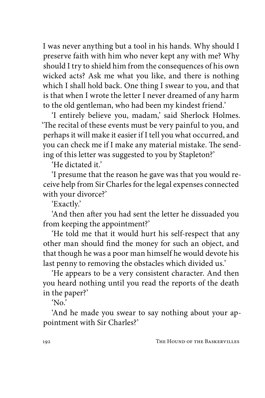I was never anything but a tool in his hands. Why should I preserve faith with him who never kept any with me? Why should I try to shield him from the consequences of his own wicked acts? Ask me what you like, and there is nothing which I shall hold back. One thing I swear to you, and that is that when I wrote the letter I never dreamed of any harm to the old gentleman, who had been my kindest friend.'

'I entirely believe you, madam,' said Sherlock Holmes. 'The recital of these events must be very painful to you, and perhaps it will make it easier if I tell you what occurred, and you can check me if I make any material mistake. The sending of this letter was suggested to you by Stapleton?'

'He dictated it'

'I presume that the reason he gave was that you would receive help from Sir Charles for the legal expenses connected with your divorce?'

'Exactly.'

'And then after you had sent the letter he dissuaded you from keeping the appointment?'

'He told me that it would hurt his self-respect that any other man should find the money for such an object, and that though he was a poor man himself he would devote his last penny to removing the obstacles which divided us.'

'He appears to be a very consistent character. And then you heard nothing until you read the reports of the death in the paper?'

'No.'

'And he made you swear to say nothing about your appointment with Sir Charles?'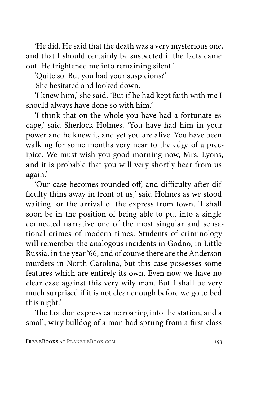'He did. He said that the death was a very mysterious one, and that I should certainly be suspected if the facts came out. He frightened me into remaining silent.'

'Quite so. But you had your suspicions?'

She hesitated and looked down.

'I knew him,' she said. 'But if he had kept faith with me I should always have done so with him.'

'I think that on the whole you have had a fortunate escape,' said Sherlock Holmes. 'You have had him in your power and he knew it, and yet you are alive. You have been walking for some months very near to the edge of a precipice. We must wish you good-morning now, Mrs. Lyons, and it is probable that you will very shortly hear from us again.'

'Our case becomes rounded off, and difficulty after difficulty thins away in front of us,' said Holmes as we stood waiting for the arrival of the express from town. 'I shall soon be in the position of being able to put into a single connected narrative one of the most singular and sensational crimes of modern times. Students of criminology will remember the analogous incidents in Godno, in Little Russia, in the year '66, and of course there are the Anderson murders in North Carolina, but this case possesses some features which are entirely its own. Even now we have no clear case against this very wily man. But I shall be very much surprised if it is not clear enough before we go to bed this night.'

The London express came roaring into the station, and a small, wiry bulldog of a man had sprung from a first-class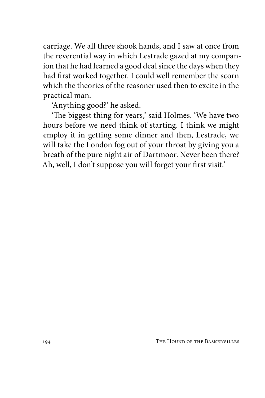carriage. We all three shook hands, and I saw at once from the reverential way in which Lestrade gazed at my companion that he had learned a good deal since the days when they had first worked together. I could well remember the scorn which the theories of the reasoner used then to excite in the practical man.

'Anything good?' he asked.

'The biggest thing for years,' said Holmes. 'We have two hours before we need think of starting. I think we might employ it in getting some dinner and then, Lestrade, we will take the London fog out of your throat by giving you a breath of the pure night air of Dartmoor. Never been there? Ah, well, I don't suppose you will forget your first visit.'

194 THE HOUND OF THE BASKERVILLES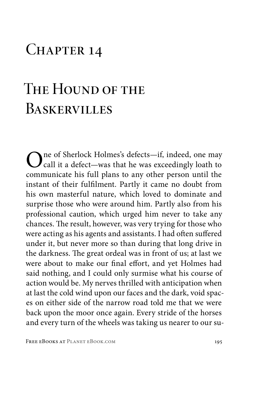## CHAPTER 14

## The Hound of the **BASKERVILLES**

One of Sherlock Holmes's defects—if, indeed, one may call it a defect—was that he was exceedingly loath to communicate his full plans to any other person until the instant of their fulfilment. Partly it came no doubt from his own masterful nature, which loved to dominate and surprise those who were around him. Partly also from his professional caution, which urged him never to take any chances. The result, however, was very trying for those who were acting as his agents and assistants. I had often suffered under it, but never more so than during that long drive in the darkness. The great ordeal was in front of us; at last we were about to make our final effort, and yet Holmes had said nothing, and I could only surmise what his course of action would be. My nerves thrilled with anticipation when at last the cold wind upon our faces and the dark, void spaces on either side of the narrow road told me that we were back upon the moor once again. Every stride of the horses and every turn of the wheels was taking us nearer to our su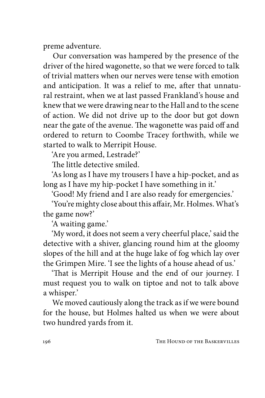preme adventure.

Our conversation was hampered by the presence of the driver of the hired wagonette, so that we were forced to talk of trivial matters when our nerves were tense with emotion and anticipation. It was a relief to me, after that unnatural restraint, when we at last passed Frankland's house and knew that we were drawing near to the Hall and to the scene of action. We did not drive up to the door but got down near the gate of the avenue. The wagonette was paid off and ordered to return to Coombe Tracey forthwith, while we started to walk to Merripit House.

'Are you armed, Lestrade?'

The little detective smiled.

'As long as I have my trousers I have a hip-pocket, and as long as I have my hip-pocket I have something in it.'

'Good! My friend and I are also ready for emergencies.'

'You're mighty close about this affair, Mr. Holmes. What's the game now?'

'A waiting game.'

'My word, it does not seem a very cheerful place,' said the detective with a shiver, glancing round him at the gloomy slopes of the hill and at the huge lake of fog which lay over the Grimpen Mire. 'I see the lights of a house ahead of us.'

'That is Merripit House and the end of our journey. I must request you to walk on tiptoe and not to talk above a whisper.'

We moved cautiously along the track as if we were bound for the house, but Holmes halted us when we were about two hundred yards from it.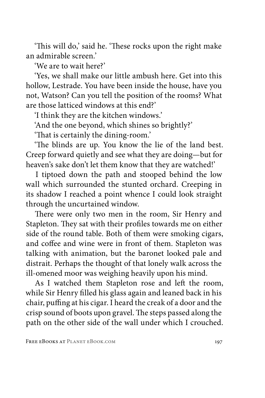'This will do,' said he. 'These rocks upon the right make an admirable screen.'

'We are to wait here?'

'Yes, we shall make our little ambush here. Get into this hollow, Lestrade. You have been inside the house, have you not, Watson? Can you tell the position of the rooms? What are those latticed windows at this end?'

'I think they are the kitchen windows.'

'And the one beyond, which shines so brightly?'

'That is certainly the dining-room.'

'The blinds are up. You know the lie of the land best. Creep forward quietly and see what they are doing—but for heaven's sake don't let them know that they are watched!'

I tiptoed down the path and stooped behind the low wall which surrounded the stunted orchard. Creeping in its shadow I reached a point whence I could look straight through the uncurtained window.

There were only two men in the room, Sir Henry and Stapleton. They sat with their profiles towards me on either side of the round table. Both of them were smoking cigars, and coffee and wine were in front of them. Stapleton was talking with animation, but the baronet looked pale and distrait. Perhaps the thought of that lonely walk across the ill-omened moor was weighing heavily upon his mind.

As I watched them Stapleton rose and left the room, while Sir Henry filled his glass again and leaned back in his chair, puffing at his cigar. I heard the creak of a door and the crisp sound of boots upon gravel. The steps passed along the path on the other side of the wall under which I crouched.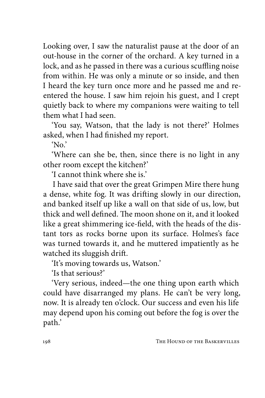Looking over, I saw the naturalist pause at the door of an out-house in the corner of the orchard. A key turned in a lock, and as he passed in there was a curious scuffling noise from within. He was only a minute or so inside, and then I heard the key turn once more and he passed me and reentered the house. I saw him rejoin his guest, and I crept quietly back to where my companions were waiting to tell them what I had seen.

'You say, Watson, that the lady is not there?' Holmes asked, when I had finished my report.

 $'$ No.'

'Where can she be, then, since there is no light in any other room except the kitchen?'

'I cannot think where she is.'

I have said that over the great Grimpen Mire there hung a dense, white fog. It was drifting slowly in our direction, and banked itself up like a wall on that side of us, low, but thick and well defined. The moon shone on it, and it looked like a great shimmering ice-field, with the heads of the distant tors as rocks borne upon its surface. Holmes's face was turned towards it, and he muttered impatiently as he watched its sluggish drift.

'It's moving towards us, Watson.'

'Is that serious?'

'Very serious, indeed—the one thing upon earth which could have disarranged my plans. He can't be very long, now. It is already ten o'clock. Our success and even his life may depend upon his coming out before the fog is over the path.'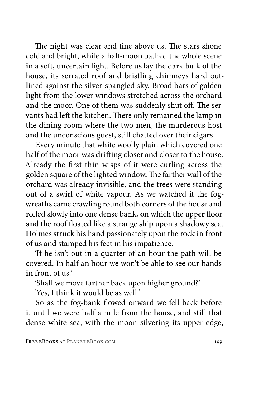The night was clear and fine above us. The stars shone cold and bright, while a half-moon bathed the whole scene in a soft, uncertain light. Before us lay the dark bulk of the house, its serrated roof and bristling chimneys hard outlined against the silver-spangled sky. Broad bars of golden light from the lower windows stretched across the orchard and the moor. One of them was suddenly shut off. The servants had left the kitchen. There only remained the lamp in the dining-room where the two men, the murderous host and the unconscious guest, still chatted over their cigars.

Every minute that white woolly plain which covered one half of the moor was drifting closer and closer to the house. Already the first thin wisps of it were curling across the golden square of the lighted window. The farther wall of the orchard was already invisible, and the trees were standing out of a swirl of white vapour. As we watched it the fogwreaths came crawling round both corners of the house and rolled slowly into one dense bank, on which the upper floor and the roof floated like a strange ship upon a shadowy sea. Holmes struck his hand passionately upon the rock in front of us and stamped his feet in his impatience.

'If he isn't out in a quarter of an hour the path will be covered. In half an hour we won't be able to see our hands in front of us.'

'Shall we move farther back upon higher ground?'

'Yes, I think it would be as well.'

So as the fog-bank flowed onward we fell back before it until we were half a mile from the house, and still that dense white sea, with the moon silvering its upper edge,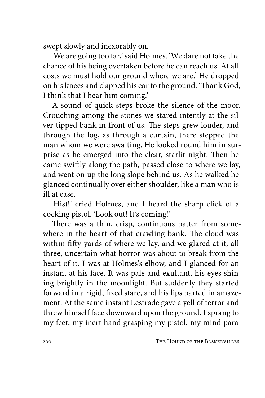swept slowly and inexorably on.

'We are going too far,' said Holmes. 'We dare not take the chance of his being overtaken before he can reach us. At all costs we must hold our ground where we are.' He dropped on his knees and clapped his ear to the ground. 'Thank God, I think that I hear him coming.'

A sound of quick steps broke the silence of the moor. Crouching among the stones we stared intently at the silver-tipped bank in front of us. The steps grew louder, and through the fog, as through a curtain, there stepped the man whom we were awaiting. He looked round him in surprise as he emerged into the clear, starlit night. Then he came swiftly along the path, passed close to where we lay, and went on up the long slope behind us. As he walked he glanced continually over either shoulder, like a man who is ill at ease.

'Hist!' cried Holmes, and I heard the sharp click of a cocking pistol. 'Look out! It's coming!'

There was a thin, crisp, continuous patter from somewhere in the heart of that crawling bank. The cloud was within fifty yards of where we lay, and we glared at it, all three, uncertain what horror was about to break from the heart of it. I was at Holmes's elbow, and I glanced for an instant at his face. It was pale and exultant, his eyes shining brightly in the moonlight. But suddenly they started forward in a rigid, fixed stare, and his lips parted in amazement. At the same instant Lestrade gave a yell of terror and threw himself face downward upon the ground. I sprang to my feet, my inert hand grasping my pistol, my mind para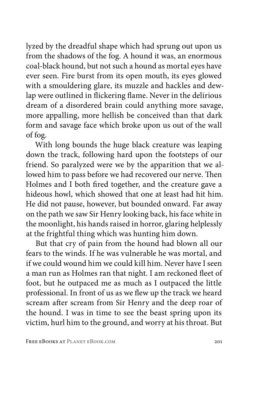lyzed by the dreadful shape which had sprung out upon us from the shadows of the fog. A hound it was, an enormous coal-black hound, but not such a hound as mortal eyes have ever seen. Fire burst from its open mouth, its eyes glowed with a smouldering glare, its muzzle and hackles and dewlap were outlined in flickering flame. Never in the delirious dream of a disordered brain could anything more savage, more appalling, more hellish be conceived than that dark form and savage face which broke upon us out of the wall of fog.

With long bounds the huge black creature was leaping down the track, following hard upon the footsteps of our friend. So paralyzed were we by the apparition that we allowed him to pass before we had recovered our nerve. Then Holmes and I both fired together, and the creature gave a hideous howl, which showed that one at least had hit him. He did not pause, however, but bounded onward. Far away on the path we saw Sir Henry looking back, his face white in the moonlight, his hands raised in horror, glaring helplessly at the frightful thing which was hunting him down.

But that cry of pain from the hound had blown all our fears to the winds. If he was vulnerable he was mortal, and if we could wound him we could kill him. Never have I seen a man run as Holmes ran that night. I am reckoned fleet of foot, but he outpaced me as much as I outpaced the little professional. In front of us as we flew up the track we heard scream after scream from Sir Henry and the deep roar of the hound. I was in time to see the beast spring upon its victim, hurl him to the ground, and worry at his throat. But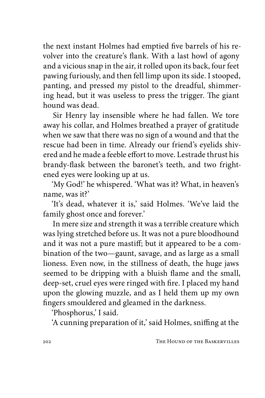the next instant Holmes had emptied five barrels of his revolver into the creature's flank. With a last howl of agony and a vicious snap in the air, it rolled upon its back, four feet pawing furiously, and then fell limp upon its side. I stooped, panting, and pressed my pistol to the dreadful, shimmering head, but it was useless to press the trigger. The giant hound was dead.

Sir Henry lay insensible where he had fallen. We tore away his collar, and Holmes breathed a prayer of gratitude when we saw that there was no sign of a wound and that the rescue had been in time. Already our friend's eyelids shivered and he made a feeble effort to move. Lestrade thrust his brandy-flask between the baronet's teeth, and two frightened eyes were looking up at us.

'My God!' he whispered. 'What was it? What, in heaven's name, was it?'

'It's dead, whatever it is,' said Holmes. 'We've laid the family ghost once and forever.'

In mere size and strength it was a terrible creature which was lying stretched before us. It was not a pure bloodhound and it was not a pure mastiff; but it appeared to be a combination of the two—gaunt, savage, and as large as a small lioness. Even now, in the stillness of death, the huge jaws seemed to be dripping with a bluish flame and the small, deep-set, cruel eyes were ringed with fire. I placed my hand upon the glowing muzzle, and as I held them up my own fingers smouldered and gleamed in the darkness.

'Phosphorus,' I said.

'A cunning preparation of it,' said Holmes, sniffing at the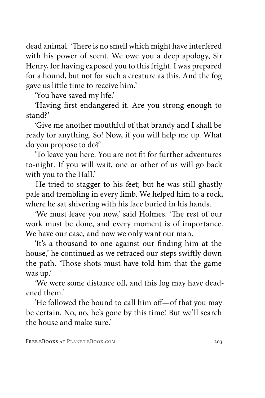dead animal. 'There is no smell which might have interfered with his power of scent. We owe you a deep apology, Sir Henry, for having exposed you to this fright. I was prepared for a hound, but not for such a creature as this. And the fog gave us little time to receive him.'

'You have saved my life.'

'Having first endangered it. Are you strong enough to stand?'

'Give me another mouthful of that brandy and I shall be ready for anything. So! Now, if you will help me up. What do you propose to do?'

'To leave you here. You are not fit for further adventures to-night. If you will wait, one or other of us will go back with you to the Hall.'

He tried to stagger to his feet; but he was still ghastly pale and trembling in every limb. We helped him to a rock, where he sat shivering with his face buried in his hands.

'We must leave you now,' said Holmes. 'The rest of our work must be done, and every moment is of importance. We have our case, and now we only want our man.

'It's a thousand to one against our finding him at the house,' he continued as we retraced our steps swiftly down the path. 'Those shots must have told him that the game was up.'

'We were some distance off, and this fog may have deadened them.'

'He followed the hound to call him off—of that you may be certain. No, no, he's gone by this time! But we'll search the house and make sure.'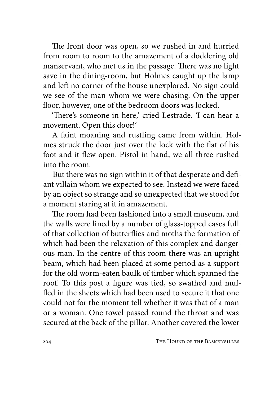The front door was open, so we rushed in and hurried from room to room to the amazement of a doddering old manservant, who met us in the passage. There was no light save in the dining-room, but Holmes caught up the lamp and left no corner of the house unexplored. No sign could we see of the man whom we were chasing. On the upper floor, however, one of the bedroom doors was locked.

'There's someone in here,' cried Lestrade. 'I can hear a movement. Open this door!'

A faint moaning and rustling came from within. Holmes struck the door just over the lock with the flat of his foot and it flew open. Pistol in hand, we all three rushed into the room.

But there was no sign within it of that desperate and defiant villain whom we expected to see. Instead we were faced by an object so strange and so unexpected that we stood for a moment staring at it in amazement.

The room had been fashioned into a small museum, and the walls were lined by a number of glass-topped cases full of that collection of butterflies and moths the formation of which had been the relaxation of this complex and dangerous man. In the centre of this room there was an upright beam, which had been placed at some period as a support for the old worm-eaten baulk of timber which spanned the roof. To this post a figure was tied, so swathed and muffled in the sheets which had been used to secure it that one could not for the moment tell whether it was that of a man or a woman. One towel passed round the throat and was secured at the back of the pillar. Another covered the lower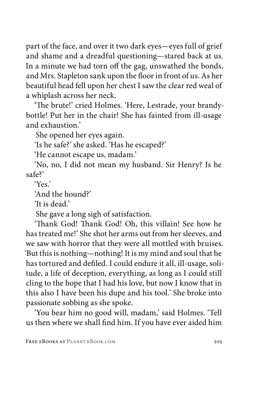part of the face, and over it two dark eyes—eyes full of grief and shame and a dreadful questioning—stared back at us. In a minute we had torn off the gag, unswathed the bonds, and Mrs. Stapleton sank upon the floor in front of us. As her beautiful head fell upon her chest I saw the clear red weal of a whiplash across her neck.

'The brute!' cried Holmes. 'Here, Lestrade, your brandybottle! Put her in the chair! She has fainted from ill-usage and exhaustion.'

She opened her eyes again.

'Is he safe?' she asked. 'Has he escaped?'

'He cannot escape us, madam.'

'No, no, I did not mean my husband. Sir Henry? Is he safe?'

'Yes.'

'And the hound?'

'It is dead.'

She gave a long sigh of satisfaction.

'Thank God! Thank God! Oh, this villain! See how he has treated me!' She shot her arms out from her sleeves, and we saw with horror that they were all mottled with bruises. 'But this is nothing—nothing! It is my mind and soul that he has tortured and defiled. I could endure it all, ill-usage, solitude, a life of deception, everything, as long as I could still cling to the hope that I had his love, but now I know that in this also I have been his dupe and his tool.' She broke into passionate sobbing as she spoke.

'You bear him no good will, madam,' said Holmes. 'Tell us then where we shall find him. If you have ever aided him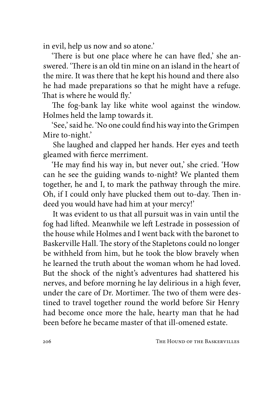in evil, help us now and so atone.'

'There is but one place where he can have fled,' she answered. 'There is an old tin mine on an island in the heart of the mire. It was there that he kept his hound and there also he had made preparations so that he might have a refuge. That is where he would fly.'

The fog-bank lay like white wool against the window. Holmes held the lamp towards it.

'See,' said he. 'No one could find his way into the Grimpen Mire to-night.'

She laughed and clapped her hands. Her eyes and teeth gleamed with fierce merriment.

'He may find his way in, but never out,' she cried. 'How can he see the guiding wands to-night? We planted them together, he and I, to mark the pathway through the mire. Oh, if I could only have plucked them out to-day. Then indeed you would have had him at your mercy!'

It was evident to us that all pursuit was in vain until the fog had lifted. Meanwhile we left Lestrade in possession of the house while Holmes and I went back with the baronet to Baskerville Hall. The story of the Stapletons could no longer be withheld from him, but he took the blow bravely when he learned the truth about the woman whom he had loved. But the shock of the night's adventures had shattered his nerves, and before morning he lay delirious in a high fever, under the care of Dr. Mortimer. The two of them were destined to travel together round the world before Sir Henry had become once more the hale, hearty man that he had been before he became master of that ill-omened estate.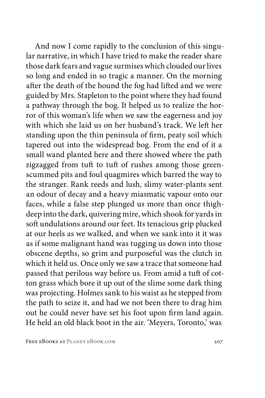And now I come rapidly to the conclusion of this singular narrative, in which I have tried to make the reader share those dark fears and vague surmises which clouded our lives so long and ended in so tragic a manner. On the morning after the death of the hound the fog had lifted and we were guided by Mrs. Stapleton to the point where they had found a pathway through the bog. It helped us to realize the horror of this woman's life when we saw the eagerness and joy with which she laid us on her husband's track. We left her standing upon the thin peninsula of firm, peaty soil which tapered out into the widespread bog. From the end of it a small wand planted here and there showed where the path zigzagged from tuft to tuft of rushes among those greenscummed pits and foul quagmires which barred the way to the stranger. Rank reeds and lush, slimy water-plants sent an odour of decay and a heavy miasmatic vapour onto our faces, while a false step plunged us more than once thighdeep into the dark, quivering mire, which shook for yards in soft undulations around our feet. Its tenacious grip plucked at our heels as we walked, and when we sank into it it was as if some malignant hand was tugging us down into those obscene depths, so grim and purposeful was the clutch in which it held us. Once only we saw a trace that someone had passed that perilous way before us. From amid a tuft of cotton grass which bore it up out of the slime some dark thing was projecting. Holmes sank to his waist as he stepped from the path to seize it, and had we not been there to drag him out he could never have set his foot upon firm land again. He held an old black boot in the air. 'Meyers, Toronto,' was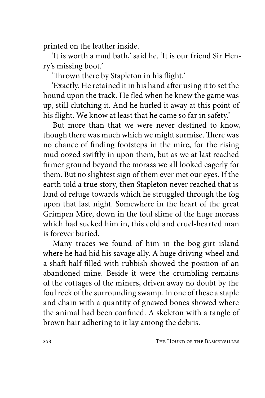printed on the leather inside.

'It is worth a mud bath,' said he. 'It is our friend Sir Henry's missing boot.'

'Thrown there by Stapleton in his flight.'

'Exactly. He retained it in his hand after using it to set the hound upon the track. He fled when he knew the game was up, still clutching it. And he hurled it away at this point of his flight. We know at least that he came so far in safety.'

But more than that we were never destined to know, though there was much which we might surmise. There was no chance of finding footsteps in the mire, for the rising mud oozed swiftly in upon them, but as we at last reached firmer ground beyond the morass we all looked eagerly for them. But no slightest sign of them ever met our eyes. If the earth told a true story, then Stapleton never reached that island of refuge towards which he struggled through the fog upon that last night. Somewhere in the heart of the great Grimpen Mire, down in the foul slime of the huge morass which had sucked him in, this cold and cruel-hearted man is forever buried.

Many traces we found of him in the bog-girt island where he had hid his savage ally. A huge driving-wheel and a shaft half-filled with rubbish showed the position of an abandoned mine. Beside it were the crumbling remains of the cottages of the miners, driven away no doubt by the foul reek of the surrounding swamp. In one of these a staple and chain with a quantity of gnawed bones showed where the animal had been confined. A skeleton with a tangle of brown hair adhering to it lay among the debris.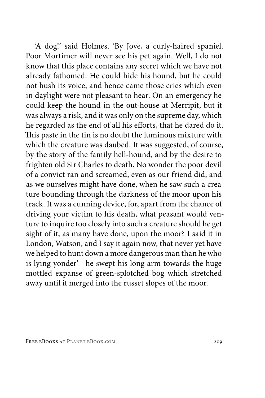'A dog!' said Holmes. 'By Jove, a curly-haired spaniel. Poor Mortimer will never see his pet again. Well, I do not know that this place contains any secret which we have not already fathomed. He could hide his hound, but he could not hush its voice, and hence came those cries which even in daylight were not pleasant to hear. On an emergency he could keep the hound in the out-house at Merripit, but it was always a risk, and it was only on the supreme day, which he regarded as the end of all his efforts, that he dared do it. This paste in the tin is no doubt the luminous mixture with which the creature was daubed. It was suggested, of course, by the story of the family hell-hound, and by the desire to frighten old Sir Charles to death. No wonder the poor devil of a convict ran and screamed, even as our friend did, and as we ourselves might have done, when he saw such a creature bounding through the darkness of the moor upon his track. It was a cunning device, for, apart from the chance of driving your victim to his death, what peasant would venture to inquire too closely into such a creature should he get sight of it, as many have done, upon the moor? I said it in London, Watson, and I say it again now, that never yet have we helped to hunt down a more dangerous man than he who is lying yonder'—he swept his long arm towards the huge mottled expanse of green-splotched bog which stretched away until it merged into the russet slopes of the moor.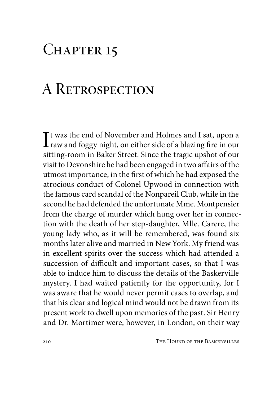## CHAPTER 15

## A Retrospection

It was the end of November and Holmes and I sat, upon a<br>raw and foggy night, on either side of a blazing fire in our<br>eiting noom in Baken Street. Since the tracis unabet of our Tt was the end of November and Holmes and I sat, upon a sitting-room in Baker Street. Since the tragic upshot of our visit to Devonshire he had been engaged in two affairs of the utmost importance, in the first of which he had exposed the atrocious conduct of Colonel Upwood in connection with the famous card scandal of the Nonpareil Club, while in the second he had defended the unfortunate Mme. Montpensier from the charge of murder which hung over her in connection with the death of her step-daughter, Mlle. Carere, the young lady who, as it will be remembered, was found six months later alive and married in New York. My friend was in excellent spirits over the success which had attended a succession of difficult and important cases, so that I was able to induce him to discuss the details of the Baskerville mystery. I had waited patiently for the opportunity, for I was aware that he would never permit cases to overlap, and that his clear and logical mind would not be drawn from its present work to dwell upon memories of the past. Sir Henry and Dr. Mortimer were, however, in London, on their way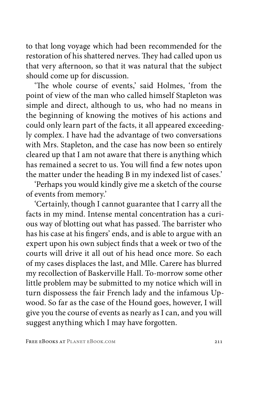to that long voyage which had been recommended for the restoration of his shattered nerves. They had called upon us that very afternoon, so that it was natural that the subject should come up for discussion.

'The whole course of events,' said Holmes, 'from the point of view of the man who called himself Stapleton was simple and direct, although to us, who had no means in the beginning of knowing the motives of his actions and could only learn part of the facts, it all appeared exceedingly complex. I have had the advantage of two conversations with Mrs. Stapleton, and the case has now been so entirely cleared up that I am not aware that there is anything which has remained a secret to us. You will find a few notes upon the matter under the heading B in my indexed list of cases.'

'Perhaps you would kindly give me a sketch of the course of events from memory.'

'Certainly, though I cannot guarantee that I carry all the facts in my mind. Intense mental concentration has a curious way of blotting out what has passed. The barrister who has his case at his fingers' ends, and is able to argue with an expert upon his own subject finds that a week or two of the courts will drive it all out of his head once more. So each of my cases displaces the last, and Mlle. Carere has blurred my recollection of Baskerville Hall. To-morrow some other little problem may be submitted to my notice which will in turn dispossess the fair French lady and the infamous Upwood. So far as the case of the Hound goes, however, I will give you the course of events as nearly as I can, and you will suggest anything which I may have forgotten.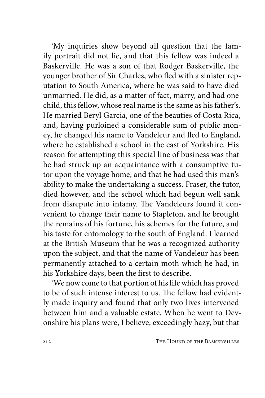'My inquiries show beyond all question that the family portrait did not lie, and that this fellow was indeed a Baskerville. He was a son of that Rodger Baskerville, the younger brother of Sir Charles, who fled with a sinister reputation to South America, where he was said to have died unmarried. He did, as a matter of fact, marry, and had one child, this fellow, whose real name is the same as his father's. He married Beryl Garcia, one of the beauties of Costa Rica, and, having purloined a considerable sum of public money, he changed his name to Vandeleur and fled to England, where he established a school in the east of Yorkshire. His reason for attempting this special line of business was that he had struck up an acquaintance with a consumptive tutor upon the voyage home, and that he had used this man's ability to make the undertaking a success. Fraser, the tutor, died however, and the school which had begun well sank from disrepute into infamy. The Vandeleurs found it convenient to change their name to Stapleton, and he brought the remains of his fortune, his schemes for the future, and his taste for entomology to the south of England. I learned at the British Museum that he was a recognized authority upon the subject, and that the name of Vandeleur has been permanently attached to a certain moth which he had, in his Yorkshire days, been the first to describe.

'We now come to that portion of his life which has proved to be of such intense interest to us. The fellow had evidently made inquiry and found that only two lives intervened between him and a valuable estate. When he went to Devonshire his plans were, I believe, exceedingly hazy, but that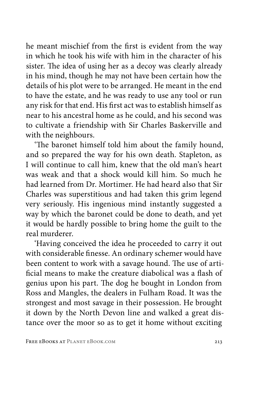he meant mischief from the first is evident from the way in which he took his wife with him in the character of his sister. The idea of using her as a decoy was clearly already in his mind, though he may not have been certain how the details of his plot were to be arranged. He meant in the end to have the estate, and he was ready to use any tool or run any risk for that end. His first act was to establish himself as near to his ancestral home as he could, and his second was to cultivate a friendship with Sir Charles Baskerville and with the neighbours.

'The baronet himself told him about the family hound, and so prepared the way for his own death. Stapleton, as I will continue to call him, knew that the old man's heart was weak and that a shock would kill him. So much he had learned from Dr. Mortimer. He had heard also that Sir Charles was superstitious and had taken this grim legend very seriously. His ingenious mind instantly suggested a way by which the baronet could be done to death, and yet it would be hardly possible to bring home the guilt to the real murderer.

'Having conceived the idea he proceeded to carry it out with considerable finesse. An ordinary schemer would have been content to work with a savage hound. The use of artificial means to make the creature diabolical was a flash of genius upon his part. The dog he bought in London from Ross and Mangles, the dealers in Fulham Road. It was the strongest and most savage in their possession. He brought it down by the North Devon line and walked a great distance over the moor so as to get it home without exciting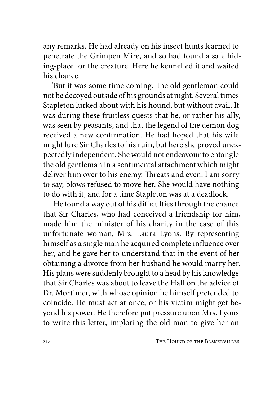any remarks. He had already on his insect hunts learned to penetrate the Grimpen Mire, and so had found a safe hiding-place for the creature. Here he kennelled it and waited his chance.

'But it was some time coming. The old gentleman could not be decoyed outside of his grounds at night. Several times Stapleton lurked about with his hound, but without avail. It was during these fruitless quests that he, or rather his ally, was seen by peasants, and that the legend of the demon dog received a new confirmation. He had hoped that his wife might lure Sir Charles to his ruin, but here she proved unexpectedly independent. She would not endeavour to entangle the old gentleman in a sentimental attachment which might deliver him over to his enemy. Threats and even, I am sorry to say, blows refused to move her. She would have nothing to do with it, and for a time Stapleton was at a deadlock.

'He found a way out of his difficulties through the chance that Sir Charles, who had conceived a friendship for him, made him the minister of his charity in the case of this unfortunate woman, Mrs. Laura Lyons. By representing himself as a single man he acquired complete influence over her, and he gave her to understand that in the event of her obtaining a divorce from her husband he would marry her. His plans were suddenly brought to a head by his knowledge that Sir Charles was about to leave the Hall on the advice of Dr. Mortimer, with whose opinion he himself pretended to coincide. He must act at once, or his victim might get beyond his power. He therefore put pressure upon Mrs. Lyons to write this letter, imploring the old man to give her an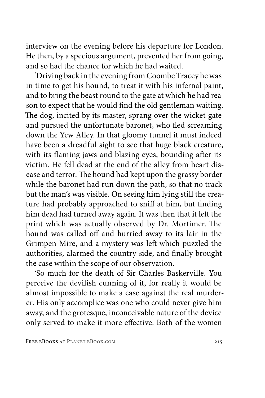interview on the evening before his departure for London. He then, by a specious argument, prevented her from going, and so had the chance for which he had waited.

'Driving back in the evening from Coombe Tracey he was in time to get his hound, to treat it with his infernal paint, and to bring the beast round to the gate at which he had reason to expect that he would find the old gentleman waiting. The dog, incited by its master, sprang over the wicket-gate and pursued the unfortunate baronet, who fled screaming down the Yew Alley. In that gloomy tunnel it must indeed have been a dreadful sight to see that huge black creature, with its flaming jaws and blazing eyes, bounding after its victim. He fell dead at the end of the alley from heart disease and terror. The hound had kept upon the grassy border while the baronet had run down the path, so that no track but the man's was visible. On seeing him lying still the creature had probably approached to sniff at him, but finding him dead had turned away again. It was then that it left the print which was actually observed by Dr. Mortimer. The hound was called off and hurried away to its lair in the Grimpen Mire, and a mystery was left which puzzled the authorities, alarmed the country-side, and finally brought the case within the scope of our observation.

'So much for the death of Sir Charles Baskerville. You perceive the devilish cunning of it, for really it would be almost impossible to make a case against the real murderer. His only accomplice was one who could never give him away, and the grotesque, inconceivable nature of the device only served to make it more effective. Both of the women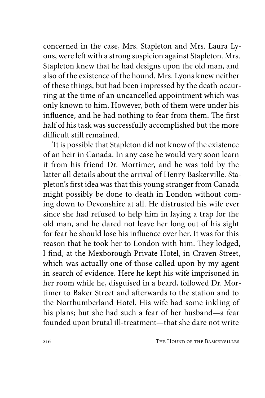concerned in the case, Mrs. Stapleton and Mrs. Laura Lyons, were left with a strong suspicion against Stapleton. Mrs. Stapleton knew that he had designs upon the old man, and also of the existence of the hound. Mrs. Lyons knew neither of these things, but had been impressed by the death occurring at the time of an uncancelled appointment which was only known to him. However, both of them were under his influence, and he had nothing to fear from them. The first half of his task was successfully accomplished but the more difficult still remained.

'It is possible that Stapleton did not know of the existence of an heir in Canada. In any case he would very soon learn it from his friend Dr. Mortimer, and he was told by the latter all details about the arrival of Henry Baskerville. Stapleton's first idea was that this young stranger from Canada might possibly be done to death in London without coming down to Devonshire at all. He distrusted his wife ever since she had refused to help him in laying a trap for the old man, and he dared not leave her long out of his sight for fear he should lose his influence over her. It was for this reason that he took her to London with him. They lodged, I find, at the Mexborough Private Hotel, in Craven Street, which was actually one of those called upon by my agent in search of evidence. Here he kept his wife imprisoned in her room while he, disguised in a beard, followed Dr. Mortimer to Baker Street and afterwards to the station and to the Northumberland Hotel. His wife had some inkling of his plans; but she had such a fear of her husband—a fear founded upon brutal ill-treatment—that she dare not write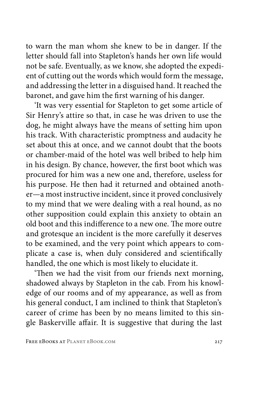to warn the man whom she knew to be in danger. If the letter should fall into Stapleton's hands her own life would not be safe. Eventually, as we know, she adopted the expedient of cutting out the words which would form the message, and addressing the letter in a disguised hand. It reached the baronet, and gave him the first warning of his danger.

'It was very essential for Stapleton to get some article of Sir Henry's attire so that, in case he was driven to use the dog, he might always have the means of setting him upon his track. With characteristic promptness and audacity he set about this at once, and we cannot doubt that the boots or chamber-maid of the hotel was well bribed to help him in his design. By chance, however, the first boot which was procured for him was a new one and, therefore, useless for his purpose. He then had it returned and obtained another—a most instructive incident, since it proved conclusively to my mind that we were dealing with a real hound, as no other supposition could explain this anxiety to obtain an old boot and this indifference to a new one. The more outre and grotesque an incident is the more carefully it deserves to be examined, and the very point which appears to complicate a case is, when duly considered and scientifically handled, the one which is most likely to elucidate it.

'Then we had the visit from our friends next morning, shadowed always by Stapleton in the cab. From his knowledge of our rooms and of my appearance, as well as from his general conduct, I am inclined to think that Stapleton's career of crime has been by no means limited to this single Baskerville affair. It is suggestive that during the last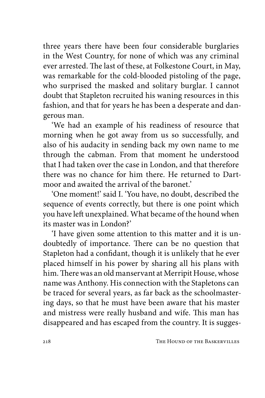three years there have been four considerable burglaries in the West Country, for none of which was any criminal ever arrested. The last of these, at Folkestone Court, in May, was remarkable for the cold-blooded pistoling of the page, who surprised the masked and solitary burglar. I cannot doubt that Stapleton recruited his waning resources in this fashion, and that for years he has been a desperate and dangerous man.

'We had an example of his readiness of resource that morning when he got away from us so successfully, and also of his audacity in sending back my own name to me through the cabman. From that moment he understood that I had taken over the case in London, and that therefore there was no chance for him there. He returned to Dartmoor and awaited the arrival of the baronet.'

'One moment!' said I. 'You have, no doubt, described the sequence of events correctly, but there is one point which you have left unexplained. What became of the hound when its master was in London?'

'I have given some attention to this matter and it is undoubtedly of importance. There can be no question that Stapleton had a confidant, though it is unlikely that he ever placed himself in his power by sharing all his plans with him. There was an old manservant at Merripit House, whose name was Anthony. His connection with the Stapletons can be traced for several years, as far back as the schoolmastering days, so that he must have been aware that his master and mistress were really husband and wife. This man has disappeared and has escaped from the country. It is sugges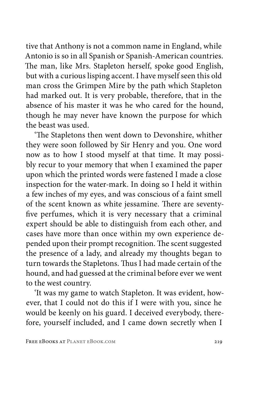tive that Anthony is not a common name in England, while Antonio is so in all Spanish or Spanish-American countries. The man, like Mrs. Stapleton herself, spoke good English, but with a curious lisping accent. I have myself seen this old man cross the Grimpen Mire by the path which Stapleton had marked out. It is very probable, therefore, that in the absence of his master it was he who cared for the hound, though he may never have known the purpose for which the beast was used.

'The Stapletons then went down to Devonshire, whither they were soon followed by Sir Henry and you. One word now as to how I stood myself at that time. It may possibly recur to your memory that when I examined the paper upon which the printed words were fastened I made a close inspection for the water-mark. In doing so I held it within a few inches of my eyes, and was conscious of a faint smell of the scent known as white jessamine. There are seventyfive perfumes, which it is very necessary that a criminal expert should be able to distinguish from each other, and cases have more than once within my own experience depended upon their prompt recognition. The scent suggested the presence of a lady, and already my thoughts began to turn towards the Stapletons. Thus I had made certain of the hound, and had guessed at the criminal before ever we went to the west country.

'It was my game to watch Stapleton. It was evident, however, that I could not do this if I were with you, since he would be keenly on his guard. I deceived everybody, therefore, yourself included, and I came down secretly when I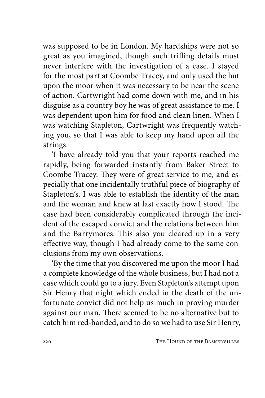was supposed to be in London. My hardships were not so great as you imagined, though such trifling details must never interfere with the investigation of a case. I stayed for the most part at Coombe Tracey, and only used the hut upon the moor when it was necessary to be near the scene of action. Cartwright had come down with me, and in his disguise as a country boy he was of great assistance to me. I was dependent upon him for food and clean linen. When I was watching Stapleton, Cartwright was frequently watching you, so that I was able to keep my hand upon all the strings.

'I have already told you that your reports reached me rapidly, being forwarded instantly from Baker Street to Coombe Tracey. They were of great service to me, and especially that one incidentally truthful piece of biography of Stapleton's. I was able to establish the identity of the man and the woman and knew at last exactly how I stood. The case had been considerably complicated through the incident of the escaped convict and the relations between him and the Barrymores. This also you cleared up in a very effective way, though I had already come to the same conclusions from my own observations.

'By the time that you discovered me upon the moor I had a complete knowledge of the whole business, but I had not a case which could go to a jury. Even Stapleton's attempt upon Sir Henry that night which ended in the death of the unfortunate convict did not help us much in proving murder against our man. There seemed to be no alternative but to catch him red-handed, and to do so we had to use Sir Henry,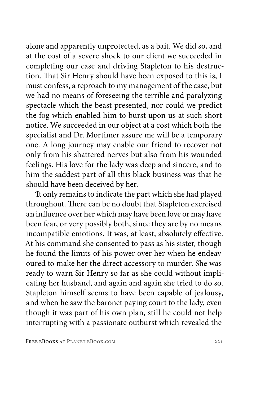alone and apparently unprotected, as a bait. We did so, and at the cost of a severe shock to our client we succeeded in completing our case and driving Stapleton to his destruction. That Sir Henry should have been exposed to this is, I must confess, a reproach to my management of the case, but we had no means of foreseeing the terrible and paralyzing spectacle which the beast presented, nor could we predict the fog which enabled him to burst upon us at such short notice. We succeeded in our object at a cost which both the specialist and Dr. Mortimer assure me will be a temporary one. A long journey may enable our friend to recover not only from his shattered nerves but also from his wounded feelings. His love for the lady was deep and sincere, and to him the saddest part of all this black business was that he should have been deceived by her.

'It only remains to indicate the part which she had played throughout. There can be no doubt that Stapleton exercised an influence over her which may have been love or may have been fear, or very possibly both, since they are by no means incompatible emotions. It was, at least, absolutely effective. At his command she consented to pass as his sister, though he found the limits of his power over her when he endeavoured to make her the direct accessory to murder. She was ready to warn Sir Henry so far as she could without implicating her husband, and again and again she tried to do so. Stapleton himself seems to have been capable of jealousy, and when he saw the baronet paying court to the lady, even though it was part of his own plan, still he could not help interrupting with a passionate outburst which revealed the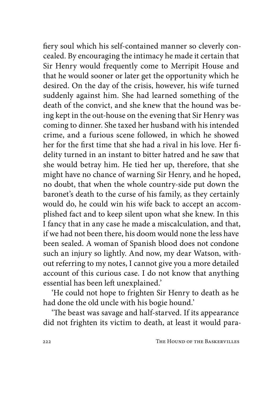fiery soul which his self-contained manner so cleverly concealed. By encouraging the intimacy he made it certain that Sir Henry would frequently come to Merripit House and that he would sooner or later get the opportunity which he desired. On the day of the crisis, however, his wife turned suddenly against him. She had learned something of the death of the convict, and she knew that the hound was being kept in the out-house on the evening that Sir Henry was coming to dinner. She taxed her husband with his intended crime, and a furious scene followed, in which he showed her for the first time that she had a rival in his love. Her fidelity turned in an instant to bitter hatred and he saw that she would betray him. He tied her up, therefore, that she might have no chance of warning Sir Henry, and he hoped, no doubt, that when the whole country-side put down the baronet's death to the curse of his family, as they certainly would do, he could win his wife back to accept an accomplished fact and to keep silent upon what she knew. In this I fancy that in any case he made a miscalculation, and that, if we had not been there, his doom would none the less have been sealed. A woman of Spanish blood does not condone such an injury so lightly. And now, my dear Watson, without referring to my notes, I cannot give you a more detailed account of this curious case. I do not know that anything essential has been left unexplained.'

'He could not hope to frighten Sir Henry to death as he had done the old uncle with his bogie hound.'

'The beast was savage and half-starved. If its appearance did not frighten its victim to death, at least it would para